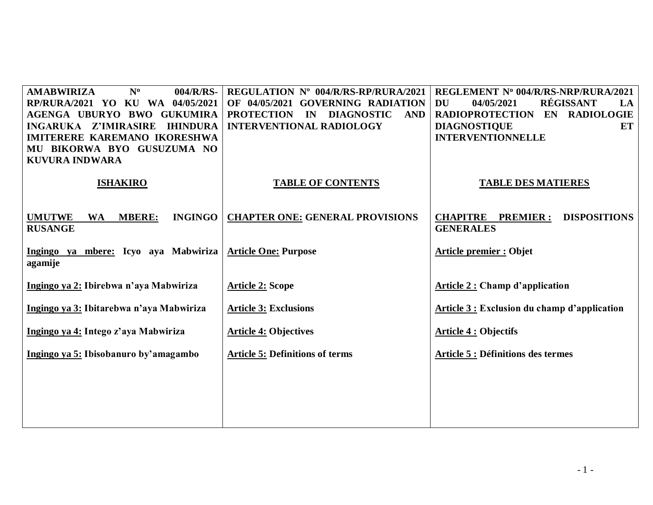| $N^0$<br>004/R/RS-<br><b>AMABWIRIZA</b><br>RP/RURA/2021 YO KU WA 04/05/2021<br>AGENGA UBURYO BWO GUKUMIRA<br>INGARUKA Z'IMIRASIRE IHINDURA<br><b>IMITERERE KAREMANO IKORESHWA</b><br>MU BIKORWA BYO GUSUZUMA NO<br><b>KUVURA INDWARA</b> | REGULATION Nº 004/R/RS-RP/RURA/2021<br>OF 04/05/2021 GOVERNING RADIATION<br>PROTECTION IN DIAGNOSTIC<br><b>AND</b><br><b>INTERVENTIONAL RADIOLOGY</b> | REGLEMENT Nº 004/R/RS-NRP/RURA/2021<br>RÉGISSANT<br><b>DU</b><br>04/05/2021<br>LA<br>RADIOPROTECTION EN RADIOLOGIE<br><b>DIAGNOSTIQUE</b><br>ET<br><b>INTERVENTIONNELLE</b> |
|------------------------------------------------------------------------------------------------------------------------------------------------------------------------------------------------------------------------------------------|-------------------------------------------------------------------------------------------------------------------------------------------------------|-----------------------------------------------------------------------------------------------------------------------------------------------------------------------------|
| <b>ISHAKIRO</b>                                                                                                                                                                                                                          | <b>TABLE OF CONTENTS</b>                                                                                                                              | <b>TABLE DES MATIERES</b>                                                                                                                                                   |
| <b>UMUTWE</b><br><b>MBERE:</b><br><b>INGINGO</b><br><b>WA</b><br><b>RUSANGE</b>                                                                                                                                                          | <b>CHAPTER ONE: GENERAL PROVISIONS</b>                                                                                                                | <b>CHAPITRE</b><br><b>DISPOSITIONS</b><br><b>PREMIER:</b><br><b>GENERALES</b>                                                                                               |
| Ingingo ya mbere: Icyo aya Mabwiriza<br>agamije                                                                                                                                                                                          | <b>Article One: Purpose</b>                                                                                                                           | <b>Article premier : Objet</b>                                                                                                                                              |
| Ingingo ya 2: Ibirebwa n'aya Mabwiriza                                                                                                                                                                                                   | <b>Article 2: Scope</b>                                                                                                                               | <b>Article 2: Champ d'application</b>                                                                                                                                       |
| Ingingo ya 3: Ibitarebwa n'aya Mabwiriza                                                                                                                                                                                                 | <b>Article 3: Exclusions</b>                                                                                                                          | Article 3 : Exclusion du champ d'application                                                                                                                                |
| Ingingo ya 4: Intego z'aya Mabwiriza                                                                                                                                                                                                     | <b>Article 4: Objectives</b>                                                                                                                          | <b>Article 4 : Objectifs</b>                                                                                                                                                |
| Ingingo ya 5: Ibisobanuro by'amagambo                                                                                                                                                                                                    | <b>Article 5: Definitions of terms</b>                                                                                                                | <b>Article 5 : Définitions des termes</b>                                                                                                                                   |
|                                                                                                                                                                                                                                          |                                                                                                                                                       |                                                                                                                                                                             |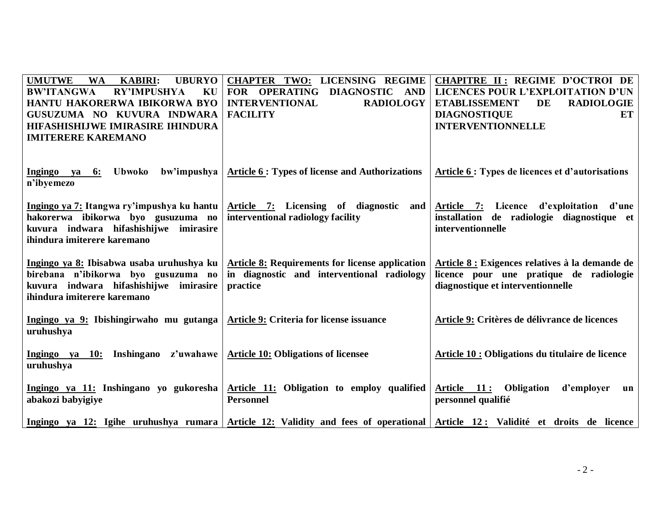| <b>UMUTWE</b><br><b>KABIRI:</b><br><b>UBURYO</b><br><b>WA</b><br><b>BW'ITANGWA</b><br><b>RY'IMPUSHYA</b><br>KU<br>HANTU HAKORERWA IBIKORWA BYO<br>GUSUZUMA NO KUVURA INDWARA<br>HIFASHISHIJWE IMIRASIRE IHINDURA<br><b>IMITERERE KAREMANO</b> | <b>CHAPTER TWO: LICENSING REGIME</b><br>FOR OPERATING<br>DIAGNOSTIC AND<br><b>RADIOLOGY</b><br><b>INTERVENTIONAL</b><br><b>FACILITY</b> | <b>CHAPITRE II: REGIME D'OCTROI DE</b><br>LICENCES POUR L'EXPLOITATION D'UN<br><b>ETABLISSEMENT</b><br>DE<br><b>RADIOLOGIE</b><br><b>DIAGNOSTIQUE</b><br>ET<br><b>INTERVENTIONNELLE</b> |
|-----------------------------------------------------------------------------------------------------------------------------------------------------------------------------------------------------------------------------------------------|-----------------------------------------------------------------------------------------------------------------------------------------|-----------------------------------------------------------------------------------------------------------------------------------------------------------------------------------------|
| <b>Ubwoko</b><br>bw'impushya<br>Ingingo ya 6:<br>n'ibyemezo                                                                                                                                                                                   | <b>Article 6 : Types of license and Authorizations</b>                                                                                  | Article 6 : Types de licences et d'autorisations                                                                                                                                        |
| Ingingo ya 7: Itangwa ry'impushya ku hantu<br>hakorerwa ibikorwa byo gusuzuma no<br>kuvura indwara hifashishijwe imirasire<br>ihindura imiterere karemano                                                                                     | Article 7: Licensing of diagnostic<br>and<br>interventional radiology facility                                                          | Article 7: Licence d'exploitation d'une<br>installation<br>de radiologie diagnostique et<br>interventionnelle                                                                           |
| Ingingo ya 8: Ibisabwa usaba uruhushya ku<br>birebana n'ibikorwa byo gusuzuma no<br>kuvura indwara hifashishijwe imirasire<br>ihindura imiterere karemano                                                                                     | <b>Article 8: Requirements for license application</b><br>in diagnostic and interventional radiology<br>practice                        | Article 8 : Exigences relatives à la demande de<br>licence pour une pratique de radiologie<br>diagnostique et interventionnelle                                                         |
| Ingingo ya 9: Ibishingirwaho mu gutanga<br>uruhushya                                                                                                                                                                                          | Article 9: Criteria for license issuance                                                                                                | Article 9: Critères de délivrance de licences                                                                                                                                           |
| Ingingo ya 10: Inshingano z'uwahawe<br>uruhushya                                                                                                                                                                                              | <b>Article 10: Obligations of licensee</b>                                                                                              | Article 10 : Obligations du titulaire de licence                                                                                                                                        |
| Ingingo ya 11: Inshingano yo gukoresha<br>abakozi babyigiye                                                                                                                                                                                   | Article 11: Obligation to employ qualified<br><b>Personnel</b>                                                                          | Article 11: Obligation<br>d'employer<br>$\mathbf{u}$ n<br>personnel qualifié                                                                                                            |
|                                                                                                                                                                                                                                               | Ingingo ya 12: Igihe uruhushya rumara Article 12: Validity and fees of operational Article 12: Validité et droits de licence            |                                                                                                                                                                                         |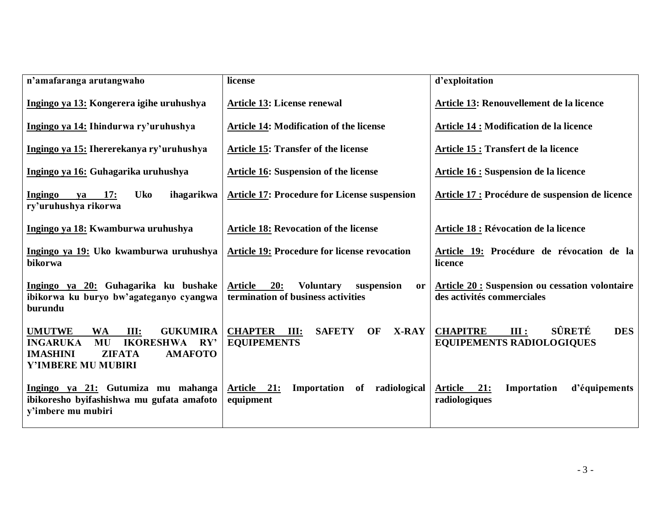| n'amafaranga arutangwaho                                                                                                                                                              | license                                                                                             | d'exploitation                                                                      |
|---------------------------------------------------------------------------------------------------------------------------------------------------------------------------------------|-----------------------------------------------------------------------------------------------------|-------------------------------------------------------------------------------------|
| Ingingo ya 13: Kongerera igihe uruhushya                                                                                                                                              | Article 13: License renewal                                                                         | Article 13: Renouvellement de la licence                                            |
| Ingingo ya 14: Ihindurwa ry'uruhushya                                                                                                                                                 | <b>Article 14: Modification of the license</b>                                                      | <b>Article 14 : Modification de la licence</b>                                      |
| Ingingo ya 15: Ihererekanya ry'uruhushya                                                                                                                                              | <b>Article 15: Transfer of the license</b>                                                          | Article 15 : Transfert de la licence                                                |
| Ingingo ya 16: Guhagarika uruhushya                                                                                                                                                   | <b>Article 16: Suspension of the license</b>                                                        | Article 16 : Suspension de la licence                                               |
| <b>Uko</b><br>Ingingo<br>17:<br>ihagarikwa<br>va<br>ry'uruhushya rikorwa                                                                                                              | <b>Article 17: Procedure for License suspension</b>                                                 | Article 17 : Procédure de suspension de licence                                     |
| Ingingo ya 18: Kwamburwa uruhushya                                                                                                                                                    | <b>Article 18: Revocation of the license</b>                                                        | Article 18 : Révocation de la licence                                               |
| Ingingo ya 19: Uko kwamburwa uruhushya<br>bikorwa                                                                                                                                     | Article 19: Procedure for license revocation                                                        | Article 19: Procédure de révocation de la<br>licence                                |
| Ingingo ya 20: Guhagarika ku bushake<br>ibikorwa ku buryo bw'agateganyo cyangwa<br>burundu                                                                                            | 20:<br><b>Article</b><br><b>Voluntary</b><br>suspension<br>or<br>termination of business activities | <b>Article 20: Suspension ou cessation volontaire</b><br>des activités commerciales |
| <b>UMUTWE</b><br><b>WA</b><br>III:<br><b>GUKUMIRA</b><br><b>IKORESHWA</b><br><b>INGARUKA</b><br>MU<br>RY'<br><b>IMASHINI</b><br><b>ZIFATA</b><br><b>AMAFOTO</b><br>Y'IMBERE MU MUBIRI | <b>CHAPTER</b><br><b>SAFETY</b><br>III:<br>OF<br><b>X-RAY</b><br><b>EQUIPEMENTS</b>                 | SÛRETÉ<br><b>DES</b><br><b>CHAPITRE</b><br>III:<br><b>EQUIPEMENTS RADIOLOGIQUES</b> |
| Ingingo ya 21: Gutumiza mu mahanga<br>ibikoresho byifashishwa mu gufata amafoto<br>y'imbere mu mubiri                                                                                 | Article 21:<br>Importation of<br>radiological<br>equipment                                          | <b>Article</b><br>21:<br>d'équipements<br>Importation<br>radiologiques              |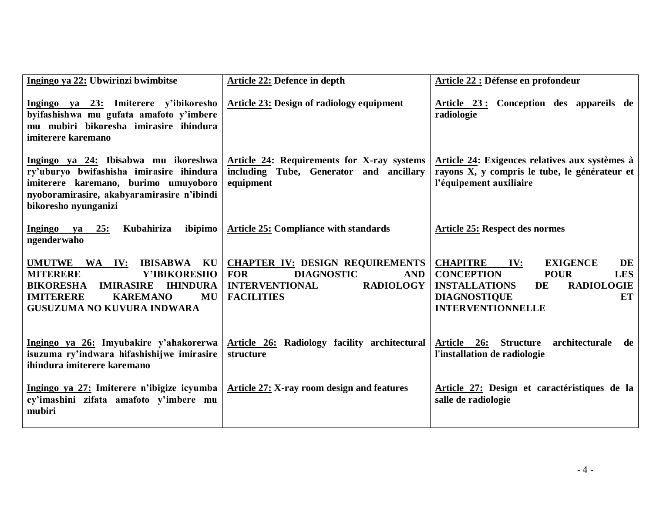| Ingingo ya 22: Ubwirinzi bwimbitse                                                                                                                                                                                  | <b>Article 22: Defence in depth</b>                                                                                                                       | Article 22 : Défense en profondeur                                                                                                                                                                                   |
|---------------------------------------------------------------------------------------------------------------------------------------------------------------------------------------------------------------------|-----------------------------------------------------------------------------------------------------------------------------------------------------------|----------------------------------------------------------------------------------------------------------------------------------------------------------------------------------------------------------------------|
| Ingingo ya 23: Imiterere y'ibikoresho<br>byifashishwa mu gufata amafoto y'imbere<br>mu mubiri bikoresha imirasire ihindura<br>imiterere karemano                                                                    | <b>Article 23: Design of radiology equipment</b>                                                                                                          | Article 23: Conception des appareils de<br>radiologie                                                                                                                                                                |
| Ingingo ya 24: Ibisabwa mu ikoreshwa<br>ry'uburyo bwifashisha imirasire ihindura<br>imiterere karemano, burimo umuyoboro<br>nyoboramirasire, akabyaramirasire n'ibindi<br>bikoresho nyunganizi                      | Article 24: Requirements for X-ray systems<br>including Tube, Generator and ancillary<br>equipment                                                        | Article 24: Exigences relatives aux systèmes à<br>rayons X, y compris le tube, le générateur et<br>l'équipement auxiliaire                                                                                           |
| <b>Ingingo</b><br>25:<br>Kubahiriza<br>ibipimo<br>ya<br>ngenderwaho                                                                                                                                                 | <b>Article 25: Compliance with standards</b>                                                                                                              | <b>Article 25: Respect des normes</b>                                                                                                                                                                                |
| UMUTWE WA IV:<br><b>IBISABWA KU</b><br>Y'IBIKORESHO<br><b>MITERERE</b><br><b>BIKORESHA</b><br><b>IMIRASIRE</b><br><b>IHINDURA</b><br><b>IMITERERE</b><br><b>KAREMANO</b><br>MU<br><b>GUSUZUMA NO KUVURA INDWARA</b> | <b>CHAPTER IV: DESIGN REQUIREMENTS</b><br><b>DIAGNOSTIC</b><br><b>FOR</b><br><b>AND</b><br><b>RADIOLOGY</b><br><b>INTERVENTIONAL</b><br><b>FACILITIES</b> | <b>CHAPITRE</b><br><b>EXIGENCE</b><br>DE<br>IV:<br><b>CONCEPTION</b><br><b>POUR</b><br><b>LES</b><br><b>RADIOLOGIE</b><br><b>INSTALLATIONS</b><br>DE<br><b>ET</b><br><b>DIAGNOSTIQUE</b><br><b>INTERVENTIONNELLE</b> |
| Ingingo ya 26: Imyubakire y'ahakorerwa<br>isuzuma ry'indwara hifashishijwe imirasire<br>ihindura imiterere karemano                                                                                                 | Article 26: Radiology facility architectural<br>structure                                                                                                 | Article 26: Structure architecturale<br>de<br>l'installation de radiologie                                                                                                                                           |
| Ingingo ya 27: Imiterere n'ibigize icyumba<br>cy'imashini zifata amafoto y'imbere mu<br>mubiri                                                                                                                      | Article 27: X-ray room design and features                                                                                                                | Article 27: Design et caractéristiques de la<br>salle de radiologie                                                                                                                                                  |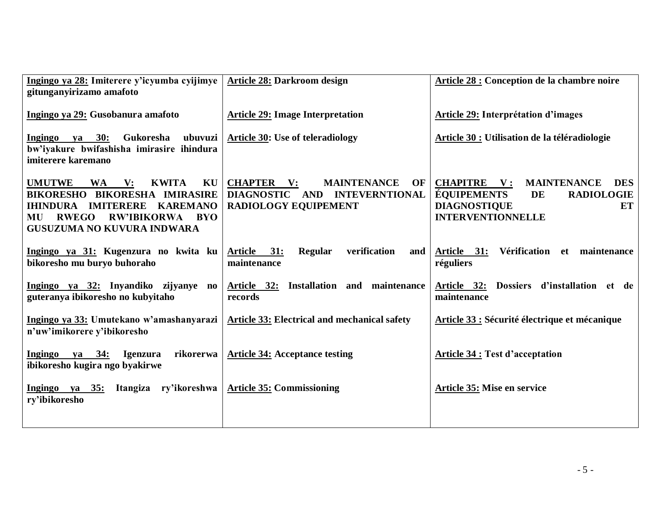| Ingingo ya 28: Imiterere y'icyumba cyijimye<br>gitunganyirizamo amafoto                                                                                                                                                                                      | <b>Article 28: Darkroom design</b>                                                                                           | <b>Article 28 : Conception de la chambre noire</b>                                                                                                                              |
|--------------------------------------------------------------------------------------------------------------------------------------------------------------------------------------------------------------------------------------------------------------|------------------------------------------------------------------------------------------------------------------------------|---------------------------------------------------------------------------------------------------------------------------------------------------------------------------------|
| Ingingo ya 29: Gusobanura amafoto                                                                                                                                                                                                                            | <b>Article 29: Image Interpretation</b>                                                                                      | Article 29: Interprétation d'images                                                                                                                                             |
| ya 30:<br>Gukoresha<br>ubuvuzi<br><b>Ingingo</b><br>bw'iyakure bwifashisha imirasire ihindura<br>imiterere karemano                                                                                                                                          | <b>Article 30: Use of teleradiology</b>                                                                                      | Article 30 : Utilisation de la téléradiologie                                                                                                                                   |
| <b>UMUTWE</b><br>$\mathbf{V}$ :<br><b>KWITA</b><br>KU<br><b>WA</b><br>BIKORESHO BIKORESHA IMIRASIRE<br><b>KAREMANO</b><br><b>IHINDURA</b><br><b>IMITERERE</b><br><b>RWEGO</b><br><b>RW'IBIKORWA</b><br><b>BYO</b><br>MU<br><b>GUSUZUMA NO KUVURA INDWARA</b> | <b>CHAPTER</b><br><b>MAINTENANCE</b><br>$\mathbf{V}$ :<br>OF<br>DIAGNOSTIC AND INTEVERNTIONAL<br><b>RADIOLOGY EQUIPEMENT</b> | <b>CHAPITRE</b><br>$\mathbf{V}$ :<br><b>MAINTENANCE</b><br><b>DES</b><br><b>ÉQUIPEMENTS</b><br>DE<br><b>RADIOLOGIE</b><br><b>DIAGNOSTIQUE</b><br>ET<br><b>INTERVENTIONNELLE</b> |
| Ingingo ya 31: Kugenzura no kwita ku<br>bikoresho mu buryo buhoraho                                                                                                                                                                                          | verification<br>Article 31:<br>Regular<br>and<br>maintenance                                                                 | Vérification et<br>Article 31:<br>maintenance<br>réguliers                                                                                                                      |
| Ingingo ya 32: Inyandiko zijyanye no<br>guteranya ibikoresho no kubyitaho                                                                                                                                                                                    | Article 32: Installation and maintenance<br>records                                                                          | Dossiers d'installation et de<br><u>Article 32:</u><br>maintenance                                                                                                              |
| Ingingo ya 33: Umutekano w'amashanyarazi<br>n'uw'imikorere y'ibikoresho                                                                                                                                                                                      | <b>Article 33: Electrical and mechanical safety</b>                                                                          | Article 33 : Sécurité électrique et mécanique                                                                                                                                   |
| <b>Ingingo</b><br>va 34:<br>rikorerwa<br>Igenzura<br>ibikoresho kugira ngo byakirwe                                                                                                                                                                          | <b>Article 34: Acceptance testing</b>                                                                                        | <b>Article 34 : Test d'acceptation</b>                                                                                                                                          |
| Itangiza<br>ry'ikoreshwa<br>Ingingo ya 35:<br>ry'ibikoresho                                                                                                                                                                                                  | <b>Article 35: Commissioning</b>                                                                                             | Article 35: Mise en service                                                                                                                                                     |
|                                                                                                                                                                                                                                                              |                                                                                                                              |                                                                                                                                                                                 |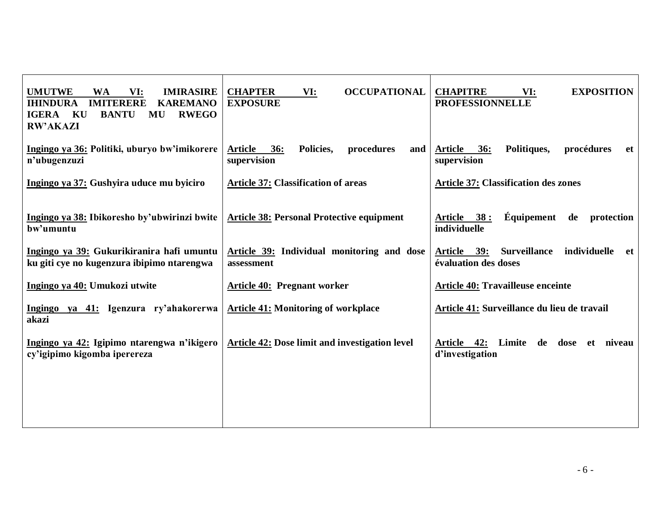| <b>UMUTWE</b><br>VI:<br><b>IMIRASIRE</b><br><b>WA</b><br><b>IMITERERE</b><br><b>KAREMANO</b><br><b>IHINDURA</b><br><b>IGERA</b><br>KU<br><b>BANTU</b><br><b>RWEGO</b><br>MU<br><b>RW'AKAZI</b> | <b>CHAPTER</b><br><b>OCCUPATIONAL</b><br>VI:<br><b>EXPOSURE</b>        | <b>CHAPITRE</b><br><b>EXPOSITION</b><br>VI:<br><b>PROFESSIONNELLE</b>             |
|------------------------------------------------------------------------------------------------------------------------------------------------------------------------------------------------|------------------------------------------------------------------------|-----------------------------------------------------------------------------------|
| Ingingo ya 36: Politiki, uburyo bw'imikorere<br>n'ubugenzuzi                                                                                                                                   | <b>Article</b><br>36:<br>Policies,<br>procedures<br>and<br>supervision | <b>Article</b><br>Politiques,<br>procédures<br>36:<br>et<br>supervision           |
| Ingingo ya 37: Gushyira uduce mu byiciro                                                                                                                                                       | <b>Article 37: Classification of areas</b>                             | <b>Article 37: Classification des zones</b>                                       |
| Ingingo ya 38: Ibikoresho by'ubwirinzi bwite<br>bw'umuntu                                                                                                                                      | <b>Article 38: Personal Protective equipment</b>                       | Équipement<br>38:<br><b>Article</b><br>de<br>protection<br>individuelle           |
| Ingingo ya 39: Gukurikiranira hafi umuntu<br>ku giti cye no kugenzura ibipimo ntarengwa                                                                                                        | Article 39: Individual monitoring and dose<br>assessment               | Article 39:<br><b>Surveillance</b><br>individuelle<br>-et<br>évaluation des doses |
| Ingingo ya 40: Umukozi utwite                                                                                                                                                                  | <b>Article 40: Pregnant worker</b>                                     | <b>Article 40: Travailleuse enceinte</b>                                          |
| Ingingo ya 41: Igenzura ry'ahakorerwa<br>akazi                                                                                                                                                 | <b>Article 41: Monitoring of workplace</b>                             | Article 41: Surveillance du lieu de travail                                       |
| Ingingo ya 42: Igipimo ntarengwa n'ikigero<br>cy'igipimo kigomba iperereza                                                                                                                     | Article 42: Dose limit and investigation level                         | Article 42: Limite<br>de dose et<br>niveau<br>d'investigation                     |
|                                                                                                                                                                                                |                                                                        |                                                                                   |
|                                                                                                                                                                                                |                                                                        |                                                                                   |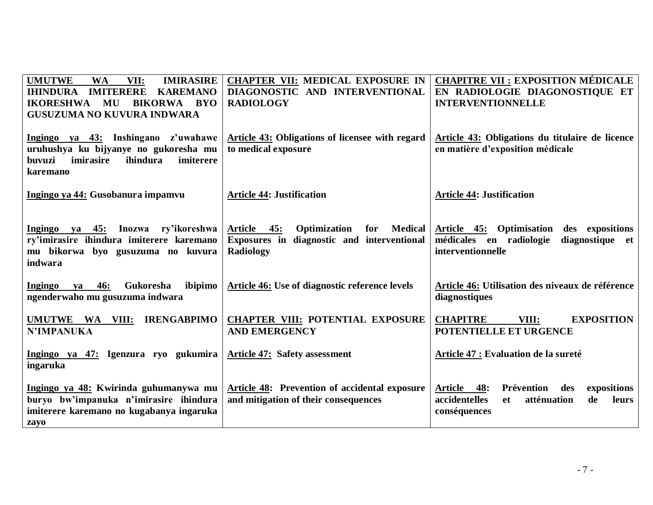| <b>UMUTWE</b><br><b>WA</b><br><b>IMIRASIRE</b><br>VII:<br><b>IMITERERE</b><br><b>KAREMANO</b><br><b>IHINDURA</b><br><b>BIKORWA</b><br><b>IKORESHWA</b><br>MU<br><b>BYO</b><br><b>GUSUZUMA NO KUVURA INDWARA</b> | <b>CHAPTER VII: MEDICAL EXPOSURE IN</b><br>DIAGONOSTIC AND INTERVENTIONAL<br><b>RADIOLOGY</b>                   | <b>CHAPITRE VII : EXPOSITION MÉDICALE</b><br>EN RADIOLOGIE DIAGONOSTIQUE ET<br><b>INTERVENTIONNELLE</b>                        |
|-----------------------------------------------------------------------------------------------------------------------------------------------------------------------------------------------------------------|-----------------------------------------------------------------------------------------------------------------|--------------------------------------------------------------------------------------------------------------------------------|
| Ingingo ya 43: Inshingano z'uwahawe<br>uruhushya ku bijyanye no gukoresha mu<br>buvuzi<br>imiterere<br>imirasire<br>ihindura<br>karemano                                                                        | <b>Article 43: Obligations of licensee with regard</b><br>to medical exposure                                   | Article 43: Obligations du titulaire de licence<br>en matière d'exposition médicale                                            |
| Ingingo ya 44: Gusobanura impamvu                                                                                                                                                                               | <b>Article 44: Justification</b>                                                                                | <b>Article 44: Justification</b>                                                                                               |
| Ingingo ya 45: Inozwa ry'ikoreshwa<br>ry'imirasire ihindura imiterere karemano<br>mu bikorwa byo gusuzuma no kuvura<br>indwara                                                                                  | Article 45:<br>Optimization<br><b>Medical</b><br>for<br>Exposures in diagnostic and interventional<br>Radiology | Optimisation<br>Article 45:<br>des expositions<br>médicales en radiologie<br>diagnostique et<br>interventionnelle              |
| Ingingo<br><b>46:</b><br>Gukoresha<br>ibipimo<br>va<br>ngenderwaho mu gusuzuma indwara                                                                                                                          | Article 46: Use of diagnostic reference levels                                                                  | Article 46: Utilisation des niveaux de référence<br>diagnostiques                                                              |
| <b>IRENGABPIMO</b><br>UMUTWE WA VIII:<br><b>N'IMPANUKA</b>                                                                                                                                                      | <b>CHAPTER VIII: POTENTIAL EXPOSURE</b><br><b>AND EMERGENCY</b>                                                 | <b>CHAPITRE</b><br>VIII:<br><b>EXPOSITION</b><br>POTENTIELLE ET URGENCE                                                        |
| Ingingo ya 47: Igenzura ryo gukumira<br>ingaruka                                                                                                                                                                | <b>Article 47: Safety assessment</b>                                                                            | Article 47 : Evaluation de la sureté                                                                                           |
| Ingingo ya 48: Kwirinda guhumanywa mu<br>buryo bw'impanuka n'imirasire ihindura<br>imiterere karemano no kugabanya ingaruka<br>zavo                                                                             | Article 48: Prevention of accidental exposure<br>and mitigation of their consequences                           | Prévention<br><b>Article</b><br>48:<br>expositions<br>des<br>accidentelles<br>atténuation<br>leurs<br>de<br>et<br>conséquences |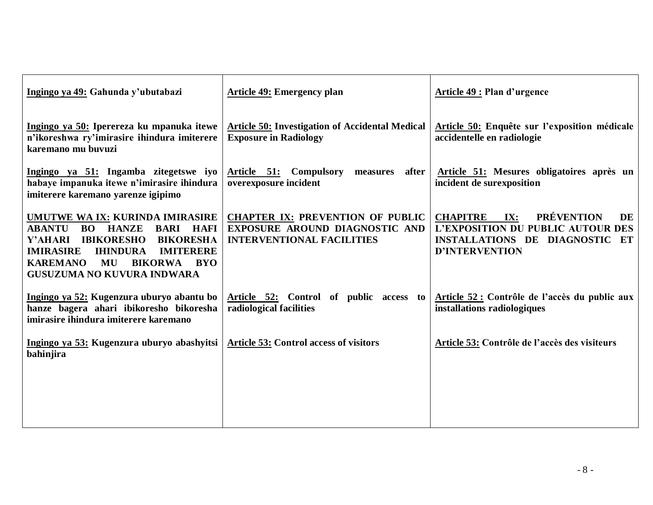| Ingingo ya 49: Gahunda y'ubutabazi                                                                                                                                                                                                                                                            | <b>Article 49: Emergency plan</b>                                                                             | Article 49 : Plan d'urgence                                                                                                                       |
|-----------------------------------------------------------------------------------------------------------------------------------------------------------------------------------------------------------------------------------------------------------------------------------------------|---------------------------------------------------------------------------------------------------------------|---------------------------------------------------------------------------------------------------------------------------------------------------|
| Ingingo ya 50: Iperereza ku mpanuka itewe<br>n'ikoreshwa ry'imirasire ihindura imiterere<br>karemano mu buvuzi                                                                                                                                                                                | <b>Article 50: Investigation of Accidental Medical</b><br><b>Exposure in Radiology</b>                        | Article 50: Enquête sur l'exposition médicale<br>accidentelle en radiologie                                                                       |
| Ingingo ya 51: Ingamba zitegetswe iyo<br>habaye impanuka itewe n'imirasire ihindura<br>imiterere karemano yarenze igipimo                                                                                                                                                                     | Article 51: Compulsory measures after<br>overexposure incident                                                | Article 51: Mesures obligatoires après un<br>incident de surexposition                                                                            |
| UMUTWE WA IX: KURINDA IMIRASIRE<br><b>ABANTU</b><br><b>BO</b> HANZE<br><b>BARI</b><br>HAFI<br><b>BIKORESHA</b><br>Y'AHARI IBIKORESHO<br><b>IMIRASIRE</b><br><b>IHINDURA</b><br><b>IMITERERE</b><br><b>KAREMANO</b><br><b>MU</b><br><b>BIKORWA</b><br><b>BYO</b><br>GUSUZUMA NO KUVURA INDWARA | <b>CHAPTER IX: PREVENTION OF PUBLIC</b><br>EXPOSURE AROUND DIAGNOSTIC AND<br><b>INTERVENTIONAL FACILITIES</b> | <b>PRÉVENTION</b><br><b>CHAPITRE</b><br>IX:<br>DE<br>L'EXPOSITION DU PUBLIC AUTOUR DES<br>INSTALLATIONS DE DIAGNOSTIC ET<br><b>D'INTERVENTION</b> |
| Ingingo ya 52: Kugenzura uburyo abantu bo<br>hanze bagera ahari ibikoresho bikoresha<br>imirasire ihindura imiterere karemano                                                                                                                                                                 | Article 52: Control of public access to<br>radiological facilities                                            | Article 52 : Contrôle de l'accès du public aux<br>installations radiologiques                                                                     |
| Ingingo ya 53: Kugenzura uburyo abashyitsi<br>bahinjira                                                                                                                                                                                                                                       | <b>Article 53: Control access of visitors</b>                                                                 | Article 53: Contrôle de l'accès des visiteurs                                                                                                     |
|                                                                                                                                                                                                                                                                                               |                                                                                                               |                                                                                                                                                   |
|                                                                                                                                                                                                                                                                                               |                                                                                                               |                                                                                                                                                   |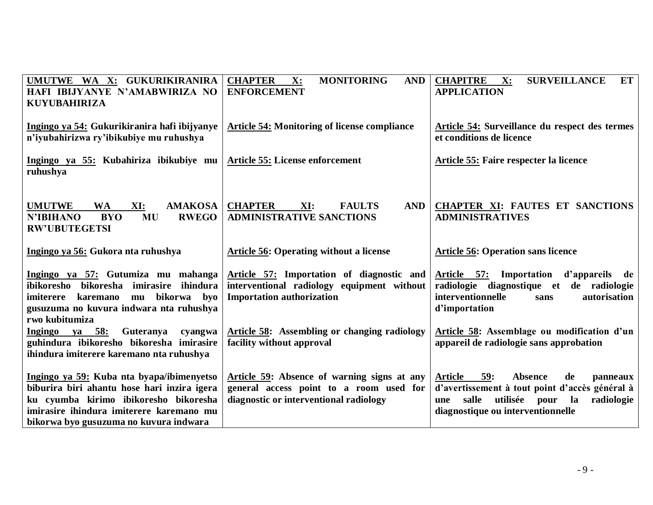| UMUTWE WA X: GUKURIKIRANIRA<br>HAFI IBIJYANYE N'AMABWIRIZA NO<br><b>KUYUBAHIRIZA</b>                                                                                                                                    | <b>CHAPTER</b><br><b>MONITORING</b><br>X:<br><b>AND</b><br><b>ENFORCEMENT</b>                                                    | <b>CHAPITRE</b><br><b>SURVEILLANCE</b><br>$\mathbf{X}$ :<br>ET  <br><b>APPLICATION</b>                                                                                                                       |
|-------------------------------------------------------------------------------------------------------------------------------------------------------------------------------------------------------------------------|----------------------------------------------------------------------------------------------------------------------------------|--------------------------------------------------------------------------------------------------------------------------------------------------------------------------------------------------------------|
| Ingingo ya 54: Gukurikiranira hafi ibijyanye<br>n'iyubahirizwa ry'ibikubiye mu ruhushya                                                                                                                                 | <b>Article 54: Monitoring of license compliance</b>                                                                              | Article 54: Surveillance du respect des termes<br>et conditions de licence                                                                                                                                   |
| Ingingo ya 55: Kubahiriza ibikubiye mu<br>ruhushya                                                                                                                                                                      | <b>Article 55: License enforcement</b>                                                                                           | Article 55: Faire respecter la licence                                                                                                                                                                       |
| <b>UMUTWE</b><br><b>WA</b><br>XI:<br><b>AMAKOSA</b><br><b>N'IBIHANO</b><br><b>BYO</b><br><b>RWEGO</b><br>MU<br><b>RW'UBUTEGETSI</b>                                                                                     | <b>CHAPTER</b><br>XI:<br><b>FAULTS</b><br><b>AND</b><br><b>ADMINISTRATIVE SANCTIONS</b>                                          | <b>CHAPTER XI: FAUTES ET SANCTIONS</b><br><b>ADMINISTRATIVES</b>                                                                                                                                             |
| Ingingo ya 56: Gukora nta ruhushya                                                                                                                                                                                      | <b>Article 56: Operating without a license</b>                                                                                   | Article 56: Operation sans licence                                                                                                                                                                           |
| Ingingo ya 57: Gutumiza mu mahanga<br>ibikoresho bikoresha imirasire<br>ihindura<br>bikorwa<br>byo<br>imiterere<br>karemano<br>mu<br>gusuzuma no kuvura indwara nta ruhushya<br>rwo kubitumiza                          | Article 57: Importation of diagnostic and<br>interventional radiology equipment without<br><b>Importation authorization</b>      | Article 57: Importation<br>d'appareils de<br>radiologie diagnostique et de radiologie<br>interventionnelle<br>autorisation<br>sans<br>d'importation                                                          |
| 58:<br>Ingingo ya<br>Guteranya<br>cyangwa<br>guhindura ibikoresho bikoresha imirasire<br>ihindura imiterere karemano nta ruhushya                                                                                       | <b>Article 58:</b> Assembling or changing radiology<br>facility without approval                                                 | Article 58: Assemblage ou modification d'un<br>appareil de radiologie sans approbation                                                                                                                       |
| Ingingo ya 59: Kuba nta byapa/ibimenyetso<br>biburira biri ahantu hose hari inzira igera<br>ku cyumba kirimo ibikoresho bikoresha<br>imirasire ihindura imiterere karemano mu<br>bikorwa byo gusuzuma no kuvura indwara | Article 59: Absence of warning signs at any<br>general access point to a room used for<br>diagnostic or interventional radiology | 59:<br><b>Absence</b><br><b>Article</b><br>de<br>panneaux<br>d'avertissement à tout point d'accès général à<br>utilisée pour<br>radiologie<br>salle<br>la<br><b>une</b><br>diagnostique ou interventionnelle |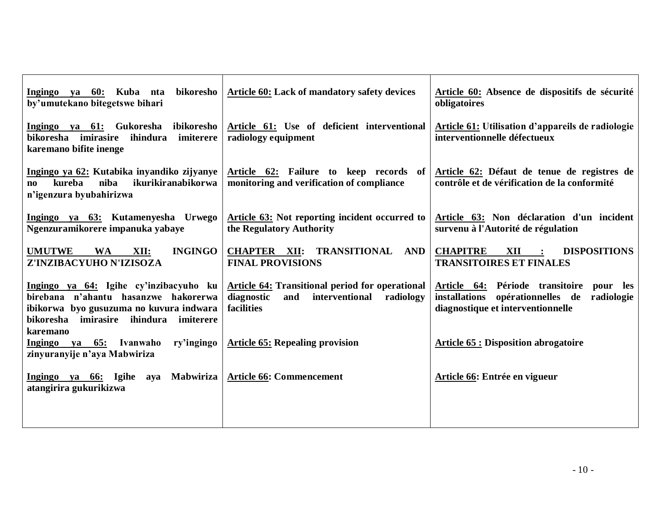| Article 60: Lack of mandatory safety devices                                                                             | Article 60: Absence de dispositifs de sécurité<br>obligatoires                                                                                                                                                                                                                                                                        |
|--------------------------------------------------------------------------------------------------------------------------|---------------------------------------------------------------------------------------------------------------------------------------------------------------------------------------------------------------------------------------------------------------------------------------------------------------------------------------|
| Article 61: Use of deficient interventional<br>radiology equipment                                                       | Article 61: Utilisation d'appareils de radiologie<br>interventionnelle défectueux                                                                                                                                                                                                                                                     |
| Article 62: Failure to keep records of<br>monitoring and verification of compliance                                      | Article 62: Défaut de tenue de registres de<br>contrôle et de vérification de la conformité                                                                                                                                                                                                                                           |
| Article 63: Not reporting incident occurred to<br>the Regulatory Authority                                               | Article 63: Non déclaration d'un incident<br>survenu à l'Autorité de régulation                                                                                                                                                                                                                                                       |
| CHAPTER XII: TRANSITIONAL AND<br><b>FINAL PROVISIONS</b>                                                                 | <b>DISPOSITIONS</b><br><b>CHAPITRE</b><br>XII<br><b>TRANSITOIRES ET FINALES</b>                                                                                                                                                                                                                                                       |
| <b>Article 64: Transitional period for operational</b><br>diagnostic<br>interventional<br>and<br>radiology<br>facilities | Article 64: Période transitoire<br>pour<br>les<br>installations opérationnelles de<br>radiologie<br>diagnostique et interventionnelle                                                                                                                                                                                                 |
| <b>Article 65: Repealing provision</b>                                                                                   | <b>Article 65 : Disposition abrogatoire</b>                                                                                                                                                                                                                                                                                           |
| <b>Article 66: Commencement</b>                                                                                          | Article 66: Entrée en vigueur                                                                                                                                                                                                                                                                                                         |
|                                                                                                                          | bikoresho<br>ibikoresho<br>imiterere<br>Ingingo ya 62: Kutabika inyandiko zijyanye<br>ikurikiranabikorwa<br>Ingingo ya 63: Kutamenyesha Urwego<br><b>INGINGO</b><br>Ingingo ya 64: Igihe cy'inzibacyuho ku<br>birebana n'ahantu hasanzwe hakorerwa<br>ibikorwa byo gusuzuma no kuvura indwara<br>imiterere<br>ry'ingingo<br>Mabwiriza |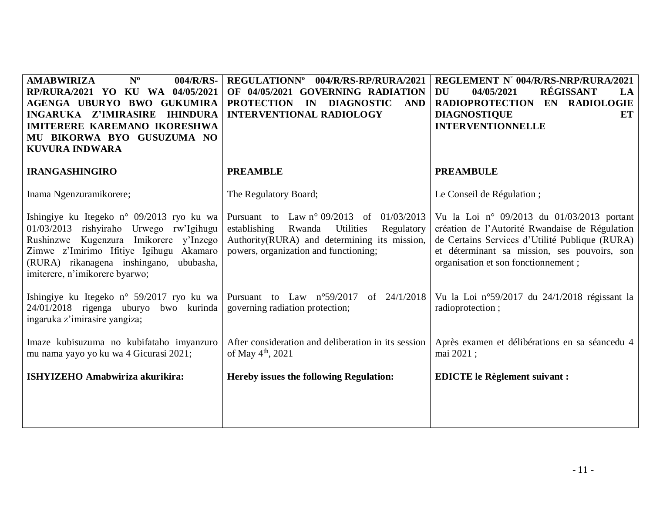| $N^{\rm o}$<br>004/R/RS-<br><b>AMABWIRIZA</b><br>RP/RURA/2021 YO KU WA 04/05/2021<br>AGENGA UBURYO BWO GUKUMIRA<br>INGARUKA Z'IMIRASIRE<br><b>IHINDURA</b><br><b>IMITERERE KAREMANO IKORESHWA</b><br>MU BIKORWA BYO GUSUZUMA NO<br><b>KUVURA INDWARA</b>  | REGULATIONNº 004/R/RS-RP/RURA/2021<br>OF 04/05/2021 GOVERNING RADIATION<br>PROTECTION IN DIAGNOSTIC<br><b>AND</b><br><b>INTERVENTIONAL RADIOLOGY</b>                                            | REGLEMENT N° 004/R/RS-NRP/RURA/2021<br>RÉGISSANT<br>04/05/2021<br>DU<br>LA<br>RADIOPROTECTION EN RADIOLOGIE<br>ET<br><b>DIAGNOSTIQUE</b><br><b>INTERVENTIONNELLE</b>                                                                  |
|-----------------------------------------------------------------------------------------------------------------------------------------------------------------------------------------------------------------------------------------------------------|-------------------------------------------------------------------------------------------------------------------------------------------------------------------------------------------------|---------------------------------------------------------------------------------------------------------------------------------------------------------------------------------------------------------------------------------------|
| <b>IRANGASHINGIRO</b>                                                                                                                                                                                                                                     | <b>PREAMBLE</b>                                                                                                                                                                                 | <b>PREAMBULE</b>                                                                                                                                                                                                                      |
| Inama Ngenzuramikorere;                                                                                                                                                                                                                                   | The Regulatory Board;                                                                                                                                                                           | Le Conseil de Régulation;                                                                                                                                                                                                             |
| Ishingiye ku Itegeko n° 09/2013 ryo ku wa<br>01/03/2013 rishyiraho Urwego rw'lgihugu<br>Rushinzwe Kugenzura Imikorere y'Inzego<br>Zimwe z'Imirimo Ifitiye Igihugu Akamaro<br>(RURA) rikanagena inshingano,<br>ububasha,<br>imiterere, n'imikorere byarwo; | Pursuant to Law $n^{\circ}$ 09/2013 of 01/03/2013<br>establishing<br>Utilities<br>Regulatory<br>Rwanda<br>Authority(RURA) and determining its mission,<br>powers, organization and functioning; | Vu la Loi nº 09/2013 du 01/03/2013 portant<br>création de l'Autorité Rwandaise de Régulation<br>de Certains Services d'Utilité Publique (RURA)<br>et déterminant sa mission, ses pouvoirs, son<br>organisation et son fonctionnement; |
| Ishingiye ku Itegeko n° 59/2017 ryo ku wa<br>24/01/2018 rigenga uburyo bwo kurinda<br>ingaruka z'imirasire yangiza;                                                                                                                                       | Pursuant to Law $n^{\circ}59/2017$<br>of 24/1/2018<br>governing radiation protection;                                                                                                           | Vu la Loi nº59/2017 du 24/1/2018 régissant la<br>radioprotection;                                                                                                                                                                     |
| Imaze kubisuzuma no kubifataho imyanzuro<br>mu nama yayo yo ku wa 4 Gicurasi 2021;                                                                                                                                                                        | After consideration and deliberation in its session<br>of May $4^{th}$ , 2021                                                                                                                   | Après examen et délibérations en sa séancedu 4<br>mai 2021;                                                                                                                                                                           |
| ISHYIZEHO Amabwiriza akurikira:                                                                                                                                                                                                                           | Hereby issues the following Regulation:                                                                                                                                                         | <b>EDICTE</b> le Règlement suivant :                                                                                                                                                                                                  |
|                                                                                                                                                                                                                                                           |                                                                                                                                                                                                 |                                                                                                                                                                                                                                       |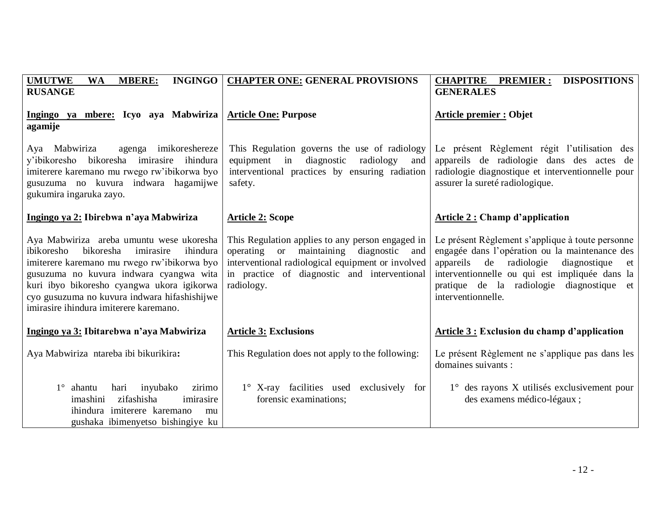| <b>INGINGO</b><br><b>UMUTWE</b><br><b>MBERE:</b><br><b>WA</b><br><b>RUSANGE</b>                                                                                                                                                                                                                                                | <b>CHAPTER ONE: GENERAL PROVISIONS</b>                                                                                                                                                                            | <b>CHAPITRE PREMIER:</b><br><b>DISPOSITIONS</b><br><b>GENERALES</b>                                                                                                                                                                                                      |
|--------------------------------------------------------------------------------------------------------------------------------------------------------------------------------------------------------------------------------------------------------------------------------------------------------------------------------|-------------------------------------------------------------------------------------------------------------------------------------------------------------------------------------------------------------------|--------------------------------------------------------------------------------------------------------------------------------------------------------------------------------------------------------------------------------------------------------------------------|
| Ingingo ya mbere: Icyo aya Mabwiriza<br>agamije                                                                                                                                                                                                                                                                                | <b>Article One: Purpose</b>                                                                                                                                                                                       | <b>Article premier : Objet</b>                                                                                                                                                                                                                                           |
| agenga imikoreshereze<br>Aya Mabwiriza<br>y'ibikoresho bikoresha imirasire ihindura<br>imiterere karemano mu rwego rw'ibikorwa byo<br>gusuzuma no kuvura indwara hagamijwe<br>gukumira ingaruka zayo.                                                                                                                          | This Regulation governs the use of radiology<br>equipment in diagnostic radiology<br>and<br>interventional practices by ensuring radiation<br>safety.                                                             | Le présent Règlement régit l'utilisation des<br>appareils de radiologie dans des actes de<br>radiologie diagnostique et interventionnelle pour<br>assurer la sureté radiologique.                                                                                        |
| Ingingo ya 2: Ibirebwa n'aya Mabwiriza                                                                                                                                                                                                                                                                                         | <b>Article 2: Scope</b>                                                                                                                                                                                           | <b>Article 2: Champ d'application</b>                                                                                                                                                                                                                                    |
| Aya Mabwiriza areba umuntu wese ukoresha<br>ibikoresho<br>bikoresha<br>imirasire<br>ihindura<br>imiterere karemano mu rwego rw'ibikorwa byo<br>gusuzuma no kuvura indwara cyangwa wita<br>kuri ibyo bikoresho cyangwa ukora igikorwa<br>cyo gusuzuma no kuvura indwara hifashishijwe<br>imirasire ihindura imiterere karemano. | This Regulation applies to any person engaged in<br>operating or maintaining diagnostic<br>and<br>interventional radiological equipment or involved<br>in practice of diagnostic and interventional<br>radiology. | Le présent Règlement s'applique à toute personne<br>engagée dans l'opération ou la maintenance des<br>appareils de radiologie<br>diagnostique<br>et<br>interventionnelle ou qui est impliquée dans la<br>pratique de la radiologie diagnostique et<br>interventionnelle. |
| Ingingo ya 3: Ibitarebwa n'aya Mabwiriza                                                                                                                                                                                                                                                                                       | <b>Article 3: Exclusions</b>                                                                                                                                                                                      | <b>Article 3 : Exclusion du champ d'application</b>                                                                                                                                                                                                                      |
| Aya Mabwiriza ntareba ibi bikurikira:                                                                                                                                                                                                                                                                                          | This Regulation does not apply to the following:                                                                                                                                                                  | Le présent Règlement ne s'applique pas dans les<br>domaines suivants :                                                                                                                                                                                                   |
| $1^\circ$ ahantu<br>hari<br>inyubako<br>zirimo<br>zifashisha<br>imashini<br>imirasire<br>ihindura imiterere karemano<br>mu<br>gushaka ibimenyetso bishingiye ku                                                                                                                                                                | 1° X-ray facilities used exclusively for<br>forensic examinations;                                                                                                                                                | $1^\circ$ des rayons X utilisés exclusivement pour<br>des examens médico-légaux ;                                                                                                                                                                                        |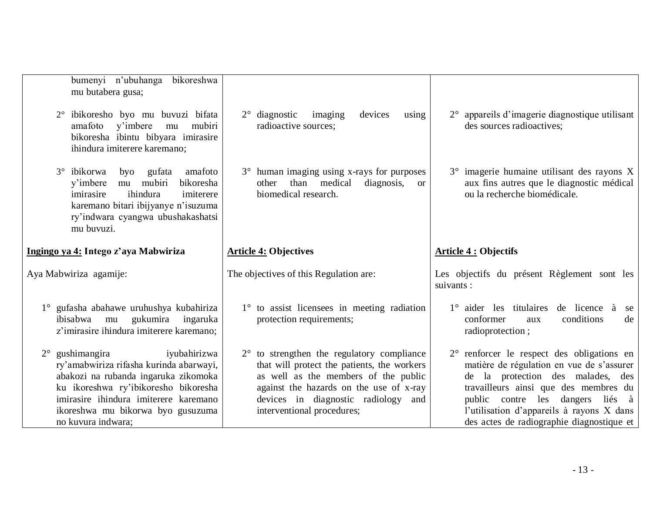|             | bumenyi n'ubuhanga<br>bikoreshwa<br>mu butabera gusa;                                                                                                                                                                      |                                                                                                                        |                                                                                                                         |
|-------------|----------------------------------------------------------------------------------------------------------------------------------------------------------------------------------------------------------------------------|------------------------------------------------------------------------------------------------------------------------|-------------------------------------------------------------------------------------------------------------------------|
|             | ibikoresho byo mu buvuzi bifata<br>$2^{\circ}$<br>amafoto<br>y'imbere<br>mubiri<br>mu<br>bikoresha ibintu bibyara imirasire<br>ihindura imiterere karemano;                                                                | $2^{\circ}$ diagnostic<br>imaging<br>devices<br>using<br>radioactive sources;                                          | 2° appareils d'imagerie diagnostique utilisant<br>des sources radioactives;                                             |
|             | ibikorwa<br>gufata<br>amafoto<br>$3^\circ$<br>byo<br>mubiri<br>y'imbere<br>bikoresha<br>mu<br>ihindura<br>imirasire<br>imiterere<br>karemano bitari ibijyanye n'isuzuma<br>ry'indwara cyangwa ubushakashatsi<br>mu buvuzi. | 3° human imaging using x-rays for purposes<br>than medical<br>diagnosis,<br>other<br><b>or</b><br>biomedical research. | 3° imagerie humaine utilisant des rayons X<br>aux fins autres que le diagnostic médical<br>ou la recherche biomédicale. |
|             | Ingingo ya 4: Intego z'aya Mabwiriza                                                                                                                                                                                       | <b>Article 4: Objectives</b>                                                                                           | <b>Article 4 : Objectifs</b>                                                                                            |
|             |                                                                                                                                                                                                                            |                                                                                                                        |                                                                                                                         |
|             | Aya Mabwiriza agamije:                                                                                                                                                                                                     | The objectives of this Regulation are:                                                                                 | Les objectifs du présent Règlement sont les<br>suivants:                                                                |
| $1^{\circ}$ | gufasha abahawe uruhushya kubahiriza<br>gukumira ingaruka<br>ibisabwa mu<br>z'imirasire ihindura imiterere karemano;                                                                                                       | 1° to assist licensees in meeting radiation<br>protection requirements;                                                | $1^\circ$ aider les titulaires<br>de licence à<br>se<br>conformer<br>conditions<br>de<br>aux<br>radioprotection;        |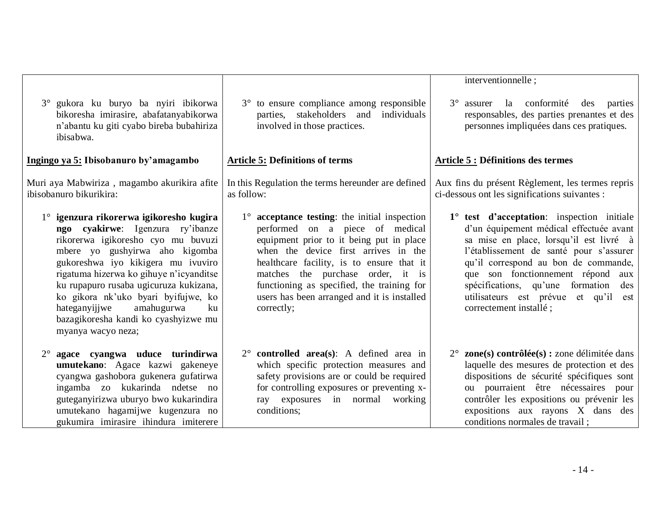|                                                                                                                                                                                                                                                                                                                                                                                                                          |                                                                                                                                                                                                                                                                                                                                                                          | interventionnelle;                                                                                                                                                                                                                                                                                                                                                          |
|--------------------------------------------------------------------------------------------------------------------------------------------------------------------------------------------------------------------------------------------------------------------------------------------------------------------------------------------------------------------------------------------------------------------------|--------------------------------------------------------------------------------------------------------------------------------------------------------------------------------------------------------------------------------------------------------------------------------------------------------------------------------------------------------------------------|-----------------------------------------------------------------------------------------------------------------------------------------------------------------------------------------------------------------------------------------------------------------------------------------------------------------------------------------------------------------------------|
| 3° gukora ku buryo ba nyiri ibikorwa<br>bikoresha imirasire, abafatanyabikorwa<br>n'abantu ku giti cyabo bireba bubahiriza<br>ibisabwa.                                                                                                                                                                                                                                                                                  | 3° to ensure compliance among responsible<br>parties, stakeholders and<br>individuals<br>involved in those practices.                                                                                                                                                                                                                                                    | 3 <sup>°</sup> assurer la conformité<br>des<br>parties<br>responsables, des parties prenantes et des<br>personnes impliquées dans ces pratiques.                                                                                                                                                                                                                            |
| Ingingo ya 5: Ibisobanuro by'amagambo                                                                                                                                                                                                                                                                                                                                                                                    | <b>Article 5: Definitions of terms</b>                                                                                                                                                                                                                                                                                                                                   | <b>Article 5 : Définitions des termes</b>                                                                                                                                                                                                                                                                                                                                   |
| Muri aya Mabwiriza, magambo akurikira afite<br>ibisobanuro bikurikira:                                                                                                                                                                                                                                                                                                                                                   | In this Regulation the terms hereunder are defined<br>as follow:                                                                                                                                                                                                                                                                                                         | Aux fins du présent Règlement, les termes repris<br>ci-dessous ont les significations suivantes :                                                                                                                                                                                                                                                                           |
| 1° igenzura rikorerwa igikoresho kugira<br>ngo cyakirwe: Igenzura ry'ibanze<br>rikorerwa igikoresho cyo mu buvuzi<br>mbere yo gushyirwa aho kigomba<br>gukoreshwa iyo kikigera mu ivuviro<br>rigatuma hizerwa ko gihuye n'icyanditse<br>ku rupapuro rusaba ugicuruza kukizana,<br>ko gikora nk'uko byari byifujwe, ko<br>hateganyijiwe<br>amahugurwa<br>ku<br>bazagikoresha kandi ko cyashyizwe mu<br>myanya wacyo neza; | $1^\circ$ acceptance testing: the initial inspection<br>performed on a piece of medical<br>equipment prior to it being put in place<br>when the device first arrives in the<br>healthcare facility, is to ensure that it<br>matches the purchase order, it is<br>functioning as specified, the training for<br>users has been arranged and it is installed<br>correctly; | 1° test d'acceptation: inspection initiale<br>d'un équipement médical effectuée avant<br>sa mise en place, lorsqu'il est livré à<br>l'établissement de santé pour s'assurer<br>qu'il correspond au bon de commande,<br>que son fonctionnement répond<br>aux<br>spécifications, qu'une formation<br>des<br>utilisateurs est prévue et qu'il<br>est<br>correctement installé; |
| agace cyangwa uduce turindirwa<br>$2^{\circ}$<br>umutekano: Agace kazwi gakeneye<br>cyangwa gashobora gukenera gufatirwa<br>ingamba zo kukarinda ndetse no<br>guteganyirizwa uburyo bwo kukarindira<br>umutekano hagamijwe kugenzura no<br>gukumira imirasire ihindura imiterere                                                                                                                                         | $2^{\circ}$ controlled area(s): A defined area in<br>which specific protection measures and<br>safety provisions are or could be required<br>for controlling exposures or preventing x-<br>ray exposures in normal working<br>conditions;                                                                                                                                | $2^{\circ}$ zone(s) contrôlée(s) : zone délimitée dans<br>laquelle des mesures de protection et des<br>dispositions de sécurité spécifiques sont<br>ou pourraient être nécessaires pour<br>contrôler les expositions ou prévenir les<br>expositions aux rayons X dans des<br>conditions normales de travail ;                                                               |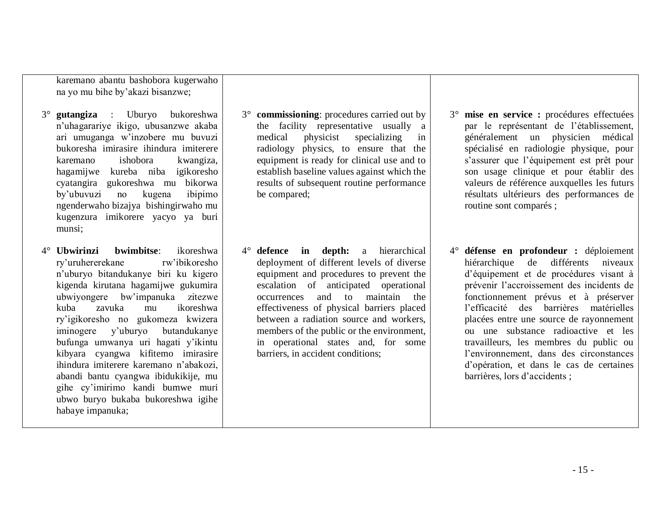karemano abantu bashobora kugerwaho na yo mu bihe by'akazi bisanzwe;

- 3° **gutangiza** : Uburyo bukoreshwa n'uhagarariye ikigo, ubusanzwe akaba ari umuganga w'inzobere mu buvuzi bukoresha imirasire ihindura imiterere karemano ishobora kwangiza, hagamijwe kureba niba igikoresho cyatangira gukoreshwa mu bikorwa by'ubuvuzi no kugena ibipimo ngenderwaho bizajya bishingirwaho mu kugenzura imikorere yacyo ya buri munsi;
- 4° **Ubwirinzi bwimbitse**: ikoreshwa ry'uruhererekane rw'ibikoresho n'uburyo bitandukanye biri ku kigero kigenda kirutana hagamijwe gukumira ubwiyongere bw'impanuka zitezwe kuba zavuka mu ikoreshwa ry'igikoresho no gukomeza kwizera iminogere y'uburyo butandukanye bufunga umwanya uri hagati y'ikintu kibyara cyangwa kifitemo imirasire ihindura imiterere karemano n'abakozi, abandi bantu cyangwa ibidukikije, mu gihe cy'imirimo kandi bumwe muri ubwo buryo bukaba bukoreshwa igihe habaye impanuka;
- 3° **commissioning**: procedures carried out by the facility representative usually a medical physicist specializing in radiology physics, to ensure that the equipment is ready for clinical use and to establish baseline values against which the results of subsequent routine performance be compared;
- 4° **defence in depth:** a hierarchical deployment of different levels of diverse equipment and procedures to prevent the escalation of anticipated operational occurrences and to maintain the effectiveness of physical barriers placed between a radiation source and workers, members of the public or the environment, in operational states and, for some barriers, in accident conditions;
- 3° **mise en service :** procédures effectuées par le représentant de l'établissement, généralement un physicien médical spécialisé en radiologie physique, pour s'assurer que l'équipement est prêt pour son usage clinique et pour établir des valeurs de référence auxquelles les futurs résultats ultérieurs des performances de routine sont comparés ;
- 4° **défense en profondeur :** déploiement hiérarchique de différents niveaux d'équipement et de procédures visant à prévenir l'accroissement des incidents de fonctionnement prévus et à préserver l'efficacité des barrières matérielles placées entre une source de rayonnement ou une substance radioactive et les travailleurs, les membres du public ou l'environnement, dans des circonstances d'opération, et dans le cas de certaines barrières, lors d'accidents ;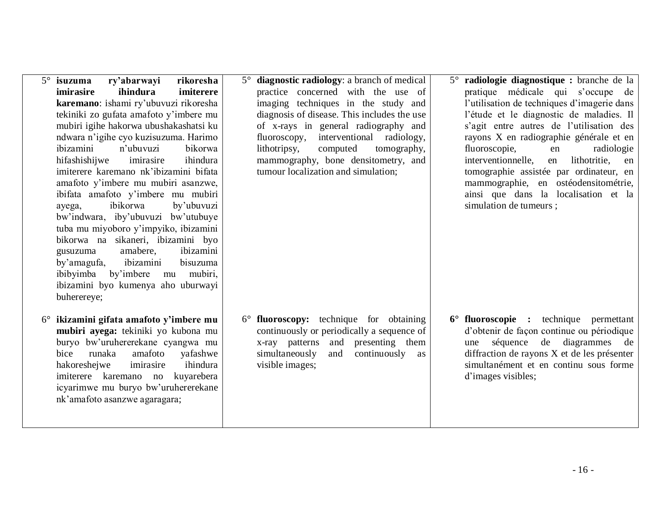| isuzuma<br>ry'abarwayi<br>rikoresha<br>ihindura<br>imirasire<br>imiterere<br>karemano: ishami ry'ubuvuzi rikoresha<br>tekiniki zo gufata amafoto y'imbere mu<br>mubiri igihe hakorwa ubushakashatsi ku<br>ndwara n'igihe cyo kuzisuzuma. Harimo<br>ibizamini<br>n'ubuvuzi<br>bikorwa<br>ihindura<br>hifashishijwe<br>imirasire<br>imiterere karemano nk'ibizamini bifata<br>amafoto y'imbere mu mubiri asanzwe,<br>ibifata amafoto y'imbere mu mubiri<br>ibikorwa<br>by'ubuvuzi<br>ayega,<br>bw'indwara, iby'ubuvuzi bw'utubuye<br>tuba mu miyoboro y'impyiko, ibizamini<br>bikorwa na sikaneri, ibizamini byo<br>ibizamini<br>amabere,<br>gusuzuma<br>by'amagufa, ibizamini<br>bisuzuma<br>mu mubiri,<br>ibibyimba by'imbere<br>ibizamini byo kumenya aho uburwayi<br>buherereye; | 5° diagnostic radiology: a branch of medical<br>practice concerned with the use of<br>imaging techniques in the study and<br>diagnosis of disease. This includes the use<br>of x-rays in general radiography and<br>fluoroscopy, interventional radiology,<br>lithotripsy,<br>computed<br>tomography,<br>mammography, bone densitometry, and<br>tumour localization and simulation; | 5° radiologie diagnostique : branche de la<br>pratique médicale qui s'occupe de<br>l'utilisation de techniques d'imagerie dans<br>l'étude et le diagnostic de maladies. Il<br>s'agit entre autres de l'utilisation des<br>rayons X en radiographie générale et en<br>fluoroscopie,<br>radiologie<br>en<br>interventionnelle,<br>lithotritie, en<br>en<br>tomographie assistée par ordinateur, en<br>mammographie, en ostéodensitométrie,<br>ainsi que dans la localisation et la<br>simulation de tumeurs; |
|------------------------------------------------------------------------------------------------------------------------------------------------------------------------------------------------------------------------------------------------------------------------------------------------------------------------------------------------------------------------------------------------------------------------------------------------------------------------------------------------------------------------------------------------------------------------------------------------------------------------------------------------------------------------------------------------------------------------------------------------------------------------------------|-------------------------------------------------------------------------------------------------------------------------------------------------------------------------------------------------------------------------------------------------------------------------------------------------------------------------------------------------------------------------------------|------------------------------------------------------------------------------------------------------------------------------------------------------------------------------------------------------------------------------------------------------------------------------------------------------------------------------------------------------------------------------------------------------------------------------------------------------------------------------------------------------------|
| 6° ikizamini gifata amafoto y'imbere mu<br>mubiri ayega: tekiniki yo kubona mu<br>buryo bw'uruhererekane cyangwa mu<br>amafoto<br>bice runaka<br>yafashwe<br>hakoreshejwe<br>imirasire<br>ihindura<br>imiterere karemano no<br>kuyarebera<br>icyarimwe mu buryo bw'uruhererekane<br>nk'amafoto asanzwe agaragara;                                                                                                                                                                                                                                                                                                                                                                                                                                                                  | $6^{\circ}$ fluoroscopy: technique for obtaining<br>continuously or periodically a sequence of<br>x-ray patterns and presenting them<br>simultaneously<br>and<br>continuously as<br>visible images;                                                                                                                                                                                 | 6° fluoroscopie : technique permettant<br>d'obtenir de façon continue ou périodique<br>séquence de diagrammes de<br>une<br>diffraction de rayons X et de les présenter<br>simultanément et en continu sous forme<br>d'images visibles;                                                                                                                                                                                                                                                                     |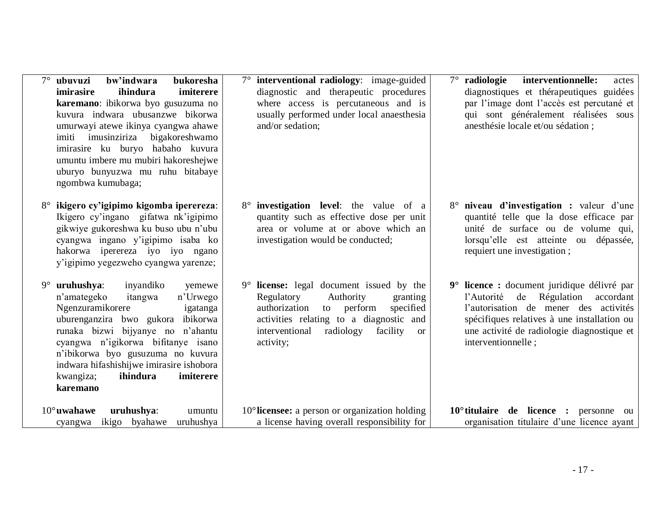| $7^\circ$ ubuvuzi<br>bw'indwara<br>bukoresha<br>ihindura<br>imiterere<br><i>imirasire</i><br>karemano: ibikorwa byo gusuzuma no<br>kuvura indwara ubusanzwe bikorwa<br>umurwayi atewe ikinya cyangwa ahawe<br>imiti imusinziriza bigakoreshwamo<br>imirasire ku buryo habaho kuvura<br>umuntu imbere mu mubiri hakoreshejwe<br>uburyo bunyuzwa mu ruhu bitabaye<br>ngombwa kumubaga; | 7° interventional radiology: image-guided<br>diagnostic and therapeutic procedures<br>where access is percutaneous and is<br>usually performed under local anaesthesia<br>and/or sedation;                                                                                              | $7^\circ$ radiologie<br>interventionnelle:<br>actes<br>diagnostiques et thérapeutiques guidées<br>par l'image dont l'accès est percutané et<br>qui sont généralement réalisées sous<br>anesthésie locale et/ou sédation;                            |
|--------------------------------------------------------------------------------------------------------------------------------------------------------------------------------------------------------------------------------------------------------------------------------------------------------------------------------------------------------------------------------------|-----------------------------------------------------------------------------------------------------------------------------------------------------------------------------------------------------------------------------------------------------------------------------------------|-----------------------------------------------------------------------------------------------------------------------------------------------------------------------------------------------------------------------------------------------------|
| ikigero cy'igipimo kigomba iperereza:<br>Ikigero cy'ingano gifatwa nk'igipimo<br>gikwiye gukoreshwa ku buso ubu n'ubu<br>cyangwa ingano y'igipimo isaba ko<br>hakorwa iperereza iyo iyo ngano<br>y'igipimo yegezweho cyangwa yarenze;                                                                                                                                                | <b>investigation</b> level: the value of a<br>$8^{\circ}$<br>quantity such as effective dose per unit<br>area or volume at or above which an<br>investigation would be conducted;                                                                                                       | 8° niveau d'investigation : valeur d'une<br>quantité telle que la dose efficace par<br>unité de surface ou de volume qui,<br>lorsqu'elle est atteinte ou dépassée,<br>requiert une investigation;                                                   |
| $9^{\circ}$ uruhushya:<br>inyandiko<br>n'amategeko<br>itangwa<br>n'Urwego<br>Ngenzuramikorere<br>uburenganzira bwo gukora ibikorwa<br>runaka bizwi bijyanye no n'ahantu<br>cyangwa n'igikorwa bifitanye isano<br>n'ibikorwa byo gusuzuma no kuvura<br>indwara hifashishijwe imirasire ishobora<br>ihindura<br>kwangiza;<br>karemano                                                  | $9^{\circ}$ license: legal document issued by the<br>yemewe<br>Regulatory<br>Authority<br>granting<br>authorization<br>specified<br>to perform<br>igatanga<br>activities relating to a diagnostic and<br>interventional<br>radiology<br>facility<br><b>or</b><br>activity;<br>imiterere | 9° licence : document juridique délivré par<br>de Régulation<br>l'Autorité<br>accordant<br>l'autorisation de mener des activités<br>spécifiques relatives à une installation ou<br>une activité de radiologie diagnostique et<br>interventionnelle; |
| $10^{\circ}$ uwahawe<br>uruhushya:<br>ikigo byahawe<br>uruhushya<br>cyangwa                                                                                                                                                                                                                                                                                                          | $10^{\circ}$ licensee: a person or organization holding<br>umuntu<br>a license having overall responsibility for                                                                                                                                                                        | $10^{\circ}$ titulaire de licence : personne ou<br>organisation titulaire d'une licence ayant                                                                                                                                                       |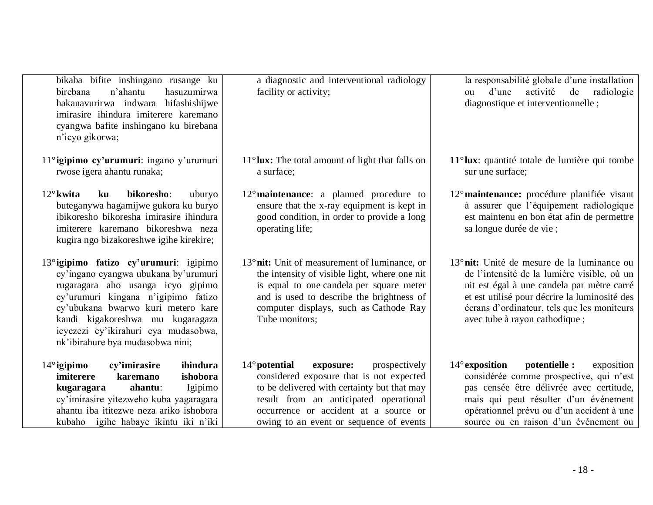| bikaba bifite inshingano rusange ku<br>birebana<br>n'ahantu<br>hasuzumirwa<br>hakanavurirwa indwara hifashishijwe<br>imirasire ihindura imiterere karemano<br>cyangwa bafite inshingano ku birebana<br>n'icyo gikorwa;                                                                                           | a diagnostic and interventional radiology<br>facility or activity;                                                                                                                                                                                                            | la responsabilité globale d'une installation<br>d'une<br>activité<br>de<br>radiologie<br>ou<br>diagnostique et interventionnelle;                                                                                                                                                     |
|------------------------------------------------------------------------------------------------------------------------------------------------------------------------------------------------------------------------------------------------------------------------------------------------------------------|-------------------------------------------------------------------------------------------------------------------------------------------------------------------------------------------------------------------------------------------------------------------------------|---------------------------------------------------------------------------------------------------------------------------------------------------------------------------------------------------------------------------------------------------------------------------------------|
| 11°igipimo cy'urumuri: ingano y'urumuri<br>rwose igera ahantu runaka;                                                                                                                                                                                                                                            | $11^{\circ}$ lux: The total amount of light that falls on<br>a surface;                                                                                                                                                                                                       | $11^{\circ}$ lux: quantité totale de lumière qui tombe<br>sur une surface;                                                                                                                                                                                                            |
| $12^{\circ}$ kwita<br>bikoresho:<br>ku<br>uburyo<br>buteganywa hagamijwe gukora ku buryo<br>ibikoresho bikoresha imirasire ihindura<br>imiterere karemano bikoreshwa neza<br>kugira ngo bizakoreshwe igihe kirekire;                                                                                             | $12^{\circ}$ maintenance: a planned procedure to<br>ensure that the x-ray equipment is kept in<br>good condition, in order to provide a long<br>operating life;                                                                                                               | 12 <sup>°</sup> maintenance: procédure planifiée visant<br>à assurer que l'équipement radiologique<br>est maintenu en bon état afin de permettre<br>sa longue durée de vie ;                                                                                                          |
| 13° igipimo fatizo cy'urumuri: igipimo<br>cy'ingano cyangwa ubukana by'urumuri<br>rugaragara aho usanga icyo gipimo<br>cy'urumuri kingana n'igipimo fatizo<br>cy'ubukana bwarwo kuri metero kare<br>kandi kigakoreshwa mu kugaragaza<br>icyezezi cy'ikirahuri cya mudasobwa,<br>nk'ibirahure bya mudasobwa nini; | 13° nit: Unit of measurement of luminance, or<br>the intensity of visible light, where one nit<br>is equal to one candela per square meter<br>and is used to describe the brightness of<br>computer displays, such as Cathode Ray<br>Tube monitors;                           | 13 <sup>°</sup> nit: Unité de mesure de la luminance ou<br>de l'intensité de la lumière visible, où un<br>nit est égal à une candela par mètre carré<br>et est utilisé pour décrire la luminosité des<br>écrans d'ordinateur, tels que les moniteurs<br>avec tube à rayon cathodique; |
| ihindura<br>$14^\circ$ igipimo<br>cy'imirasire<br><i>imiterere</i><br>karemano<br>ishobora<br>ahantu:<br>Igipimo<br>kugaragara<br>cy'imirasire yitezweho kuba yagaragara<br>ahantu iba ititezwe neza ariko ishobora<br>kubaho igihe habaye ikintu iki n'iki                                                      | $14^{\circ}$ potential<br>exposure:<br>prospectively<br>considered exposure that is not expected<br>to be delivered with certainty but that may<br>result from an anticipated operational<br>occurrence or accident at a source or<br>owing to an event or sequence of events | $14^\circ$ exposition<br>potentielle :<br>exposition<br>considérée comme prospective, qui n'est<br>pas censée être délivrée avec certitude,<br>mais qui peut résulter d'un événement<br>opérationnel prévu ou d'un accident à une<br>source ou en raison d'un événement ou            |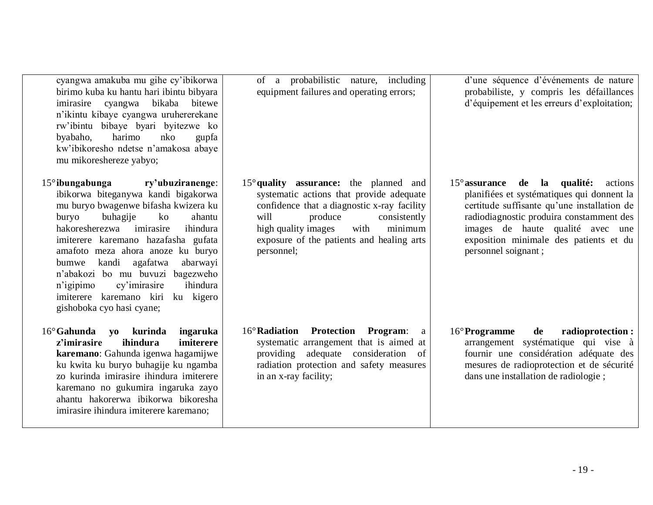| cyangwa amakuba mu gihe cy'ibikorwa<br>birimo kuba ku hantu hari ibintu bibyara<br>cyangwa bikaba<br>bitewe<br>imirasire<br>n'ikintu kibaye cyangwa uruhererekane<br>rw'ibintu bibaye byari byitezwe ko<br>harimo<br>byabaho,<br>nko<br>gupfa<br>kw'ibikoresho ndetse n'amakosa abaye<br>mu mikoreshereze yabyo;                                                                                                                                                                        | of a probabilistic nature, including<br>equipment failures and operating errors;                                                                                                                                                                                                   | d'une séquence d'événements de nature<br>probabiliste, y compris les défaillances<br>d'équipement et les erreurs d'exploitation;                                                                                                                                                               |
|-----------------------------------------------------------------------------------------------------------------------------------------------------------------------------------------------------------------------------------------------------------------------------------------------------------------------------------------------------------------------------------------------------------------------------------------------------------------------------------------|------------------------------------------------------------------------------------------------------------------------------------------------------------------------------------------------------------------------------------------------------------------------------------|------------------------------------------------------------------------------------------------------------------------------------------------------------------------------------------------------------------------------------------------------------------------------------------------|
| $15^\circ$ ibungabunga<br>ry'ubuziranenge:<br>ibikorwa biteganywa kandi bigakorwa<br>mu buryo bwagenwe bifasha kwizera ku<br>buryo<br>buhagije<br>$k_{\rm O}$<br>ahantu<br>hakoresherezwa<br>imirasire<br>ihindura<br>imiterere karemano hazafasha gufata<br>amafoto meza ahora anoze ku buryo<br>kandi<br>agafatwa<br>abarwayi<br>bumwe<br>n'abakozi bo mu buvuzi bagezweho<br>ihindura<br>n'igipimo<br>cy'imirasire<br>imiterere karemano kiri ku kigero<br>gishoboka cyo hasi cyane; | $15^{\circ}$ quality assurance: the planned and<br>systematic actions that provide adequate<br>confidence that a diagnostic x-ray facility<br>will<br>produce<br>consistently<br>high quality images<br>with<br>minimum<br>exposure of the patients and healing arts<br>personnel; | $15^{\circ}$ assurance de la qualité:<br>actions<br>planifiées et systématiques qui donnent la<br>certitude suffisante qu'une installation de<br>radiodiagnostic produira constamment des<br>images de haute qualité avec une<br>exposition minimale des patients et du<br>personnel soignant; |
| $16^{\circ}$ Gahunda<br>ingaruka<br>yo kurinda<br>ihindura<br>imiterere<br>z'imirasire<br>karemano: Gahunda igenwa hagamijwe<br>ku kwita ku buryo buhagije ku ngamba<br>zo kurinda imirasire ihindura imiterere<br>karemano no gukumira ingaruka zayo<br>ahantu hakorerwa ibikorwa bikoresha<br>imirasire ihindura imiterere karemano;                                                                                                                                                  | 16° Radiation<br><b>Protection Program:</b><br>$\rm{a}$<br>systematic arrangement that is aimed at<br>providing adequate consideration of<br>radiation protection and safety measures<br>in an x-ray facility;                                                                     | 16° Programme<br>de<br>radioprotection:<br>arrangement systématique qui vise à<br>fournir une considération adéquate des<br>mesures de radioprotection et de sécurité<br>dans une installation de radiologie;                                                                                  |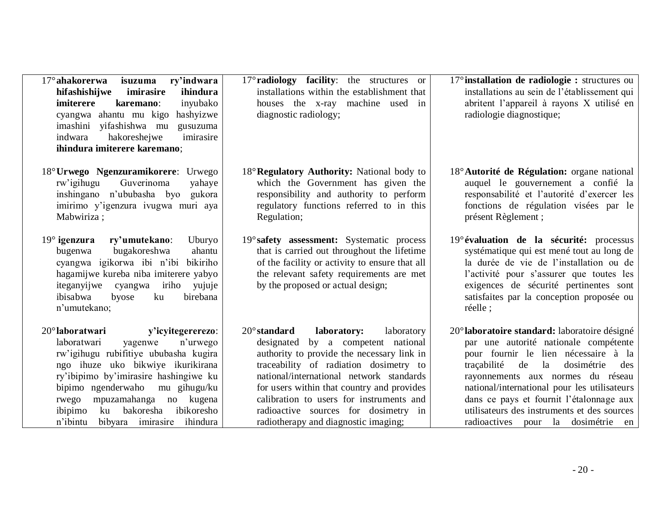| 17° ahakorerwa<br>ry'indwara<br>isuzuma<br>hifashishijwe<br>imirasire<br>ihindura<br><i>imiterere</i><br>inyubako<br>karemano:<br>cyangwa ahantu mu kigo<br>hashyizwe<br>imashini yifashishwa mu<br>gusuzuma<br>hakoreshejwe<br>imirasire<br>indwara<br>ihindura imiterere karemano;                                                                                         | $17^{\circ}$ <b>radiology facility</b> : the structures or<br>installations within the establishment that<br>houses the x-ray machine used in<br>diagnostic radiology;                                                                                                                                                                                                                                    | $17^{\circ}$ installation de radiologie : structures ou<br>installations au sein de l'établissement qui<br>abritent l'appareil à rayons X utilisé en<br>radiologie diagnostique;                                                                                                                                                                                                                        |
|------------------------------------------------------------------------------------------------------------------------------------------------------------------------------------------------------------------------------------------------------------------------------------------------------------------------------------------------------------------------------|-----------------------------------------------------------------------------------------------------------------------------------------------------------------------------------------------------------------------------------------------------------------------------------------------------------------------------------------------------------------------------------------------------------|---------------------------------------------------------------------------------------------------------------------------------------------------------------------------------------------------------------------------------------------------------------------------------------------------------------------------------------------------------------------------------------------------------|
| 18° Urwego Ngenzuramikorere: Urwego<br>Guverinoma<br>rw'igihugu<br>yahaye<br>inshingano n'ububasha byo gukora<br>imirimo y'igenzura ivugwa muri aya<br>Mabwiriza;                                                                                                                                                                                                            | 18° Regulatory Authority: National body to<br>which the Government has given the<br>responsibility and authority to perform<br>regulatory functions referred to in this<br>Regulation;                                                                                                                                                                                                                    | 18° Autorité de Régulation: organe national<br>auquel le gouvernement a confié la<br>responsabilité et l'autorité d'exercer les<br>fonctions de régulation visées par le<br>présent Règlement;                                                                                                                                                                                                          |
| $19^\circ$ igenzura<br>ry'umutekano:<br>Uburyo<br>bugakoreshwa<br>ahantu<br>bugenwa<br>cyangwa igikorwa ibi n'ibi bikiriho<br>hagamijwe kureba niba imiterere yabyo<br>iriho<br>iteganyijwe<br>yujuje<br>cyangwa<br>ibisabwa<br>birebana<br>byose<br>ku<br>n'umutekano;                                                                                                      | 19° safety assessment: Systematic process<br>that is carried out throughout the lifetime<br>of the facility or activity to ensure that all<br>the relevant safety requirements are met<br>by the proposed or actual design;                                                                                                                                                                               | 19° évaluation de la sécurité: processus<br>systématique qui est mené tout au long de<br>la durée de vie de l'installation ou de<br>l'activité pour s'assurer que toutes les<br>exigences de sécurité pertinentes sont<br>satisfaites par la conception proposée ou<br>réelle;                                                                                                                          |
| $20^{\circ}$ laboratwari<br>y'icyitegererezo:<br>n'urwego<br>laboratwari<br>yagenwe<br>rw'igihugu rubifitiye ububasha kugira<br>ngo ihuze uko bikwiye ikurikirana<br>ry'ibipimo by'imirasire hashingiwe ku<br>bipimo ngenderwaho<br>mu gihugu/ku<br>mpuzamahanga no kugena<br>rwego<br>bakoresha<br>ibikoresho<br>ku<br>ibipimo<br>n'ibintu<br>ihindura<br>bibyara imirasire | laboratory:<br>$20^{\circ}$ standard<br>laboratory<br>by a competent national<br>designated<br>authority to provide the necessary link in<br>traceability of radiation dosimetry to<br>national/international network standards<br>for users within that country and provides<br>calibration to users for instruments and<br>radioactive sources for dosimetry in<br>radiotherapy and diagnostic imaging; | 20° laboratoire standard: laboratoire désigné<br>par une autorité nationale compétente<br>pour fournir le lien nécessaire à la<br>la<br>traçabilité<br>de<br>dosimétrie<br>des<br>rayonnements aux normes du réseau<br>national/international pour les utilisateurs<br>dans ce pays et fournit l'étalonnage aux<br>utilisateurs des instruments et des sources<br>radioactives pour la dosimétrie<br>en |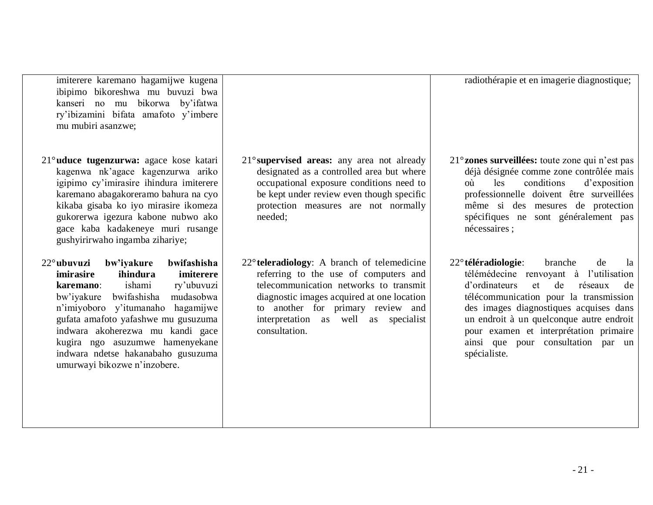- 21 -

imiterere karemano hagamijwe kugena ibipimo bikoreshwa mu buvuzi bwa kanseri no mu bikorwa by'ifatwa ry'ibizamini bifata amafoto y'imbere mu mubiri asanzwe;

- 21°**uduce tugenzurwa:** agace kose katari kagenwa nk'agace kagenzurwa ariko igipimo cy'imirasire ihindura imiterere karemano abagakoreramo bahura na cyo kikaba gisaba ko iyo mirasire ikomeza gukorerwa igezura kabone nubwo ako gace kaba kadakeneye muri rusange gushyirirwaho ingamba zihariye;
- 22°**ubuvuzi bw'iyakure bwifashisha imirasire ihindura imiterere karemano**: ishami ry'ubuvuzi bw'iyakure bwifashisha mudasobwa n'imiyoboro y'itumanaho hagamijwe gufata amafoto yafashwe mu gusuzuma indwara akoherezwa mu kandi gace kugira ngo asuzumwe hamenyekane indwara ndetse hakanabaho gusuzuma umurwayi bikozwe n'inzobere.
- 21°**supervised areas:** any area not already designated as a controlled area but where occupational exposure conditions need to be kept under review even though specific protection measures are not normally needed;
- 22°**teleradiology**: A branch of telemedicine referring to the use of computers and telecommunication networks to transmit diagnostic images acquired at one location to another for primary review and interpretation as well as specialist consultation.
- 21°**zones surveillées:** toute zone qui n'est pas déjà désignée comme zone contrôlée mais où les conditions d'exposition professionnelle doivent être surveillées même si des mesures de protection spécifiques ne sont généralement pas nécessaires ;
- 22°**téléradiologie**: branche de la télémédecine renvoyant à l'utilisation d'ordinateurs et de réseaux de télécommunication pour la transmission des images diagnostiques acquises dans un endroit à un quelconque autre endroit pour examen et interprétation primaire ainsi que pour consultation par un spécialiste.

radiothérapie et en imagerie diagnostique;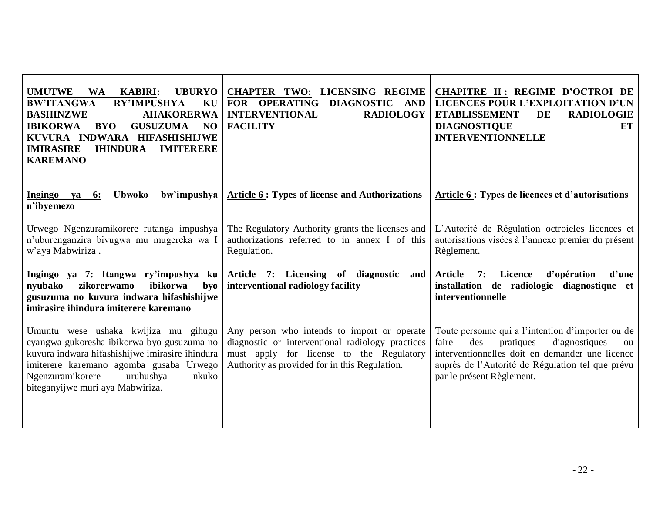| <b>UMUTWE</b><br><b>KABIRI:</b><br><b>UBURYO</b><br><b>WA</b><br><b>BW'ITANGWA</b><br><b>RY'IMPUSHYA</b><br>KU<br><b>AHAKORERWA</b><br><b>BASHINZWE</b><br><b>IBIKORWA</b><br><b>GUSUZUMA</b><br><b>BYO</b><br>N <sub>O</sub><br>KUVURA INDWARA HIFASHISHIJWE<br><b>IHINDURA</b><br><b>IMIRASIRE</b><br><b>IMITERERE</b><br><b>KAREMANO</b> | CHAPTER TWO: LICENSING REGIME<br>FOR OPERATING<br>DIAGNOSTIC AND<br><b>RADIOLOGY</b><br><b>INTERVENTIONAL</b><br><b>FACILITY</b>                                                             | CHAPITRE II: REGIME D'OCTROI DE<br><b>LICENCES POUR L'EXPLOITATION D'UN</b><br><b>RADIOLOGIE</b><br><b>ETABLISSEMENT</b><br><b>DE</b><br><b>DIAGNOSTIQUE</b><br><b>ET</b><br><b>INTERVENTIONNELLE</b>                                     |
|---------------------------------------------------------------------------------------------------------------------------------------------------------------------------------------------------------------------------------------------------------------------------------------------------------------------------------------------|----------------------------------------------------------------------------------------------------------------------------------------------------------------------------------------------|-------------------------------------------------------------------------------------------------------------------------------------------------------------------------------------------------------------------------------------------|
| Ingingo ya<br>Ubwoko<br>bw'impushya<br>6:<br>n'ibyemezo                                                                                                                                                                                                                                                                                     | <b>Article 6 : Types of license and Authorizations</b>                                                                                                                                       | Article 6 : Types de licences et d'autorisations                                                                                                                                                                                          |
| Urwego Ngenzuramikorere rutanga impushya<br>n'uburenganzira bivugwa mu mugereka wa I<br>w'aya Mabwiriza.                                                                                                                                                                                                                                    | The Regulatory Authority grants the licenses and<br>authorizations referred to in annex I of this<br>Regulation.                                                                             | L'Autorité de Régulation octroieles licences et<br>autorisations visées à l'annexe premier du présent<br>Règlement.                                                                                                                       |
| Ingingo ya 7: Itangwa ry'impushya ku<br>zikorerwamo<br>nyubako<br>ibikorwa<br>byo<br>gusuzuma no kuvura indwara hifashishijwe<br>imirasire ihindura imiterere karemano                                                                                                                                                                      | Article 7: Licensing of diagnostic<br>and<br>interventional radiology facility                                                                                                               | <b>Article</b><br>Licence<br>d'opération<br>7:<br>d'une<br>installation de radiologie diagnostique et<br>interventionnelle                                                                                                                |
| Umuntu wese ushaka kwijiza mu gihugu<br>cyangwa gukoresha ibikorwa byo gusuzuma no<br>kuvura indwara hifashishijwe imirasire ihindura<br>imiterere karemano agomba gusaba Urwego<br>Ngenzuramikorere<br>uruhushya<br>nkuko<br>biteganyijwe muri aya Mabwiriza.                                                                              | Any person who intends to import or operate<br>diagnostic or interventional radiology practices<br>must apply for license to the Regulatory<br>Authority as provided for in this Regulation. | Toute personne qui a l'intention d'importer ou de<br>diagnostiques<br>faire<br>des<br>pratiques<br>ou<br>interventionnelles doit en demander une licence<br>auprès de l'Autorité de Régulation tel que prévu<br>par le présent Règlement. |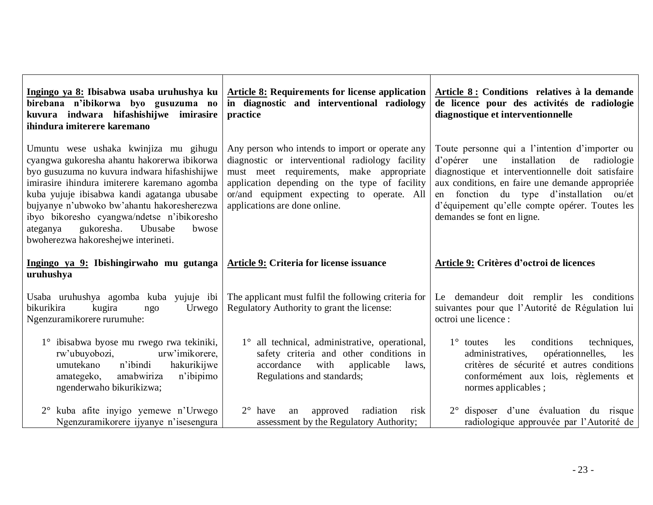| Ingingo ya 8: Ibisabwa usaba uruhushya ku<br>birebana n'ibikorwa byo gusuzuma no<br>kuvura indwara hifashishijwe imirasire<br>ihindura imiterere karemano                                                                                                                                                                                                                                                            | <b>Article 8: Requirements for license application</b><br>in diagnostic and interventional radiology<br>practice                                                                                                                                                               | Article 8 : Conditions relatives à la demande<br>de licence pour des activités de radiologie<br>diagnostique et interventionnelle                                                                                                                                                                                                      |
|----------------------------------------------------------------------------------------------------------------------------------------------------------------------------------------------------------------------------------------------------------------------------------------------------------------------------------------------------------------------------------------------------------------------|--------------------------------------------------------------------------------------------------------------------------------------------------------------------------------------------------------------------------------------------------------------------------------|----------------------------------------------------------------------------------------------------------------------------------------------------------------------------------------------------------------------------------------------------------------------------------------------------------------------------------------|
| Umuntu wese ushaka kwinjiza mu gihugu<br>cyangwa gukoresha ahantu hakorerwa ibikorwa<br>byo gusuzuma no kuvura indwara hifashishijwe<br>imirasire ihindura imiterere karemano agomba<br>kuba yujuje ibisabwa kandi agatanga ubusabe<br>bujyanye n'ubwoko bw'ahantu hakoresherezwa<br>ibyo bikoresho cyangwa/ndetse n'ibikoresho<br>gukoresha.<br>Ubusabe<br>ateganya<br>bwose<br>bwoherezwa hakoreshejwe interineti. | Any person who intends to import or operate any<br>diagnostic or interventional radiology facility<br>must meet requirements, make appropriate<br>application depending on the type of facility<br>or/and equipment expecting to operate. All<br>applications are done online. | Toute personne qui a l'intention d'importer ou<br>installation<br>d'opérer<br>de radiologie<br>une<br>diagnostique et interventionnelle doit satisfaire<br>aux conditions, en faire une demande appropriée<br>en fonction du type d'installation ou/et<br>d'équipement qu'elle compte opérer. Toutes les<br>demandes se font en ligne. |
| Ingingo ya 9: Ibishingirwaho mu gutanga<br>uruhushya                                                                                                                                                                                                                                                                                                                                                                 | Article 9: Criteria for license issuance                                                                                                                                                                                                                                       | Article 9: Critères d'octroi de licences                                                                                                                                                                                                                                                                                               |
|                                                                                                                                                                                                                                                                                                                                                                                                                      |                                                                                                                                                                                                                                                                                |                                                                                                                                                                                                                                                                                                                                        |
| Usaba uruhushya agomba kuba yujuje ibi<br>bikurikira<br>kugira<br>Urwego<br>ngo<br>Ngenzuramikorere rurumuhe:                                                                                                                                                                                                                                                                                                        | The applicant must fulfil the following criteria for<br>Regulatory Authority to grant the license:                                                                                                                                                                             | Le demandeur doit remplir les conditions<br>suivantes pour que l'Autorité de Régulation lui<br>octroi une licence :                                                                                                                                                                                                                    |
| 1° ibisabwa byose mu rwego rwa tekiniki,<br>urw'imikorere,<br>rw'ubuyobozi,<br>n'ibindi<br>hakurikijwe<br>umutekano<br>amabwiriza<br>n'ibipimo<br>amategeko,<br>ngenderwaho bikurikizwa;                                                                                                                                                                                                                             | 1° all technical, administrative, operational,<br>safety criteria and other conditions in<br>with<br>accordance<br>applicable<br>laws,<br>Regulations and standards;                                                                                                           | conditions<br>techniques,<br>$1^\circ$ toutes<br>les<br>opérationnelles,<br>administratives,<br>les<br>critères de sécurité et autres conditions<br>conformément aux lois, règlements et<br>normes applicables;                                                                                                                        |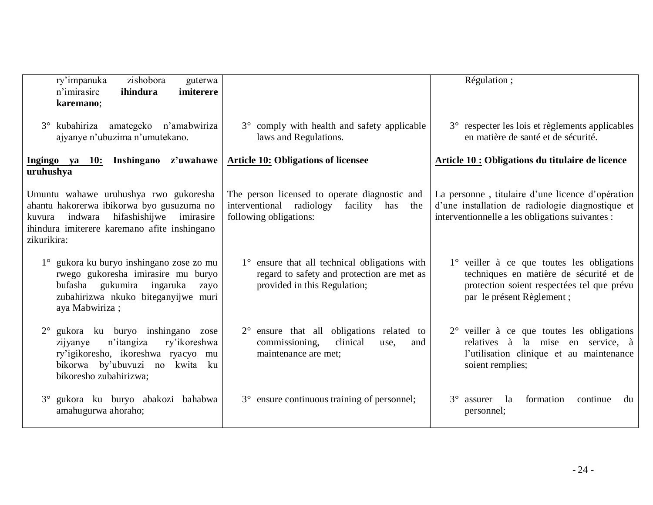| ry'impanuka<br>zishobora<br>guterwa<br>ihindura<br>imiterere<br>n'imirasire<br>karemano;                                                                                                             |                                                                                                                             | Régulation;                                                                                                                                                      |
|------------------------------------------------------------------------------------------------------------------------------------------------------------------------------------------------------|-----------------------------------------------------------------------------------------------------------------------------|------------------------------------------------------------------------------------------------------------------------------------------------------------------|
| 3° kubahiriza amategeko n'amabwiriza<br>ajyanye n'ubuzima n'umutekano.                                                                                                                               | 3° comply with health and safety applicable<br>laws and Regulations.                                                        | 3° respecter les lois et règlements applicables<br>en matière de santé et de sécurité.                                                                           |
| Ingingo ya 10: Inshingano z'uwahawe<br>uruhushya                                                                                                                                                     | <b>Article 10: Obligations of licensee</b>                                                                                  | Article 10 : Obligations du titulaire de licence                                                                                                                 |
| Umuntu wahawe uruhushya rwo gukoresha<br>ahantu hakorerwa ibikorwa byo gusuzuma no<br>indwara<br>hifashishijwe<br>imirasire<br>kuvura<br>ihindura imiterere karemano afite inshingano<br>zikurikira: | The person licensed to operate diagnostic and<br>interventional radiology<br>facility has<br>the<br>following obligations:  | La personne, titulaire d'une licence d'opération<br>d'une installation de radiologie diagnostique et<br>interventionnelle a les obligations suivantes :          |
| gukora ku buryo inshingano zose zo mu<br>rwego gukoresha imirasire mu buryo<br>bufasha gukumira ingaruka<br>zayo<br>zubahirizwa nkuko biteganyijwe muri<br>aya Mabwiriza;                            | 1° ensure that all technical obligations with<br>regard to safety and protection are met as<br>provided in this Regulation; | 1° veiller à ce que toutes les obligations<br>techniques en matière de sécurité et de<br>protection soient respectées tel que prévu<br>par le présent Règlement; |
| gukora ku buryo inshingano zose<br>$2^{\circ}$<br>n'itangiza<br>ry'ikoreshwa<br>zijyanye<br>ry'igikoresho, ikoreshwa ryacyo mu<br>bikorwa by'ubuvuzi no kwita ku<br>bikoresho zubahirizwa;           | $2^{\circ}$ ensure that all obligations related to<br>commissioning,<br>clinical<br>use,<br>and<br>maintenance are met;     | $2^{\circ}$ veiller à ce que toutes les obligations<br>relatives à la mise en service, à<br>l'utilisation clinique et au maintenance<br>soient remplies;         |
| gukora ku buryo abakozi bahabwa<br>$3^{\circ}$<br>amahugurwa ahoraho;                                                                                                                                | 3° ensure continuous training of personnel;                                                                                 | la<br>formation<br>$3^\circ$<br>assurer<br>continue<br>du<br>personnel;                                                                                          |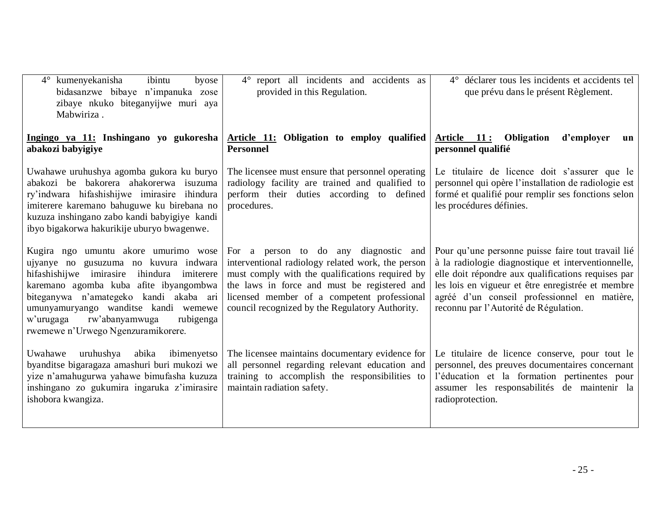| $4^{\circ}$ kumenyekanisha<br>ibintu<br>byose<br>bidasanzwe bibaye n'impanuka zose<br>zibaye nkuko biteganyijwe muri aya<br>Mabwiriza.                                                                                                                                                                                                       | 4° report all incidents and accidents as<br>provided in this Regulation.                                                                                                                                                                                                                        | 4° déclarer tous les incidents et accidents tel<br>que prévu dans le présent Règlement.                                                                                                                                                                                                                      |
|----------------------------------------------------------------------------------------------------------------------------------------------------------------------------------------------------------------------------------------------------------------------------------------------------------------------------------------------|-------------------------------------------------------------------------------------------------------------------------------------------------------------------------------------------------------------------------------------------------------------------------------------------------|--------------------------------------------------------------------------------------------------------------------------------------------------------------------------------------------------------------------------------------------------------------------------------------------------------------|
| Ingingo ya 11: Inshingano yo gukoresha<br>abakozi babyigiye                                                                                                                                                                                                                                                                                  | Article 11: Obligation to employ qualified<br><b>Personnel</b>                                                                                                                                                                                                                                  | Article 11: Obligation<br>d'employer<br>un<br>personnel qualifié                                                                                                                                                                                                                                             |
| Uwahawe uruhushya agomba gukora ku buryo<br>abakozi be bakorera ahakorerwa isuzuma<br>ry'indwara hifashishijwe imirasire ihindura<br>imiterere karemano bahuguwe ku birebana no<br>kuzuza inshingano zabo kandi babyigiye kandi<br>ibyo bigakorwa hakurikije uburyo bwagenwe.                                                                | The licensee must ensure that personnel operating<br>radiology facility are trained and qualified to<br>perform their duties according to defined<br>procedures.                                                                                                                                | Le titulaire de licence doit s'assurer que le<br>personnel qui opère l'installation de radiologie est<br>formé et qualifié pour remplir ses fonctions selon<br>les procédures définies.                                                                                                                      |
| Kugira ngo umuntu akore umurimo wose<br>ujyanye no gusuzuma no kuvura indwara<br>hifashishijwe imirasire ihindura<br>imiterere<br>karemano agomba kuba afite ibyangombwa<br>biteganywa n'amategeko kandi akaba ari<br>umunyamuryango wanditse kandi wemewe<br>w'urugaga<br>rw'abanyamwuga<br>rubigenga<br>rwemewe n'Urwego Ngenzuramikorere. | For a person to do any diagnostic and<br>interventional radiology related work, the person<br>must comply with the qualifications required by<br>the laws in force and must be registered and<br>licensed member of a competent professional<br>council recognized by the Regulatory Authority. | Pour qu'une personne puisse faire tout travail lié<br>à la radiologie diagnostique et interventionnelle,<br>elle doit répondre aux qualifications requises par<br>les lois en vigueur et être enregistrée et membre<br>agréé d'un conseil professionnel en matière,<br>reconnu par l'Autorité de Régulation. |
| Uwahawe<br>uruhushya<br>ibimenyetso<br>abika<br>byanditse bigaragaza amashuri buri mukozi we<br>yize n'amahugurwa yahawe bimufasha kuzuza<br>inshingano zo gukumira ingaruka z'imirasire<br>ishobora kwangiza.                                                                                                                               | The licensee maintains documentary evidence for<br>all personnel regarding relevant education and<br>training to accomplish the responsibilities to<br>maintain radiation safety.                                                                                                               | Le titulaire de licence conserve, pour tout le<br>personnel, des preuves documentaires concernant<br>l'éducation et la formation pertinentes pour<br>assumer les responsabilités de maintenir la<br>radioprotection.                                                                                         |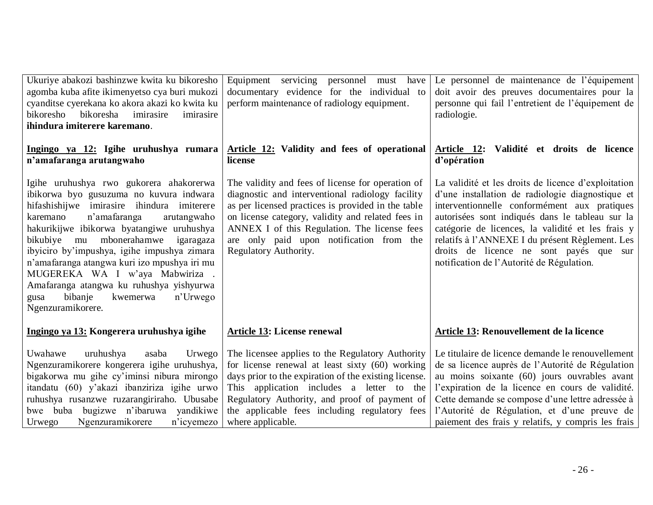| Ukuriye abakozi bashinzwe kwita ku bikoresho<br>agomba kuba afite ikimenyetso cya buri mukozi<br>cyanditse cyerekana ko akora akazi ko kwita ku<br>bikoresha<br>bikoresho<br>imirasire<br>imirasire<br>ihindura imiterere karemano.                                                                                                                                                                                                                                                                            | Equipment servicing personnel must have<br>documentary evidence for the individual to<br>perform maintenance of radiology equipment.                                                                                                                                                                                                  | Le personnel de maintenance de l'équipement<br>doit avoir des preuves documentaires pour la<br>personne qui fail l'entretient de l'équipement de<br>radiologie.                                                                                                                                                                                                                                            |
|----------------------------------------------------------------------------------------------------------------------------------------------------------------------------------------------------------------------------------------------------------------------------------------------------------------------------------------------------------------------------------------------------------------------------------------------------------------------------------------------------------------|---------------------------------------------------------------------------------------------------------------------------------------------------------------------------------------------------------------------------------------------------------------------------------------------------------------------------------------|------------------------------------------------------------------------------------------------------------------------------------------------------------------------------------------------------------------------------------------------------------------------------------------------------------------------------------------------------------------------------------------------------------|
| Ingingo ya 12: Igihe uruhushya rumara<br>n'amafaranga arutangwaho                                                                                                                                                                                                                                                                                                                                                                                                                                              | Article 12: Validity and fees of operational<br>license                                                                                                                                                                                                                                                                               | Article 12: Validité et droits de licence<br>d'opération                                                                                                                                                                                                                                                                                                                                                   |
| Igihe uruhushya rwo gukorera ahakorerwa<br>ibikorwa byo gusuzuma no kuvura indwara<br>hifashishijwe imirasire ihindura imiterere<br>n'amafaranga<br>karemano<br>arutangwaho<br>hakurikijwe ibikorwa byatangiwe uruhushya<br>bikubiye mu mbonerahamwe<br>igaragaza<br>ibyiciro by'impushya, igihe impushya zimara<br>n'amafaranga atangwa kuri izo mpushya iri mu<br>MUGEREKA WA I w'aya Mabwiriza.<br>Amafaranga atangwa ku ruhushya yishyurwa<br>bibanje<br>kwemerwa<br>n'Urwego<br>gusa<br>Ngenzuramikorere. | The validity and fees of license for operation of<br>diagnostic and interventional radiology facility<br>as per licensed practices is provided in the table<br>on license category, validity and related fees in<br>ANNEX I of this Regulation. The license fees<br>are only paid upon notification from the<br>Regulatory Authority. | La validité et les droits de licence d'exploitation<br>d'une installation de radiologie diagnostique et<br>interventionnelle conformément aux pratiques<br>autorisées sont indiqués dans le tableau sur la<br>catégorie de licences, la validité et les frais y<br>relatifs à l'ANNEXE I du présent Règlement. Les<br>droits de licence ne sont payés que sur<br>notification de l'Autorité de Régulation. |
| Ingingo ya 13: Kongerera uruhushya igihe                                                                                                                                                                                                                                                                                                                                                                                                                                                                       | <b>Article 13: License renewal</b>                                                                                                                                                                                                                                                                                                    | Article 13: Renouvellement de la licence                                                                                                                                                                                                                                                                                                                                                                   |
| Uwahawe<br>uruhushya<br>asaba<br>Urwego<br>Ngenzuramikorere kongerera igihe uruhushya,<br>bigakorwa mu gihe cy'iminsi nibura mirongo<br>itandatu (60) y'akazi ibanziriza igihe urwo<br>ruhushya rusanzwe ruzarangiriraho. Ubusabe<br>bwe buba bugizwe n'ibaruwa yandikiwe<br>Ngenzuramikorere<br>n'icyemezo<br>Urwego                                                                                                                                                                                          | The licensee applies to the Regulatory Authority<br>for license renewal at least sixty (60) working<br>days prior to the expiration of the existing license.<br>This application includes a letter to the<br>Regulatory Authority, and proof of payment of<br>the applicable fees including regulatory fees<br>where applicable.      | Le titulaire de licence demande le renouvellement<br>de sa licence auprès de l'Autorité de Régulation<br>au moins soixante (60) jours ouvrables avant<br>l'expiration de la licence en cours de validité.<br>Cette demande se compose d'une lettre adressée à<br>l'Autorité de Régulation, et d'une preuve de<br>paiement des frais y relatifs, y compris les frais                                        |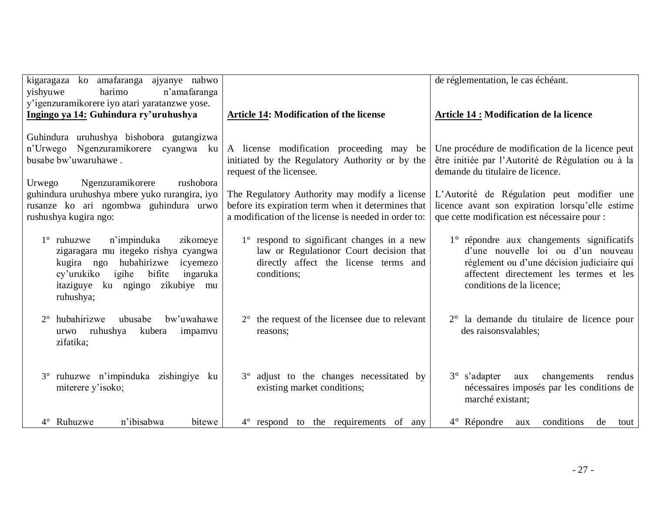| kigaragaza ko amafaranga ajyanye nabwo<br>harimo<br>yishyuwe<br>n'amafaranga<br>y'igenzuramikorere iyo atari yaratanzwe yose.                                                                                                    |                                                                                                                                                             | de réglementation, le cas échéant.                                                                                                                                                                    |
|----------------------------------------------------------------------------------------------------------------------------------------------------------------------------------------------------------------------------------|-------------------------------------------------------------------------------------------------------------------------------------------------------------|-------------------------------------------------------------------------------------------------------------------------------------------------------------------------------------------------------|
| Ingingo ya 14: Guhindura ry'uruhushya                                                                                                                                                                                            | <b>Article 14: Modification of the license</b>                                                                                                              | <b>Article 14 : Modification de la licence</b>                                                                                                                                                        |
| Guhindura uruhushya bishobora gutangizwa<br>n'Urwego Ngenzuramikorere cyangwa ku<br>busabe bw'uwaruhawe.                                                                                                                         | A license modification proceeding may<br>be<br>initiated by the Regulatory Authority or by the<br>request of the licensee.                                  | Une procédure de modification de la licence peut<br>être initiée par l'Autorité de Régulation ou à la<br>demande du titulaire de licence.                                                             |
| rushobora<br>Urwego<br>Ngenzuramikorere<br>guhindura uruhushya mbere yuko rurangira, iyo<br>rusanze ko ari ngombwa guhindura urwo<br>rushushya kugira ngo:                                                                       | The Regulatory Authority may modify a license<br>before its expiration term when it determines that<br>a modification of the license is needed in order to: | L'Autorité de Régulation peut modifier une<br>licence avant son expiration lorsqu'elle estime<br>que cette modification est nécessaire pour :                                                         |
| n'impinduka<br>$1^\circ$ ruhuzwe<br>zikomeye<br>zigaragara mu itegeko rishya cyangwa<br>hubahirizwe<br>kugira ngo<br>icyemezo<br>igihe<br>bifite<br>cy'urukiko<br>ingaruka<br>itaziguye<br>ku ngingo<br>zikubiye mu<br>ruhushya; | 1° respond to significant changes in a new<br>law or Regulationor Court decision that<br>directly affect the license terms and<br>conditions;               | 1° répondre aux changements significatifs<br>d'une nouvelle loi ou d'un nouveau<br>règlement ou d'une décision judiciaire qui<br>affectent directement les termes et les<br>conditions de la licence; |
| 2° hubahirizwe<br>ubusabe<br>bw'uwahawe<br>ruhushya<br>kubera<br>impamvu<br>urwo<br>zifatika;                                                                                                                                    | $2^{\circ}$ the request of the licensee due to relevant<br>reasons;                                                                                         | 2° la demande du titulaire de licence pour<br>des raisonsvalables;                                                                                                                                    |
| 3° ruhuzwe n'impinduka zishingiye ku<br>miterere y'isoko;                                                                                                                                                                        | 3° adjust to the changes necessitated by<br>existing market conditions;                                                                                     | $3^{\circ}$ s'adapter<br>changements<br>aux<br>rendus<br>nécessaires imposés par les conditions de<br>marché existant;                                                                                |
| n'ibisabwa<br>4° Ruhuzwe<br>bitewe                                                                                                                                                                                               | $4^{\circ}$ respond to the requirements of any                                                                                                              | $4^{\circ}$ Répondre<br>conditions<br>de<br>aux<br>tout                                                                                                                                               |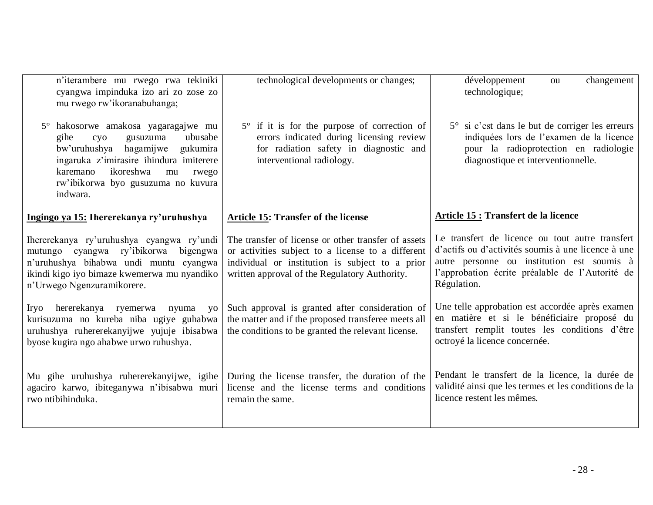| n'iterambere mu rwego rwa tekiniki<br>cyangwa impinduka izo ari zo zose zo<br>mu rwego rw'ikoranabuhanga;                                                                                                                                                        | technological developments or changes;                                                                                                                                                                       | développement<br>changement<br>ou<br>technologique;                                                                                                                                                                   |
|------------------------------------------------------------------------------------------------------------------------------------------------------------------------------------------------------------------------------------------------------------------|--------------------------------------------------------------------------------------------------------------------------------------------------------------------------------------------------------------|-----------------------------------------------------------------------------------------------------------------------------------------------------------------------------------------------------------------------|
| hakosorwe amakosa yagaragajwe mu<br>$5^{\circ}$<br>gusuzuma<br>ubusabe<br>gihe<br>cyo<br>bw'uruhushya<br>hagamijwe gukumira<br>ingaruka z'imirasire ihindura imiterere<br>ikoreshwa<br>karemano<br>mu<br>rwego<br>rw'ibikorwa byo gusuzuma no kuvura<br>indwara. | $5^\circ$ if it is for the purpose of correction of<br>errors indicated during licensing review<br>for radiation safety in diagnostic and<br>interventional radiology.                                       | 5° si c'est dans le but de corriger les erreurs<br>indiquées lors de l'examen de la licence<br>pour la radioprotection en radiologie<br>diagnostique et interventionnelle.                                            |
| Ingingo ya 15: Ihererekanya ry'uruhushya                                                                                                                                                                                                                         | <b>Article 15: Transfer of the license</b>                                                                                                                                                                   | <b>Article 15 : Transfert de la licence</b>                                                                                                                                                                           |
| Ihererekanya ry'uruhushya cyangwa ry'undi<br>mutungo cyangwa ry'ibikorwa<br>bigengwa<br>n'uruhushya bihabwa undi muntu cyangwa<br>ikindi kigo iyo bimaze kwemerwa mu nyandiko<br>n'Urwego Ngenzuramikorere.                                                      | The transfer of license or other transfer of assets<br>or activities subject to a license to a different<br>individual or institution is subject to a prior<br>written approval of the Regulatory Authority. | Le transfert de licence ou tout autre transfert<br>d'actifs ou d'activités soumis à une licence à une<br>autre personne ou institution est soumis à<br>l'approbation écrite préalable de l'Autorité de<br>Régulation. |
| hererekanya ryemerwa<br>Iryo<br>nyuma<br><b>VO</b><br>kurisuzuma no kureba niba ugiye guhabwa<br>uruhushya ruhererekanyijwe yujuje ibisabwa<br>byose kugira ngo ahabwe urwo ruhushya.                                                                            | Such approval is granted after consideration of<br>the matter and if the proposed transferee meets all<br>the conditions to be granted the relevant license.                                                 | Une telle approbation est accordée après examen<br>en matière et si le bénéficiaire proposé du<br>transfert remplit toutes les conditions d'être<br>octroyé la licence concernée.                                     |
| Mu gihe uruhushya ruhererekanyijwe, igihe<br>agaciro karwo, ibiteganywa n'ibisabwa muri<br>rwo ntibihinduka.                                                                                                                                                     | During the license transfer, the duration of the<br>license and the license terms and conditions<br>remain the same.                                                                                         | Pendant le transfert de la licence, la durée de<br>validité ainsi que les termes et les conditions de la<br>licence restent les mêmes.                                                                                |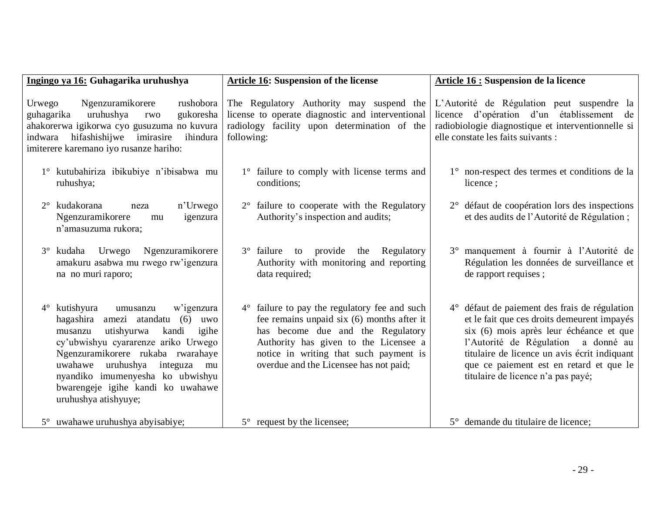| Ingingo ya 16: Guhagarika uruhushya                                                                                                                                                                                                                                                                                                                          | <b>Article 16: Suspension of the license</b>                                                                                                                                                                                                                  | <b>Article 16 : Suspension de la licence</b>                                                                                                                                                                                                                                                                       |
|--------------------------------------------------------------------------------------------------------------------------------------------------------------------------------------------------------------------------------------------------------------------------------------------------------------------------------------------------------------|---------------------------------------------------------------------------------------------------------------------------------------------------------------------------------------------------------------------------------------------------------------|--------------------------------------------------------------------------------------------------------------------------------------------------------------------------------------------------------------------------------------------------------------------------------------------------------------------|
| Ngenzuramikorere<br>rushobora<br>Urwego<br>guhagarika<br>gukoresha<br>uruhushya<br>rwo<br>ahakorerwa igikorwa cyo gusuzuma no kuvura<br>hifashishijwe imirasire<br>ihindura<br>indwara<br>imiterere karemano iyo rusanze hariho:                                                                                                                             | The Regulatory Authority may suspend the<br>license to operate diagnostic and interventional<br>radiology facility upon determination of the<br>following:                                                                                                    | L'Autorité de Régulation peut suspendre la<br>licence d'opération d'un établissement de<br>radiobiologie diagnostique et interventionnelle si<br>elle constate les faits suivants :                                                                                                                                |
| 1° kutubahiriza ibikubiye n'ibisabwa mu<br>ruhushya;                                                                                                                                                                                                                                                                                                         | 1° failure to comply with license terms and<br>conditions;                                                                                                                                                                                                    | 1° non-respect des termes et conditions de la<br>licence;                                                                                                                                                                                                                                                          |
| n'Urwego<br>kudakorana<br>$2^{\circ}$<br>neza<br>Ngenzuramikorere<br>igenzura<br>mu<br>n'amasuzuma rukora;                                                                                                                                                                                                                                                   | $2^{\circ}$ failure to cooperate with the Regulatory<br>Authority's inspection and audits;                                                                                                                                                                    | 2° défaut de coopération lors des inspections<br>et des audits de l'Autorité de Régulation;                                                                                                                                                                                                                        |
| Urwego<br>Ngenzuramikorere<br>kudaha<br>$3^\circ$<br>amakuru asabwa mu rwego rw'igenzura<br>na no muri raporo;                                                                                                                                                                                                                                               | to provide the Regulatory<br>$3^\circ$ failure<br>Authority with monitoring and reporting<br>data required;                                                                                                                                                   | 3° manquement à fournir à l'Autorité de<br>Régulation les données de surveillance et<br>de rapport requises;                                                                                                                                                                                                       |
| kutishyura<br>w'igenzura<br>$4^{\circ}$<br>umusanzu<br>hagashira<br>amezi atandatu (6)<br>uwo<br>kandi<br>igihe<br>utishyurwa<br>musanzu<br>cy'ubwishyu cyararenze ariko Urwego<br>Ngenzuramikorere rukaba rwarahaye<br>uruhushya integuza<br>uwahawe<br>mu<br>nyandiko imumenyesha ko ubwishyu<br>bwarengeje igihe kandi ko uwahawe<br>uruhushya atishyuye; | 4° failure to pay the regulatory fee and such<br>fee remains unpaid six (6) months after it<br>has become due and the Regulatory<br>Authority has given to the Licensee a<br>notice in writing that such payment is<br>overdue and the Licensee has not paid; | 4° défaut de paiement des frais de régulation<br>et le fait que ces droits demeurent impayés<br>six (6) mois après leur échéance et que<br>l'Autorité de Régulation<br>a donné au<br>titulaire de licence un avis écrit indiquant<br>que ce paiement est en retard et que le<br>titulaire de licence n'a pas payé; |
| 5° uwahawe uruhushya abyisabiye;                                                                                                                                                                                                                                                                                                                             | $5^\circ$ request by the licensee;                                                                                                                                                                                                                            | 5° demande du titulaire de licence;                                                                                                                                                                                                                                                                                |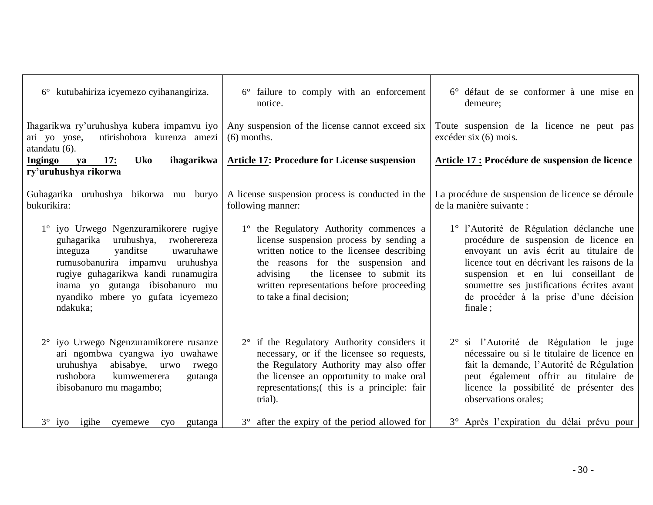| 6° kutubahiriza icyemezo cyihanangiriza.                                                                                                                                                                                                                                       | 6° failure to comply with an enforcement<br>notice.                                                                                                                                                                                                                                       | 6° défaut de se conformer à une mise en<br>demeure;                                                                                                                                                                                                                                                                   |
|--------------------------------------------------------------------------------------------------------------------------------------------------------------------------------------------------------------------------------------------------------------------------------|-------------------------------------------------------------------------------------------------------------------------------------------------------------------------------------------------------------------------------------------------------------------------------------------|-----------------------------------------------------------------------------------------------------------------------------------------------------------------------------------------------------------------------------------------------------------------------------------------------------------------------|
| Ihagarikwa ry'uruhushya kubera impamvu iyo<br>ntirishobora kurenza amezi<br>ari yo yose,<br>atandatu (6).                                                                                                                                                                      | Any suspension of the license cannot exceed six<br>$(6)$ months.                                                                                                                                                                                                                          | Toute suspension de la licence ne peut pas<br>$excéder$ six $(6)$ mois.                                                                                                                                                                                                                                               |
| <b>Uko</b><br>ihagarikwa<br>17:<br>Ingingo<br>ya<br>ry'uruhushya rikorwa                                                                                                                                                                                                       | <b>Article 17: Procedure for License suspension</b>                                                                                                                                                                                                                                       | Article 17 : Procédure de suspension de licence                                                                                                                                                                                                                                                                       |
| Guhagarika uruhushya bikorwa mu buryo<br>bukurikira:                                                                                                                                                                                                                           | A license suspension process is conducted in the<br>following manner:                                                                                                                                                                                                                     | La procédure de suspension de licence se déroule<br>de la manière suivante :                                                                                                                                                                                                                                          |
| 1° iyo Urwego Ngenzuramikorere rugiye<br>guhagarika uruhushya, rwoherereza<br>yanditse<br>uwaruhawe<br>integuza<br>rumusobanurira impamvu uruhushya<br>rugiye guhagarikwa kandi runamugira<br>inama yo gutanga ibisobanuro mu<br>nyandiko mbere yo gufata icyemezo<br>ndakuka; | 1° the Regulatory Authority commences a<br>license suspension process by sending a<br>written notice to the licensee describing<br>the reasons for the suspension and<br>the licensee to submit its<br>advising<br>written representations before proceeding<br>to take a final decision; | 1° l'Autorité de Régulation déclanche une<br>procédure de suspension de licence en<br>envoyant un avis écrit au titulaire de<br>licence tout en décrivant les raisons de la<br>suspension et en lui conseillant de<br>soumettre ses justifications écrites avant<br>de procéder à la prise d'une décision<br>finale : |
| 2° iyo Urwego Ngenzuramikorere rusanze<br>ari ngombwa cyangwa iyo uwahawe<br>uruhushya abisabye, urwo rwego<br>rushobora<br>kumwemerera<br>gutanga<br>ibisobanuro mu magambo;                                                                                                  | $2^{\circ}$ if the Regulatory Authority considers it<br>necessary, or if the licensee so requests,<br>the Regulatory Authority may also offer<br>the licensee an opportunity to make oral<br>representations; (this is a principle: fair<br>trial).                                       | 2° si l'Autorité de Régulation le juge<br>nécessaire ou si le titulaire de licence en<br>fait la demande, l'Autorité de Régulation<br>peut également offrir au titulaire de<br>licence la possibilité de présenter des<br>observations orales;                                                                        |
| $3^\circ$ iyo igihe<br>cyemewe<br>C <sub>Y</sub> O<br>gutanga                                                                                                                                                                                                                  | 3° after the expiry of the period allowed for                                                                                                                                                                                                                                             | 3° Après l'expiration du délai prévu pour                                                                                                                                                                                                                                                                             |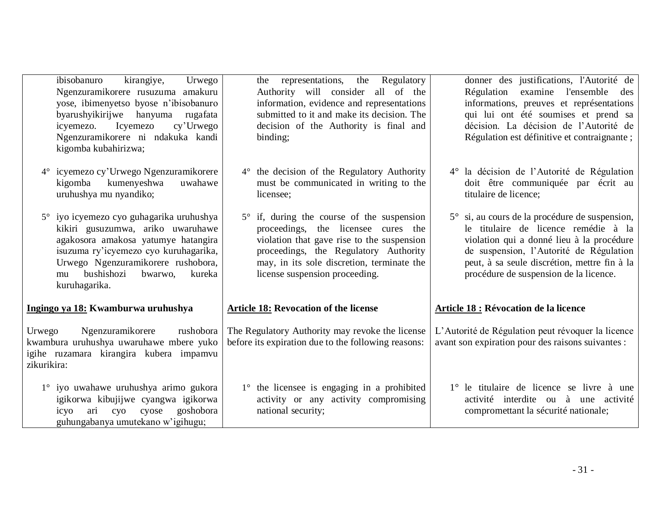| ibisobanuro<br>kirangiye,<br>Urwego<br>Ngenzuramikorere rusuzuma amakuru<br>yose, ibimenyetso byose n'ibisobanuro<br>byarushyikirijwe hanyuma rugafata<br>Icyemezo<br>cy'Urwego<br>icyemezo.<br>Ngenzuramikorere ni ndakuka kandi<br>kigomba kubahirizwa;     | the representations, the Regulatory<br>Authority will consider all of the<br>information, evidence and representations<br>submitted to it and make its decision. The<br>decision of the Authority is final and<br>binding;                                      | donner des justifications, l'Autorité de<br>Régulation examine l'ensemble des<br>informations, preuves et représentations<br>qui lui ont été soumises et prend sa<br>décision. La décision de l'Autorité de<br>Régulation est définitive et contraignante ;              |
|---------------------------------------------------------------------------------------------------------------------------------------------------------------------------------------------------------------------------------------------------------------|-----------------------------------------------------------------------------------------------------------------------------------------------------------------------------------------------------------------------------------------------------------------|--------------------------------------------------------------------------------------------------------------------------------------------------------------------------------------------------------------------------------------------------------------------------|
| 4° icyemezo cy'Urwego Ngenzuramikorere<br>kigomba kumenyeshwa<br>uwahawe<br>uruhushya mu nyandiko;                                                                                                                                                            | $4^{\circ}$ the decision of the Regulatory Authority<br>must be communicated in writing to the<br>licensee;                                                                                                                                                     | 4° la décision de l'Autorité de Régulation<br>doit être communiquée par écrit au<br>titulaire de licence;                                                                                                                                                                |
| 5° iyo icyemezo cyo guhagarika uruhushya<br>kikiri gusuzumwa, ariko uwaruhawe<br>agakosora amakosa yatumye hatangira<br>isuzuma ry'icyemezo cyo kuruhagarika,<br>Urwego Ngenzuramikorere rushobora,<br>bushishozi<br>bwarwo,<br>kureka<br>mu<br>kuruhagarika. | $5^\circ$ if, during the course of the suspension<br>proceedings, the licensee cures the<br>violation that gave rise to the suspension<br>proceedings, the Regulatory Authority<br>may, in its sole discretion, terminate the<br>license suspension proceeding. | 5° si, au cours de la procédure de suspension,<br>le titulaire de licence remédie à la<br>violation qui a donné lieu à la procédure<br>de suspension, l'Autorité de Régulation<br>peut, à sa seule discrétion, mettre fin à la<br>procédure de suspension de la licence. |
| Ingingo ya 18: Kwamburwa uruhushya                                                                                                                                                                                                                            | <b>Article 18: Revocation of the license</b>                                                                                                                                                                                                                    | <b>Article 18 : Révocation de la licence</b>                                                                                                                                                                                                                             |
| Ngenzuramikorere<br>rushobora<br>Urwego<br>kwambura uruhushya uwaruhawe mbere yuko<br>igihe ruzamara kirangira kubera impamvu<br>zikurikira:                                                                                                                  | The Regulatory Authority may revoke the license<br>before its expiration due to the following reasons:                                                                                                                                                          | L'Autorité de Régulation peut révoquer la licence<br>avant son expiration pour des raisons suivantes :                                                                                                                                                                   |
| 1° iyo uwahawe uruhushya arimo gukora<br>igikorwa kibujijwe cyangwa igikorwa<br>goshobora<br>ari<br>cyo<br>cyose<br>icyo<br>guhungabanya umutekano w'igihugu;                                                                                                 | 1° the licensee is engaging in a prohibited<br>activity or any activity compromising<br>national security;                                                                                                                                                      | 1 <sup>°</sup> le titulaire de licence se livre à une<br>activité interdite ou à une activité<br>compromettant la sécurité nationale;                                                                                                                                    |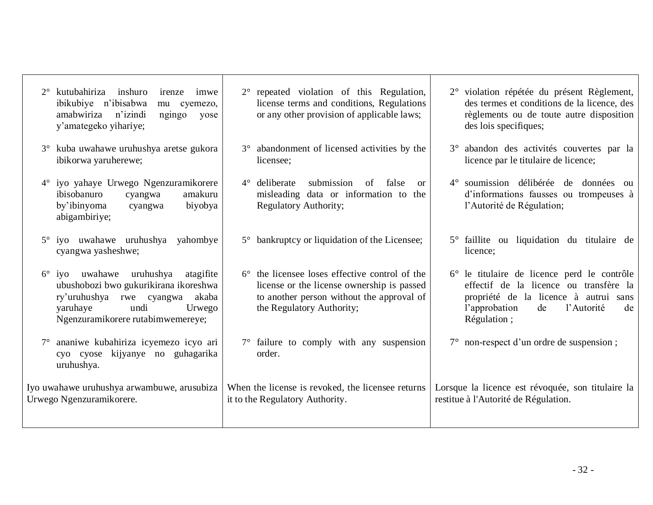|             | kutubahiriza inshuro<br>irenze<br>imwe<br>ibikubiye n'ibisabwa<br>mu cyemezo,<br>amabwiriza<br>n'izindi<br>ngingo<br>yose<br>y'amategeko yihariye;                               |             | $2^{\circ}$ repeated violation of this Regulation,<br>license terms and conditions, Regulations<br>or any other provision of applicable laws;                       | 2° violation répétée du présent Règlement,<br>des termes et conditions de la licence, des<br>règlements ou de toute autre disposition<br>des lois specifiques;                           |
|-------------|----------------------------------------------------------------------------------------------------------------------------------------------------------------------------------|-------------|---------------------------------------------------------------------------------------------------------------------------------------------------------------------|------------------------------------------------------------------------------------------------------------------------------------------------------------------------------------------|
| $3^\circ$   | kuba uwahawe uruhushya aretse gukora<br>ibikorwa yaruherewe;                                                                                                                     | $3^\circ$   | abandonment of licensed activities by the<br>licensee;                                                                                                              | 3° abandon des activités couvertes par la<br>licence par le titulaire de licence;                                                                                                        |
| $4^{\circ}$ | iyo yahaye Urwego Ngenzuramikorere<br>ibisobanuro<br>amakuru<br>cyangwa<br>by'ibinyoma<br>biyobya<br>cyangwa<br>abigambiriye;                                                    | $4^{\circ}$ | submission<br>deliberate<br>false<br>of<br>$\alpha$<br>misleading data or information to the<br>Regulatory Authority;                                               | 4° soumission délibérée de données ou<br>d'informations fausses ou trompeuses à<br>l'Autorité de Régulation;                                                                             |
| $5^{\circ}$ | iyo uwahawe uruhushya yahombye<br>cyangwa yasheshwe;                                                                                                                             |             | 5° bankruptcy or liquidation of the Licensee;                                                                                                                       | 5° faillite ou liquidation du titulaire de<br>licence;                                                                                                                                   |
| $6^{\circ}$ | iyo uwahawe uruhushya atagifite<br>ubushobozi bwo gukurikirana ikoreshwa<br>ry'uruhushya rwe cyangwa<br>akaba<br>undi<br>yaruhaye<br>Urwego<br>Ngenzuramikorere rutabimwemereye; | $6^{\circ}$ | the licensee loses effective control of the<br>license or the license ownership is passed<br>to another person without the approval of<br>the Regulatory Authority; | 6° le titulaire de licence perd le contrôle<br>effectif de la licence ou transfère la<br>propriété de la licence à autrui sans<br>l'approbation<br>l'Autorité<br>de<br>de<br>Régulation; |
|             | ananiwe kubahiriza icyemezo icyo ari<br>cyo cyose kijyanye no guhagarika<br>uruhushya.                                                                                           |             | $7^\circ$ failure to comply with any suspension<br>order.                                                                                                           | 7° non-respect d'un ordre de suspension;                                                                                                                                                 |
|             | Iyo uwahawe uruhushya arwambuwe, arusubiza<br>Urwego Ngenzuramikorere.                                                                                                           |             | When the license is revoked, the licensee returns<br>it to the Regulatory Authority.                                                                                | Lorsque la licence est révoquée, son titulaire la<br>restitue à l'Autorité de Régulation.                                                                                                |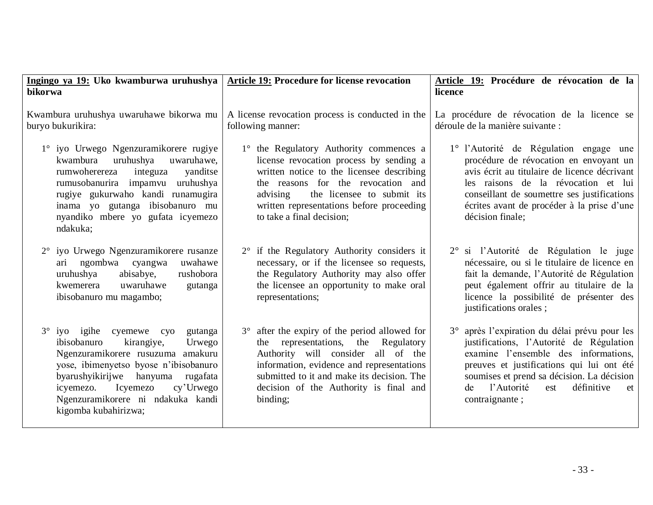| Ingingo ya 19: Uko kwamburwa uruhushya<br>bikorwa                                                                                                                                                                                                                                                      | <b>Article 19: Procedure for license revocation</b>                                                                                                                                                                                                                                       | Article 19: Procédure de révocation de la<br>licence                                                                                                                                                                                                                                          |  |  |
|--------------------------------------------------------------------------------------------------------------------------------------------------------------------------------------------------------------------------------------------------------------------------------------------------------|-------------------------------------------------------------------------------------------------------------------------------------------------------------------------------------------------------------------------------------------------------------------------------------------|-----------------------------------------------------------------------------------------------------------------------------------------------------------------------------------------------------------------------------------------------------------------------------------------------|--|--|
| Kwambura uruhushya uwaruhawe bikorwa mu<br>buryo bukurikira:                                                                                                                                                                                                                                           | A license revocation process is conducted in the<br>following manner:                                                                                                                                                                                                                     | La procédure de révocation de la licence se<br>déroule de la manière suivante :                                                                                                                                                                                                               |  |  |
| 1° iyo Urwego Ngenzuramikorere rugiye<br>uruhushya<br>kwambura<br>uwaruhawe,<br>integuza<br>rumwoherereza<br>yanditse<br>rumusobanurira impamvu uruhushya<br>rugiye gukurwaho kandi runamugira<br>inama yo gutanga ibisobanuro mu<br>nyandiko mbere yo gufata icyemezo<br>ndakuka;                     | 1° the Regulatory Authority commences a<br>license revocation process by sending a<br>written notice to the licensee describing<br>the reasons for the revocation and<br>the licensee to submit its<br>advising<br>written representations before proceeding<br>to take a final decision; | 1° l'Autorité de Régulation engage une<br>procédure de révocation en envoyant un<br>avis écrit au titulaire de licence décrivant<br>les raisons de la révocation et lui<br>conseillant de soumettre ses justifications<br>écrites avant de procéder à la prise d'une<br>décision finale;      |  |  |
| 2° iyo Urwego Ngenzuramikorere rusanze<br>ngombwa cyangwa<br>uwahawe<br>ari<br>abisabye,<br>rushobora<br>uruhushya<br>uwaruhawe<br>kwemerera<br>gutanga<br>ibisobanuro mu magambo;                                                                                                                     | 2° if the Regulatory Authority considers it<br>necessary, or if the licensee so requests,<br>the Regulatory Authority may also offer<br>the licensee an opportunity to make oral<br>representations;                                                                                      | 2° si l'Autorité de Régulation le juge<br>nécessaire, ou si le titulaire de licence en<br>fait la demande, l'Autorité de Régulation<br>peut également offrir au titulaire de la<br>licence la possibilité de présenter des<br>justifications orales;                                          |  |  |
| $3^{\circ}$ iyo igihe cyemewe cyo<br>gutanga<br>ibisobanuro<br>kirangiye,<br>Urwego<br>Ngenzuramikorere rusuzuma amakuru<br>yose, ibimenyetso byose n'ibisobanuro<br>byarushyikirijwe hanyuma rugafata<br>cy'Urwego<br>icyemezo. Icyemezo<br>Ngenzuramikorere ni ndakuka kandi<br>kigomba kubahirizwa; | 3° after the expiry of the period allowed for<br>the representations, the Regulatory<br>Authority will consider all of the<br>information, evidence and representations<br>submitted to it and make its decision. The<br>decision of the Authority is final and<br>binding;               | 3° après l'expiration du délai prévu pour les<br>justifications, l'Autorité de Régulation<br>examine l'ensemble des informations,<br>preuves et justifications qui lui ont été<br>soumises et prend sa décision. La décision<br>l'Autorité<br>définitive<br>est<br>de<br>et<br>contraignante; |  |  |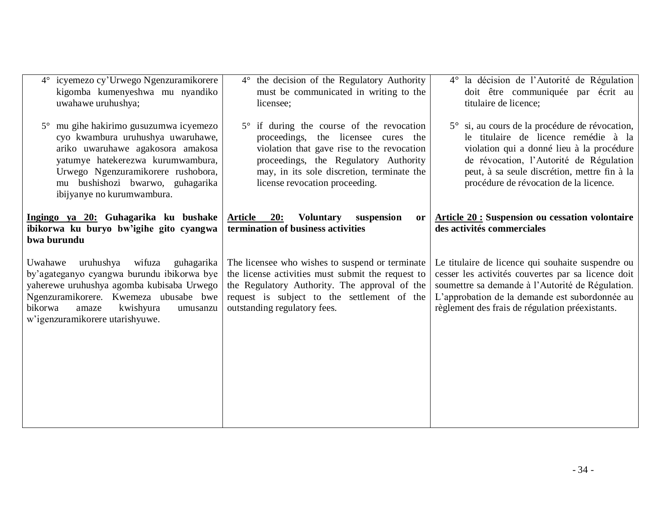| 4° icyemezo cy'Urwego Ngenzuramikorere<br>kigomba kumenyeshwa mu nyandiko<br>uwahawe uruhushya;                                                                                                                                                            | 4° the decision of the Regulatory Authority<br>must be communicated in writing to the<br>licensee;                                                                                                                                                             | 4° la décision de l'Autorité de Régulation<br>doit être communiquée par écrit au<br>titulaire de licence;                                                                                                                                                                |
|------------------------------------------------------------------------------------------------------------------------------------------------------------------------------------------------------------------------------------------------------------|----------------------------------------------------------------------------------------------------------------------------------------------------------------------------------------------------------------------------------------------------------------|--------------------------------------------------------------------------------------------------------------------------------------------------------------------------------------------------------------------------------------------------------------------------|
| mu gihe hakirimo gusuzumwa icyemezo<br>cyo kwambura uruhushya uwaruhawe,<br>ariko uwaruhawe agakosora amakosa<br>yatumye hatekerezwa kurumwambura,<br>Urwego Ngenzuramikorere rushobora,<br>mu bushishozi bwarwo, guhagarika<br>ibijyanye no kurumwambura. | $5^\circ$ if during the course of the revocation<br>proceedings, the licensee cures the<br>violation that gave rise to the revocation<br>proceedings, the Regulatory Authority<br>may, in its sole discretion, terminate the<br>license revocation proceeding. | 5° si, au cours de la procédure de révocation,<br>le titulaire de licence remédie à la<br>violation qui a donné lieu à la procédure<br>de révocation, l'Autorité de Régulation<br>peut, à sa seule discrétion, mettre fin à la<br>procédure de révocation de la licence. |
| Ingingo ya 20: Guhagarika ku bushake<br>ibikorwa ku buryo bw'igihe gito cyangwa<br>bwa burundu                                                                                                                                                             | Article 20:<br><b>Voluntary</b><br>suspension<br>or<br>termination of business activities                                                                                                                                                                      | <b>Article 20: Suspension ou cessation volontaire</b><br>des activités commerciales                                                                                                                                                                                      |
| Uwahawe uruhushya wifuza<br>guhagarika<br>by'agateganyo cyangwa burundu ibikorwa bye<br>yaherewe uruhushya agomba kubisaba Urwego<br>Ngenzuramikorere. Kwemeza ubusabe bwe<br>kwishyura<br>bikorwa<br>amaze<br>umusanzu<br>w'igenzuramikorere utarishyuwe. | The licensee who wishes to suspend or terminate<br>the license activities must submit the request to<br>the Regulatory Authority. The approval of the<br>request is subject to the settlement of the<br>outstanding regulatory fees.                           | Le titulaire de licence qui souhaite suspendre ou<br>cesser les activités couvertes par sa licence doit<br>soumettre sa demande à l'Autorité de Régulation.<br>L'approbation de la demande est subordonnée au<br>règlement des frais de régulation préexistants.         |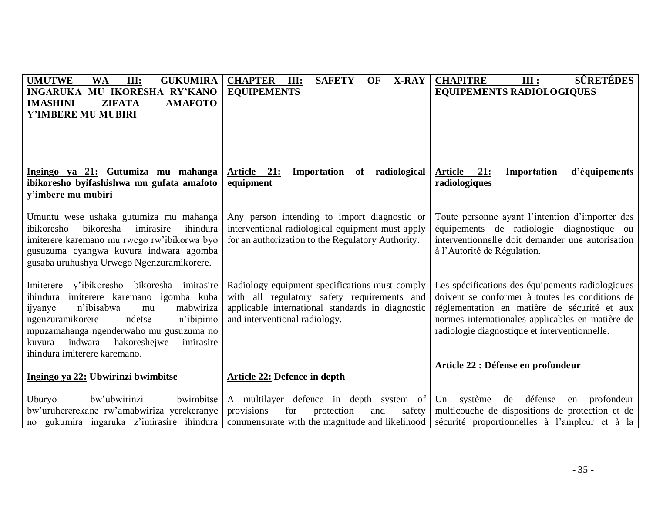| <b>UMUTWE</b><br><b>WA</b><br>III:<br><b>GUKUMIRA</b><br>INGARUKA MU IKORESHA RY'KANO<br><b>ZIFATA</b><br><b>AMAFOTO</b><br><b>IMASHINI</b><br>Y'IMBERE MU MUBIRI                                                                                                                                            | <b>CHAPTER</b><br>III:<br><b>SAFETY</b><br>OF<br><b>X-RAY</b><br><b>EQUIPEMENTS</b>                                                                                                | <b>SÛRETÉDES</b><br><b>CHAPITRE</b><br>III:<br><b>EQUIPEMENTS RADIOLOGIQUES</b>                                                                                                                                                                          |
|--------------------------------------------------------------------------------------------------------------------------------------------------------------------------------------------------------------------------------------------------------------------------------------------------------------|------------------------------------------------------------------------------------------------------------------------------------------------------------------------------------|----------------------------------------------------------------------------------------------------------------------------------------------------------------------------------------------------------------------------------------------------------|
| Ingingo ya 21: Gutumiza mu mahanga<br>ibikoresho byifashishwa mu gufata amafoto<br>y'imbere mu mubiri                                                                                                                                                                                                        | Article 21: Importation of radiological<br>equipment                                                                                                                               | Article 21:<br>Importation<br>d'équipements<br>radiologiques                                                                                                                                                                                             |
| Umuntu wese ushaka gutumiza mu mahanga<br>ibikoresho<br>bikoresha<br>imirasire<br>ihindura<br>imiterere karemano mu rwego rw'ibikorwa byo<br>gusuzuma cyangwa kuvura indwara agomba<br>gusaba uruhushya Urwego Ngenzuramikorere.                                                                             | Any person intending to import diagnostic or<br>interventional radiological equipment must apply<br>for an authorization to the Regulatory Authority.                              | Toute personne ayant l'intention d'importer des<br>équipements de radiologie diagnostique ou<br>interventionnelle doit demander une autorisation<br>à l'Autorité de Régulation.                                                                          |
| Imiterere y'ibikoresho bikoresha imirasire<br>imiterere karemano igomba kuba<br>ihindura<br>n'ibisabwa<br>mabwiriza<br>ijyanye<br>mu<br>ngenzuramikorere<br>ndetse<br>n'ibipimo<br>mpuzamahanga ngenderwaho mu gusuzuma no<br>indwara<br>hakoreshejwe<br>imirasire<br>kuvura<br>ihindura imiterere karemano. | Radiology equipment specifications must comply<br>with all regulatory safety requirements and<br>applicable international standards in diagnostic<br>and interventional radiology. | Les spécifications des équipements radiologiques<br>doivent se conformer à toutes les conditions de<br>réglementation en matière de sécurité et aux<br>normes internationales applicables en matière de<br>radiologie diagnostique et interventionnelle. |
| Ingingo ya 22: Ubwirinzi bwimbitse                                                                                                                                                                                                                                                                           | Article 22: Defence in depth                                                                                                                                                       | Article 22 : Défense en profondeur                                                                                                                                                                                                                       |
| Uburyo<br>bw'ubwirinzi<br>bwimbitse<br>bw'uruhererekane rw'amabwiriza yerekeranye<br>no gukumira ingaruka z'imirasire ihindura                                                                                                                                                                               | A multilayer defence in depth system of<br>provisions<br>for<br>protection<br>and<br>safety<br>commensurate with the magnitude and likelihood                                      | Un système<br>de défense<br>profondeur<br>en<br>multicouche de dispositions de protection et de<br>sécurité proportionnelles à l'ampleur et à la                                                                                                         |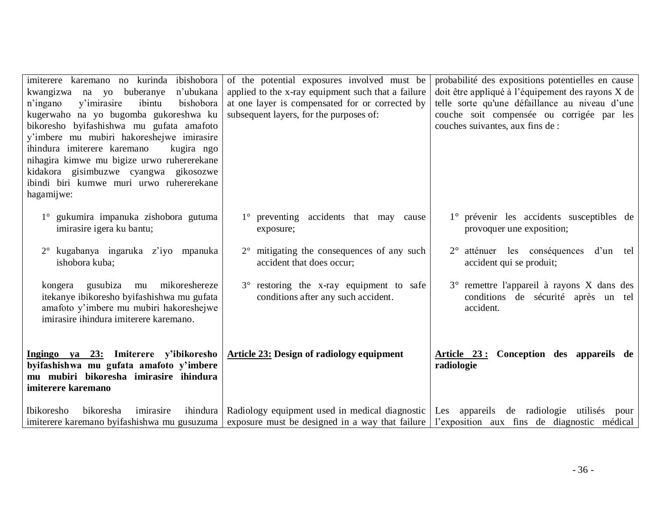| imiterere karemano no kurinda<br>ibishobora<br>n'ubukana<br>buberanye<br>kwangizwa na yo<br>y'imirasire<br>ibintu<br>bishobora<br>n'ingano<br>kugerwaho na yo bugomba gukoreshwa ku<br>bikoresho byifashishwa mu gufata amafoto<br>y'imbere mu mubiri hakoreshejwe imirasire<br>ihindura imiterere karemano<br>kugira ngo<br>nihagira kimwe mu bigize urwo ruhererekane<br>kidakora gisimbuzwe cyangwa gikosozwe<br>ibindi biri kumwe muri urwo ruhererekane<br>hagamijwe: | of the potential exposures involved must be<br>applied to the x-ray equipment such that a failure<br>at one layer is compensated for or corrected by<br>subsequent layers, for the purposes of: | probabilité des expositions potentielles en cause<br>doit être appliqué à l'équipement des rayons X de<br>telle sorte qu'une défaillance au niveau d'une<br>couche soit compensée ou corrigée par les<br>couches suivantes, aux fins de : |
|----------------------------------------------------------------------------------------------------------------------------------------------------------------------------------------------------------------------------------------------------------------------------------------------------------------------------------------------------------------------------------------------------------------------------------------------------------------------------|-------------------------------------------------------------------------------------------------------------------------------------------------------------------------------------------------|-------------------------------------------------------------------------------------------------------------------------------------------------------------------------------------------------------------------------------------------|
| 1° gukumira impanuka zishobora gutuma<br>imirasire igera ku bantu;                                                                                                                                                                                                                                                                                                                                                                                                         | 1° preventing accidents that may cause<br>exposure;                                                                                                                                             | 1° prévenir les accidents susceptibles de<br>provoquer une exposition;                                                                                                                                                                    |
| 2° kugabanya ingaruka z'iyo mpanuka<br>ishobora kuba;                                                                                                                                                                                                                                                                                                                                                                                                                      | mitigating the consequences of any such<br>$2^{\circ}$<br>accident that does occur;                                                                                                             | atténuer les conséquences<br>d'un tel<br>accident qui se produit;                                                                                                                                                                         |
| mu mikoreshereze<br>kongera gusubiza<br>itekanye ibikoresho byifashishwa mu gufata<br>amafoto y'imbere mu mubiri hakoreshejwe<br>imirasire ihindura imiterere karemano.                                                                                                                                                                                                                                                                                                    | 3° restoring the x-ray equipment to safe<br>conditions after any such accident.                                                                                                                 | 3° remettre l'appareil à rayons X dans des<br>conditions de sécurité après un tel<br>accident.                                                                                                                                            |
| Ingingo ya 23: Imiterere y'ibikoresho<br>byifashishwa mu gufata amafoto y'imbere<br>mu mubiri bikoresha imirasire ihindura<br>imiterere karemano                                                                                                                                                                                                                                                                                                                           | <b>Article 23: Design of radiology equipment</b>                                                                                                                                                | Article 23: Conception des appareils de<br>radiologie                                                                                                                                                                                     |
| <b>Ibikoresho</b><br>bikoresha<br>imirasire<br>ihindura<br>imiterere karemano byifashishwa mu gusuzuma                                                                                                                                                                                                                                                                                                                                                                     | Radiology equipment used in medical diagnostic<br>exposure must be designed in a way that failure $\frac{1}{2}$ rexposition aux fins de diagnostic médical                                      | Les appareils de radiologie utilisés<br>pour                                                                                                                                                                                              |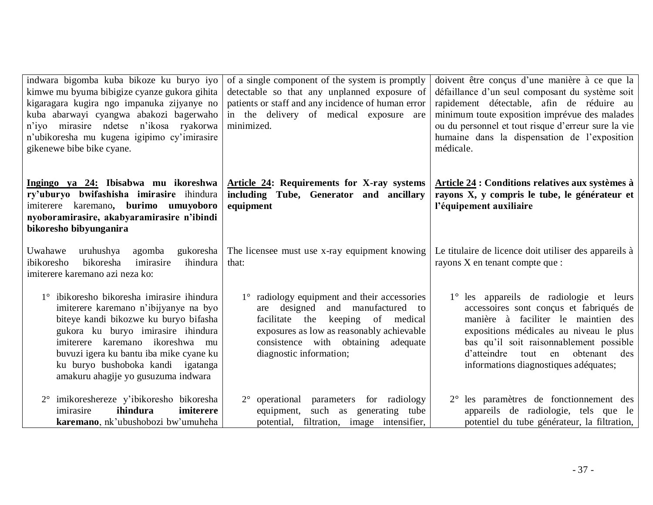| indwara bigomba kuba bikoze ku buryo iyo<br>kimwe mu byuma bibigize cyanze gukora gihita<br>kigaragara kugira ngo impanuka zijyanye no<br>kuba abarwayi cyangwa abakozi bagerwaho<br>n'iyo mirasire ndetse n'ikosa ryakorwa<br>n'ubikoresha mu kugena igipimo cy'imirasire<br>gikenewe bibe bike cyane.                      | of a single component of the system is promptly<br>detectable so that any unplanned exposure of<br>patients or staff and any incidence of human error<br>in the delivery of medical exposure are<br>minimized.                          | doivent être conçus d'une manière à ce que la<br>défaillance d'un seul composant du système soit<br>rapidement détectable, afin de réduire au<br>minimum toute exposition imprévue des malades<br>ou du personnel et tout risque d'erreur sure la vie<br>humaine dans la dispensation de l'exposition<br>médicale. |
|------------------------------------------------------------------------------------------------------------------------------------------------------------------------------------------------------------------------------------------------------------------------------------------------------------------------------|-----------------------------------------------------------------------------------------------------------------------------------------------------------------------------------------------------------------------------------------|--------------------------------------------------------------------------------------------------------------------------------------------------------------------------------------------------------------------------------------------------------------------------------------------------------------------|
| Ingingo ya 24: Ibisabwa mu ikoreshwa<br>ry'uburyo bwifashisha imirasire ihindura<br>imiterere karemano, burimo umuyoboro<br>nyoboramirasire, akabyaramirasire n'ibindi<br>bikoresho bibyunganira                                                                                                                             | Article 24: Requirements for X-ray systems<br>including Tube, Generator and ancillary<br>equipment                                                                                                                                      | Article 24 : Conditions relatives aux systèmes à<br>rayons X, y compris le tube, le générateur et<br>l'équipement auxiliaire                                                                                                                                                                                       |
| Uwahawe<br>gukoresha<br>uruhushya<br>agomba<br>bikoresha<br>ihindura<br>ibikoresho<br>imirasire<br>imiterere karemano azi neza ko:                                                                                                                                                                                           | The licensee must use x-ray equipment knowing<br>that:                                                                                                                                                                                  | Le titulaire de licence doit utiliser des appareils à<br>rayons X en tenant compte que :                                                                                                                                                                                                                           |
| 1° ibikoresho bikoresha imirasire ihindura<br>imiterere karemano n'ibijyanye na byo<br>biteye kandi bikozwe ku buryo bifasha<br>gukora ku buryo imirasire ihindura<br>imiterere karemano ikoreshwa mu<br>buvuzi igera ku bantu iba mike cyane ku<br>ku buryo bushoboka kandi igatanga<br>amakuru ahagije yo gusuzuma indwara | 1° radiology equipment and their accessories<br>are designed and manufactured to<br>facilitate the keeping of medical<br>exposures as low as reasonably achievable<br>consistence with obtaining<br>adequate<br>diagnostic information; | 1° les appareils de radiologie et leurs<br>accessoires sont conçus et fabriqués de<br>manière à faciliter le maintien des<br>expositions médicales au niveau le plus<br>bas qu'il soit raisonnablement possible<br>obtenant des<br>d'atteindre tout<br>en<br>informations diagnostiques adéquates;                 |
| 2° imikoreshereze y'ibikoresho bikoresha<br>ihindura<br>imiterere<br>imirasire<br>karemano, nk'ubushobozi bw'umuheha                                                                                                                                                                                                         | 2° operational parameters for radiology<br>equipment, such as generating tube<br>potential, filtration, image intensifier,                                                                                                              | 2° les paramètres de fonctionnement des<br>appareils de radiologie, tels que le<br>potentiel du tube générateur, la filtration,                                                                                                                                                                                    |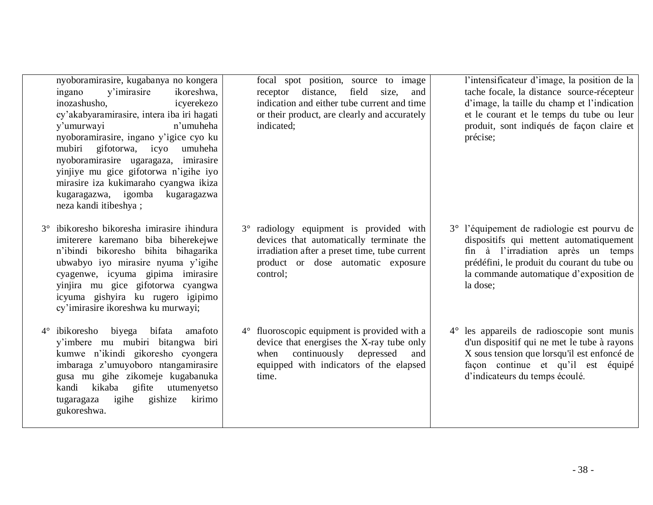nyoboramirasire, kugabanya no kongera ingano y'imirasire ikoreshwa, inozashusho, icyerekezo cy'akabyaramirasire, intera iba iri hagati y'umurwayi n'umuheha nyoboramirasire, ingano y'igice cyo ku mubiri gifotorwa, icyo umuheha nyoboramirasire ugaragaza, imirasire yinjiye mu gice gifotorwa n'igihe iyo mirasire iza kukimaraho cyangwa ikiza kugaragazwa, igomba kugaragazwa neza kandi itibeshya ;

- 3° ibikoresho bikoresha imirasire ihindura imiterere karemano biba biherekejwe n'ibindi bikoresho bihita bihagarika ubwabyo iyo mirasire nyuma y'igihe cyagenwe, icyuma gipima imirasire yinjira mu gice gifotorwa cyangwa icyuma gishyira ku rugero igipimo cy'imirasire ikoreshwa ku murwayi;
- 4° ibikoresho biyega bifata amafoto y'imbere mu mubiri bitangwa biri kumwe n'ikindi gikoresho cyongera imbaraga z'umuyoboro ntangamirasire gusa mu gihe zikomeje kugabanuka kandi kikaba gifite utumenyetso tugaragaza igihe gishize kirimo gukoreshwa.

focal spot position, source to image receptor distance, field size, and indication and either tube current and time or their product, are clearly and accurately indicated;

3° radiology equipment is provided with devices that automatically terminate the irradiation after a preset time, tube current product or dose automatic exposure control;

4° fluoroscopic equipment is provided with a device that energises the X-ray tube only when continuously depressed and equipped with indicators of the elapsed time.

l'intensificateur d'image, la position de la tache focale, la distance source-récepteur d'image, la taille du champ et l'indication et le courant et le temps du tube ou leur produit, sont indiqués de façon claire et précise;

- 3° l'équipement de radiologie est pourvu de dispositifs qui mettent automatiquement fin à l'irradiation après un temps prédéfini, le produit du courant du tube ou la commande automatique d'exposition de la dose;
- 4° les appareils de radioscopie sont munis d'un dispositif qui ne met le tube à rayons X sous tension que lorsqu'il est enfoncé de façon continue et qu'il est équipé d'indicateurs du temps écoulé.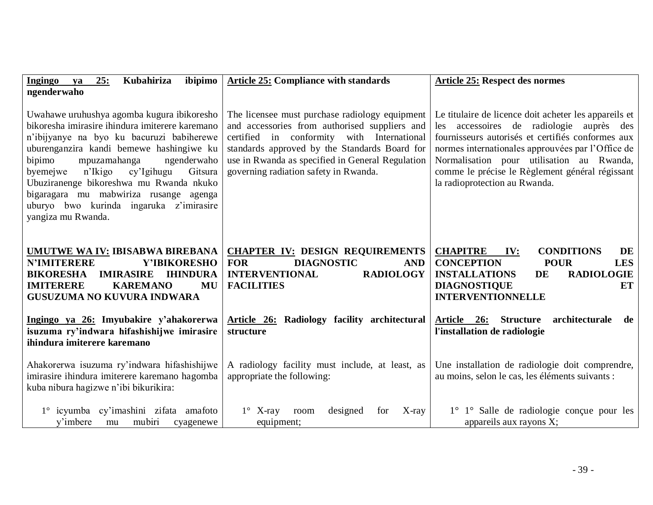| 25:<br>Kubahiriza<br>ibipimo<br>Ingingo<br>ya<br>ngenderwaho                                                                                                                                                                                                                                                                                                                                                                          | <b>Article 25: Compliance with standards</b>                                                                                                                                                                                                                                                | <b>Article 25: Respect des normes</b>                                                                                                                                                                                                                                                                                                        |
|---------------------------------------------------------------------------------------------------------------------------------------------------------------------------------------------------------------------------------------------------------------------------------------------------------------------------------------------------------------------------------------------------------------------------------------|---------------------------------------------------------------------------------------------------------------------------------------------------------------------------------------------------------------------------------------------------------------------------------------------|----------------------------------------------------------------------------------------------------------------------------------------------------------------------------------------------------------------------------------------------------------------------------------------------------------------------------------------------|
| Uwahawe uruhushya agomba kugura ibikoresho<br>bikoresha imirasire ihindura imiterere karemano<br>n'ibijyanye na byo ku bacuruzi babiherewe<br>uburenganzira kandi bemewe hashingiwe ku<br>bipimo<br>ngenderwaho<br>mpuzamahanga<br>cy'Igihugu<br>n'Ikigo<br>Gitsura<br>byemejwe<br>Ubuziranenge bikoreshwa mu Rwanda nkuko<br>bigaragara mu mabwiriza rusange agenga<br>uburyo bwo kurinda ingaruka z'imirasire<br>yangiza mu Rwanda. | The licensee must purchase radiology equipment<br>and accessories from authorised suppliers and<br>certified in conformity with International<br>standards approved by the Standards Board for<br>use in Rwanda as specified in General Regulation<br>governing radiation safety in Rwanda. | Le titulaire de licence doit acheter les appareils et<br>les accessoires de radiologie auprès des<br>fournisseurs autorisés et certifiés conformes aux<br>normes internationales approuvées par l'Office de<br>Normalisation pour utilisation au Rwanda,<br>comme le précise le Règlement général régissant<br>la radioprotection au Rwanda. |
| UMUTWE WA IV: IBISABWA BIREBANA<br><b>N'IMITERERE</b><br>Y'IBIKORESHO<br><b>IMIRASIRE</b><br><b>BIKORESHA</b><br><b>IHINDURA</b><br><b>IMITERERE</b><br><b>KAREMANO</b><br>MU<br><b>GUSUZUMA NO KUVURA INDWARA</b>                                                                                                                                                                                                                    | <b>CHAPTER IV: DESIGN REQUIREMENTS</b><br><b>FOR</b><br><b>DIAGNOSTIC</b><br><b>AND</b><br><b>INTERVENTIONAL</b><br><b>RADIOLOGY</b><br><b>FACILITIES</b>                                                                                                                                   | <b>CHAPITRE</b><br><b>CONDITIONS</b><br>DE<br>IV:<br><b>CONCEPTION</b><br><b>POUR</b><br><b>LES</b><br><b>INSTALLATIONS</b><br><b>RADIOLOGIE</b><br>DE<br><b>DIAGNOSTIQUE</b><br>ET<br><b>INTERVENTIONNELLE</b>                                                                                                                              |
| Ingingo ya 26: Imyubakire y'ahakorerwa<br>isuzuma ry'indwara hifashishijwe imirasire<br>ihindura imiterere karemano                                                                                                                                                                                                                                                                                                                   | Article 26: Radiology facility architectural<br>structure                                                                                                                                                                                                                                   | Article 26:<br><b>Structure</b><br>architecturale de<br>l'installation de radiologie                                                                                                                                                                                                                                                         |
| Ahakorerwa isuzuma ry'indwara hifashishijwe<br>imirasire ihindura imiterere karemano hagomba<br>kuba nibura hagizwe n'ibi bikurikira:                                                                                                                                                                                                                                                                                                 | A radiology facility must include, at least, as<br>appropriate the following:                                                                                                                                                                                                               | Une installation de radiologie doit comprendre,<br>au moins, selon le cas, les éléments suivants :                                                                                                                                                                                                                                           |
| 1° icyumba cy'imashini zifata amafoto<br>mubiri<br>y'imbere<br>mu<br>cyagenewe                                                                                                                                                                                                                                                                                                                                                        | designed<br>$1^{\circ}$ X-ray<br>room<br>for<br>$X$ -ray<br>equipment;                                                                                                                                                                                                                      | 1° 1° Salle de radiologie conçue pour les<br>appareils aux rayons X;                                                                                                                                                                                                                                                                         |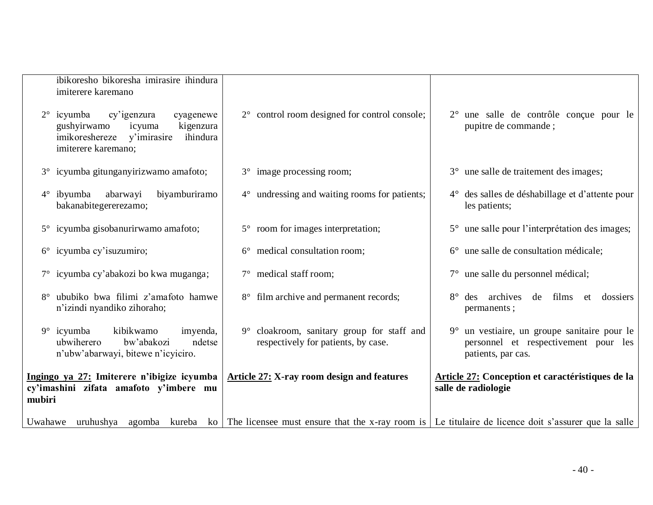| ibikoresho bikoresha imirasire ihindura<br>imiterere karemano<br>$2^{\circ}$ icyumba<br>cy'igenzura<br>cyagenewe<br>gushyirwamo<br>kigenzura<br>icyuma | 2° control room designed for control console;                                                                        | 2° une salle de contrôle conçue pour le<br>pupitre de commande;                                            |
|--------------------------------------------------------------------------------------------------------------------------------------------------------|----------------------------------------------------------------------------------------------------------------------|------------------------------------------------------------------------------------------------------------|
| imikoreshereze y'imirasire<br>ihindura<br>imiterere karemano;                                                                                          |                                                                                                                      |                                                                                                            |
| 3° icyumba gitunganyirizwamo amafoto;                                                                                                                  | 3° image processing room;                                                                                            | 3° une salle de traitement des images;                                                                     |
| $4^\circ$ ibyumba<br>abarwayi<br>biyamburiramo<br>bakanabitegererezamo;                                                                                | 4° undressing and waiting rooms for patients;                                                                        | 4° des salles de déshabillage et d'attente pour<br>les patients;                                           |
| 5° icyumba gisobanurirwamo amafoto;                                                                                                                    | 5° room for images interpretation;                                                                                   | 5° une salle pour l'interprétation des images;                                                             |
| $6^{\circ}$ icyumba cy'isuzumiro;                                                                                                                      | 6° medical consultation room;                                                                                        | 6° une salle de consultation médicale;                                                                     |
| 7° icyumba cy'abakozi bo kwa muganga;                                                                                                                  | 7° medical staff room;                                                                                               | 7° une salle du personnel médical;                                                                         |
| ububiko bwa filimi z'amafoto hamwe<br>n'izindi nyandiko zihoraho;                                                                                      | 8° film archive and permanent records;                                                                               | 8° des archives de films et dossiers<br>permanents;                                                        |
| kibikwamo<br>$9^\circ$ icyumba<br>imyenda,<br>ubwiherero<br>bw'abakozi<br>ndetse<br>n'ubw'abarwayi, bitewe n'icyiciro.                                 | 9° cloakroom, sanitary group for staff and<br>respectively for patients, by case.                                    | 9° un vestiaire, un groupe sanitaire pour le<br>personnel et respectivement pour les<br>patients, par cas. |
| Ingingo ya 27: Imiterere n'ibigize icyumba<br>cy'imashini zifata amafoto y'imbere mu<br>mubiri                                                         | <b>Article 27: X-ray room design and features</b>                                                                    | Article 27: Conception et caractéristiques de la<br>salle de radiologie                                    |
| Uwahawe<br>uruhushya                                                                                                                                   | agomba kureba ko The licensee must ensure that the x-ray room is Le titulaire de licence doit s'assurer que la salle |                                                                                                            |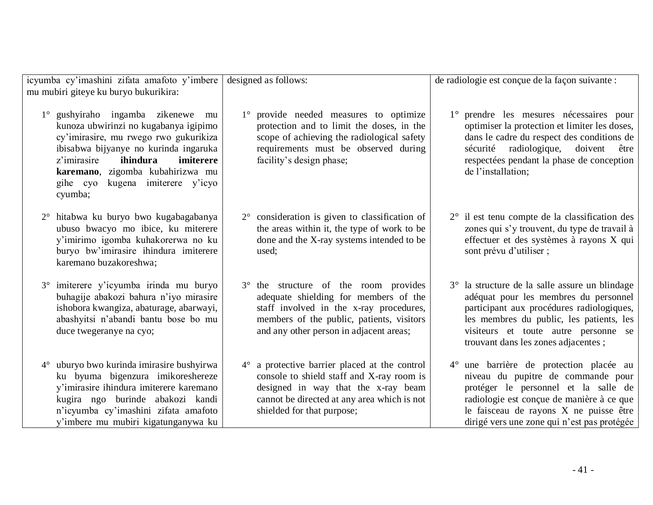| icyumba cy'imashini zifata amafoto y'imbere |                                                                                                                                                                                                                                                                                            | designed as follows:                                                                                                                                                                                                  | de radiologie est conçue de la façon suivante :                                                                                                                                                                                                                 |
|---------------------------------------------|--------------------------------------------------------------------------------------------------------------------------------------------------------------------------------------------------------------------------------------------------------------------------------------------|-----------------------------------------------------------------------------------------------------------------------------------------------------------------------------------------------------------------------|-----------------------------------------------------------------------------------------------------------------------------------------------------------------------------------------------------------------------------------------------------------------|
| mu mubiri giteye ku buryo bukurikira:       |                                                                                                                                                                                                                                                                                            |                                                                                                                                                                                                                       |                                                                                                                                                                                                                                                                 |
| $1^{\circ}$                                 | gushyiraho ingamba zikenewe<br>mu<br>kunoza ubwirinzi no kugabanya igipimo<br>cy'imirasire, mu rwego rwo gukurikiza<br>ibisabwa bijyanye no kurinda ingaruka<br>ihindura<br>imiterere<br>z'imirasire<br>karemano, zigomba kubahirizwa mu<br>kugena imiterere y'icyo<br>gihe cyo<br>cyumba; | 1° provide needed measures to optimize<br>protection and to limit the doses, in the<br>scope of achieving the radiological safety<br>requirements must be observed during<br>facility's design phase;                 | prendre les mesures nécessaires pour<br>optimiser la protection et limiter les doses,<br>dans le cadre du respect des conditions de<br>sécurité radiologique,<br>doivent<br>être<br>respectées pendant la phase de conception<br>de l'installation;             |
| $2^{\circ}$                                 | hitabwa ku buryo bwo kugabagabanya<br>ubuso bwacyo mo ibice, ku miterere<br>y'imirimo igomba kuhakorerwa no ku<br>buryo bw'imirasire ihindura imiterere<br>karemano buzakoreshwa;                                                                                                          | 2° consideration is given to classification of<br>the areas within it, the type of work to be<br>done and the X-ray systems intended to be<br>used;                                                                   | $2^{\circ}$ il est tenu compte de la classification des<br>zones qui s'y trouvent, du type de travail à<br>effectuer et des systèmes à rayons X qui<br>sont prévu d'utiliser ;                                                                                  |
|                                             | imiterere y'icyumba irinda mu buryo<br>buhagije abakozi bahura n'iyo mirasire<br>ishobora kwangiza, abaturage, abarwayi,<br>abashyitsi n'abandi bantu bose bo mu<br>duce twegeranye na cyo;                                                                                                | 3° the structure of the room provides<br>adequate shielding for members of the<br>staff involved in the x-ray procedures,<br>members of the public, patients, visitors<br>and any other person in adjacent areas;     | 3° la structure de la salle assure un blindage<br>adéquat pour les membres du personnel<br>participant aux procédures radiologiques,<br>les membres du public, les patients, les<br>visiteurs et toute autre personne se<br>trouvant dans les zones adjacentes; |
| $4^{\circ}$                                 | uburyo bwo kurinda imirasire bushyirwa<br>ku byuma bigenzura imikoreshereze<br>y'imirasire ihindura imiterere karemano<br>kugira ngo burinde abakozi kandi<br>n'icyumba cy'imashini zifata amafoto<br>y'imbere mu mubiri kigatunganywa ku                                                  | $4^\circ$ a protective barrier placed at the control<br>console to shield staff and X-ray room is<br>designed in way that the x-ray beam<br>cannot be directed at any area which is not<br>shielded for that purpose; | 4° une barrière de protection placée au<br>niveau du pupitre de commande pour<br>protéger le personnel et la salle de<br>radiologie est conçue de manière à ce que<br>le faisceau de rayons X ne puisse être<br>dirigé vers une zone qui n'est pas protégée     |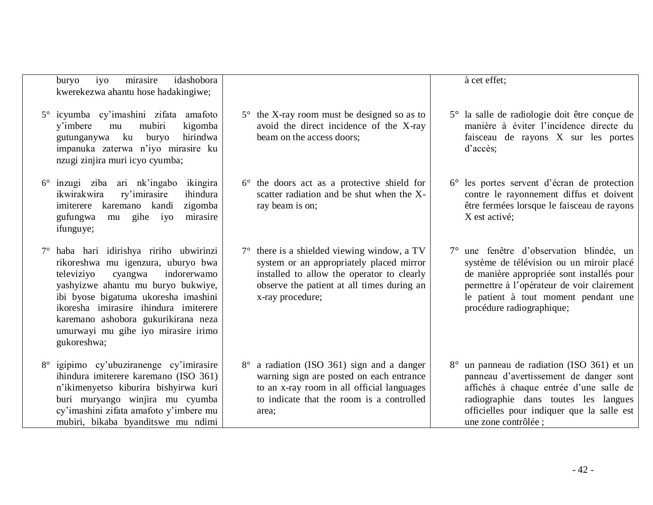|             | iyo<br>mirasire<br>idashobora<br>buryo<br>kwerekezwa ahantu hose hadakingiwe;                                                                                                                                                                                                                                                             |                                                                                                                                                                                                                  | à cet effet;                                                                                                                                                                                                                                         |
|-------------|-------------------------------------------------------------------------------------------------------------------------------------------------------------------------------------------------------------------------------------------------------------------------------------------------------------------------------------------|------------------------------------------------------------------------------------------------------------------------------------------------------------------------------------------------------------------|------------------------------------------------------------------------------------------------------------------------------------------------------------------------------------------------------------------------------------------------------|
|             | 5° icyumba cy'imashini zifata amafoto<br>mubiri<br>kigomba<br>v'imbere<br>mu<br>gutunganywa ku<br>buryo<br>hirindwa<br>impanuka zaterwa n'iyo mirasire ku<br>nzugi zinjira muri icyo cyumba;                                                                                                                                              | $5^{\circ}$ the X-ray room must be designed so as to<br>avoid the direct incidence of the X-ray<br>beam on the access doors;                                                                                     | 5° la salle de radiologie doit être conçue de<br>manière à éviter l'incidence directe du<br>faisceau de rayons X sur les portes<br>d'accès;                                                                                                          |
| $6^{\circ}$ | inzugi ziba ari nk'ingabo<br>ikingira<br>ikwirakwira<br>ry'imirasire<br>ihindura<br>kandi<br>karemano<br>zigomba<br>imiterere<br>gufungwa<br>gihe iyo<br>mirasire<br>mu<br>ifunguye;                                                                                                                                                      | $6^{\circ}$ the doors act as a protective shield for<br>scatter radiation and be shut when the X-<br>ray beam is on;                                                                                             | 6° les portes servent d'écran de protection<br>contre le rayonnement diffus et doivent<br>être fermées lorsque le faisceau de rayons<br>X est activé;                                                                                                |
|             | 7° haba hari idirishya ririho ubwirinzi<br>rikoreshwa mu igenzura, uburyo bwa<br>televiziyo<br>cyangwa<br>indorerwamo<br>yashyizwe ahantu mu buryo bukwiye,<br>ibi byose bigatuma ukoresha imashini<br>ikoresha imirasire ihindura imiterere<br>karemano ashobora gukurikirana neza<br>umurwayi mu gihe iyo mirasire irimo<br>gukoreshwa; | $7^{\circ}$ there is a shielded viewing window, a TV<br>system or an appropriately placed mirror<br>installed to allow the operator to clearly<br>observe the patient at all times during an<br>x-ray procedure; | 7° une fenêtre d'observation blindée, un<br>système de télévision ou un miroir placé<br>de manière appropriée sont installés pour<br>permettre à l'opérateur de voir clairement<br>le patient à tout moment pendant une<br>procédure radiographique; |
| $8^{\circ}$ | igipimo cy'ubuziranenge cy'imirasire<br>ihindura imiterere karemano (ISO 361)<br>n'ikimenyetso kiburira bishyirwa kuri<br>buri muryango winjira mu cyumba<br>cy'imashini zifata amafoto y'imbere mu<br>mubiri, bikaba byanditswe mu ndimi                                                                                                 | 8° a radiation (ISO 361) sign and a danger<br>warning sign are posted on each entrance<br>to an x-ray room in all official languages<br>to indicate that the room is a controlled<br>area;                       | 8° un panneau de radiation (ISO 361) et un<br>panneau d'avertissement de danger sont<br>affichés à chaque entrée d'une salle de<br>radiographie dans toutes les langues<br>officielles pour indiquer que la salle est<br>une zone contrôlée ;        |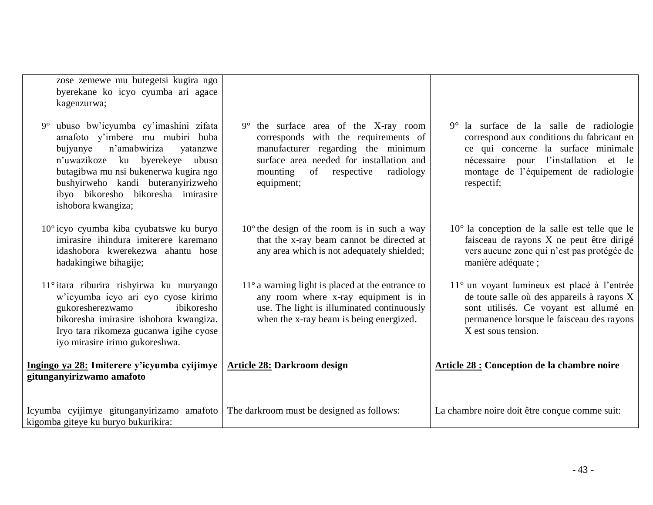zose zemewe mu butegetsi kugira ngo byerekane ko icyo cyumba ari agace kagenzurwa;

- 9° ubuso bw'icyumba cy'imashini zifata amafoto y'imbere mu mubiri buba bujyanye n'amabwiriza yatanzwe n'uwazikoze ku byerekeye ubuso butagibwa mu nsi bukenerwa kugira ngo bushyirweho kandi buteranyirizweho ibyo bikoresho bikoresha imirasire ishobora kwangiza;
- 10° icyo cyumba kiba cyubatswe ku buryo imirasire ihindura imiterere karemano idashobora kwerekezwa ahantu hose hadakingiwe bihagije;
- 11° itara riburira rishyirwa ku muryango w'icyumba icyo ari cyo cyose kirimo gukoresherezwamo ibikoresho bikoresha imirasire ishobora kwangiza. Iryo tara rikomeza gucanwa igihe cyose iyo mirasire irimo gukoreshwa.

**Ingingo ya 28: Imiterere y'icyumba cyijimye gitunganyirizwamo amafoto** 

- 9° the surface area of the X-ray room corresponds with the requirements of manufacturer regarding the minimum surface area needed for installation and mounting of respective radiology equipment;
- 10° the design of the room is in such a way that the x-ray beam cannot be directed at any area which is not adequately shielded;
- 11° a warning light is placed at the entrance to any room where x-ray equipment is in use. The light is illuminated continuously when the x-ray beam is being energized.
- 9° la surface de la salle de radiologie correspond aux conditions du fabricant en ce qui concerne la surface minimale nécessaire pour l'installation et le montage de l'équipement de radiologie respectif;
- 10° la conception de la salle est telle que le faisceau de rayons X ne peut être dirigé vers aucune zone qui n'est pas protégée de manière adéquate ;
- 11° un voyant lumineux est placé à l'entrée de toute salle où des appareils à rayons X sont utilisés. Ce voyant est allumé en permanence lorsque le faisceau des rayons X est sous tension.

**Article 28 : Conception de la chambre noire**

Icyumba cyijimye gitunganyirizamo amafoto kigomba giteye ku buryo bukurikira: The darkroom must be designed as follows: La chambre noire doit être conçue comme suit:

**Article 28: Darkroom design**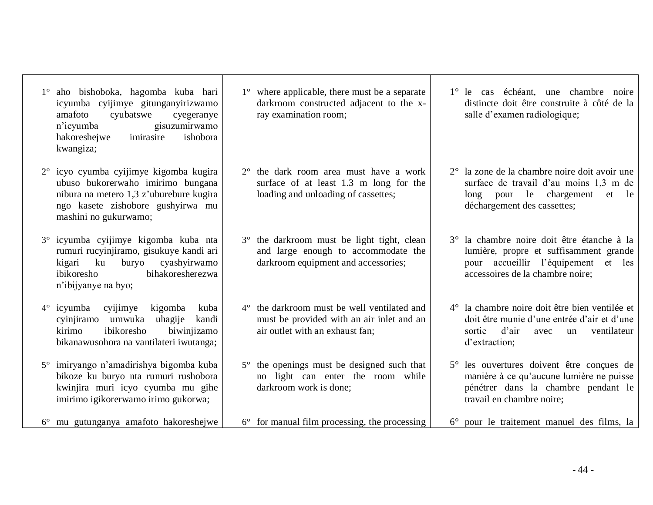| icyumba cyijimye gitunganyirizwamo<br>amafoto<br>cyubatswe<br>cyegeranye<br>n'icyumba<br>gisuzumirwamo<br>hakoreshejwe<br>imirasire<br>ishobora<br>kwangiza;                         | darkroom constructed adjacent to the x-<br>ray examination room;                                                                 | distincte doit ê<br>salle d'examen                                                |
|--------------------------------------------------------------------------------------------------------------------------------------------------------------------------------------|----------------------------------------------------------------------------------------------------------------------------------|-----------------------------------------------------------------------------------|
| 2° icyo cyumba cyijimye kigomba kugira<br>ubuso bukorerwaho imirimo bungana<br>nibura na metero 1,3 z'uburebure kugira<br>ngo kasete zishobore gushyirwa mu<br>mashini no gukurwamo; | $2^{\circ}$ the dark room area must have a work<br>surface of at least 1.3 m long for the<br>loading and unloading of cassettes; | $2^{\circ}$ la zone de la ch<br>surface de trav<br>long<br>pour<br>déchargement d |
| 3° icyumba cyijimye kigomba kuba nta<br>rumuri rucyinjiramo, gisukuye kandi ari<br>kigari ku buryo cyashyirwamo<br>bihakoresherezwa<br>ibikoresho<br>n'ibijyanye na byo;             | 3° the darkroom must be light tight, clean<br>and large enough to accommodate the<br>darkroom equipment and accessories;         | 3° la chambre no:<br>lumière, propre<br>pour accueilli<br>accessoires de l        |
| cyijimye kigomba<br>$4^\circ$ icyumba<br>kuba<br>cyinjiramo umwuka<br>uhagije<br>kandi<br>kirimo<br>ibikoresho<br>biwinjizamo<br>bikanawusohora na vantilateri iwutanga;             | 4° the darkroom must be well ventilated and<br>must be provided with an air inlet and an<br>air outlet with an exhaust fan;      | $4^\circ$ la chambre noir<br>doit être munie<br>d'air<br>sortie<br>d'extraction;  |
| 5° imiryango n'amadirishya bigomba kuba<br>bikoze ku buryo nta rumuri rushobora                                                                                                      | 5° the openings must be designed such that<br>no light can enter the room while                                                  | $5^\circ$ les ouvertures<br>manière à ce qu                                       |

kwinjira muri icyo cyumba mu gihe imirimo igikorerwamo irimo gukorwa;

1° aho bishoboka, hagomba kuba hari

6° mu gutunganya amafoto hakoreshejwe

1° where applicable, there must be a separate

darkroom work is done;

6° for manual film processing, the processing

1° le cas échéant, une chambre noire etre construite à côté de la radiologique;

- ambre noire doit avoir une vail d'au moins 1,3 m de le chargement et le des cassettes;
- ire doit être étanche à la e et suffisamment grande ir l'équipement et les a chambre noire:

re doit être bien ventilée et d'une entrée d'air et d'une avec un ventilateur

doivent être conçues de u'aucune lumière ne puisse pénétrer dans la chambre pendant le travail en chambre noire;

6° pour le traitement manuel des films, la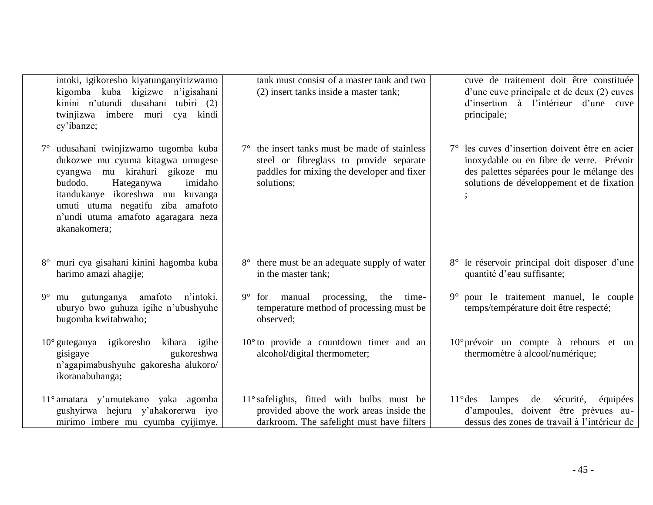| intoki, igikoresho kiyatunganyirizwamo<br>kigomba kuba kigizwe n'igisahani<br>kinini n'utundi dusahani tubiri (2)<br>twinjizwa imbere muri<br>cya kindi<br>cy'ibanze;                                                                                                          | tank must consist of a master tank and two<br>(2) insert tanks inside a master tank;                                                                        | cuve de traitement doit être constituée<br>d'une cuve principale et de deux (2) cuves<br>d'insertion à l'intérieur d'une cuve<br>principale;                                         |
|--------------------------------------------------------------------------------------------------------------------------------------------------------------------------------------------------------------------------------------------------------------------------------|-------------------------------------------------------------------------------------------------------------------------------------------------------------|--------------------------------------------------------------------------------------------------------------------------------------------------------------------------------------|
| 7° udusahani twinjizwamo tugomba kuba<br>dukozwe mu cyuma kitagwa umugese<br>cyangwa mu kirahuri gikoze mu<br>imidaho<br>budodo.<br>Hateganywa<br>itandukanye ikoreshwa mu kuvanga<br>umuti utuma negatifu ziba amafoto<br>n'undi utuma amafoto agaragara neza<br>akanakomera; | $7^\circ$ the insert tanks must be made of stainless<br>steel or fibreglass to provide separate<br>paddles for mixing the developer and fixer<br>solutions; | 7° les cuves d'insertion doivent être en acier<br>inoxydable ou en fibre de verre. Prévoir<br>des palettes séparées pour le mélange des<br>solutions de développement et de fixation |
| 8° muri cya gisahani kinini hagomba kuba<br>harimo amazi ahagije;                                                                                                                                                                                                              | 8° there must be an adequate supply of water<br>in the master tank;                                                                                         | 8° le réservoir principal doit disposer d'une<br>quantité d'eau suffisante;                                                                                                          |
| gutunganya amafoto n'intoki,<br>$9^{\circ}$<br>mu<br>uburyo bwo guhuza igihe n'ubushyuhe<br>bugomba kwitabwaho;                                                                                                                                                                | manual processing,<br>$9^{\circ}$<br>the<br>time-<br>for<br>temperature method of processing must be<br>observed;                                           | 9° pour le traitement manuel, le couple<br>temps/température doit être respecté;                                                                                                     |
| $10^{\circ}$ guteganya igikoresho kibara igihe<br>gukoreshwa<br>gisigaye<br>n'agapimabushyuhe gakoresha alukoro/<br>ikoranabuhanga;                                                                                                                                            | $10^{\circ}$ to provide a countdown timer and an<br>alcohol/digital thermometer;                                                                            | $10^{\circ}$ prévoir un compte à rebours et un<br>thermomètre à alcool/numérique;                                                                                                    |
| 11° amatara y'umutekano yaka agomba<br>gushyirwa hejuru y'ahakorerwa iyo<br>mirimo imbere mu cyumba cyijimye.                                                                                                                                                                  | 11° safelights, fitted with bulbs must be<br>provided above the work areas inside the<br>darkroom. The safelight must have filters                          | $11^{\circ}$ des<br>lampes<br>sécurité,<br>de<br>équipées<br>d'ampoules, doivent être prévues au-<br>dessus des zones de travail à l'intérieur de                                    |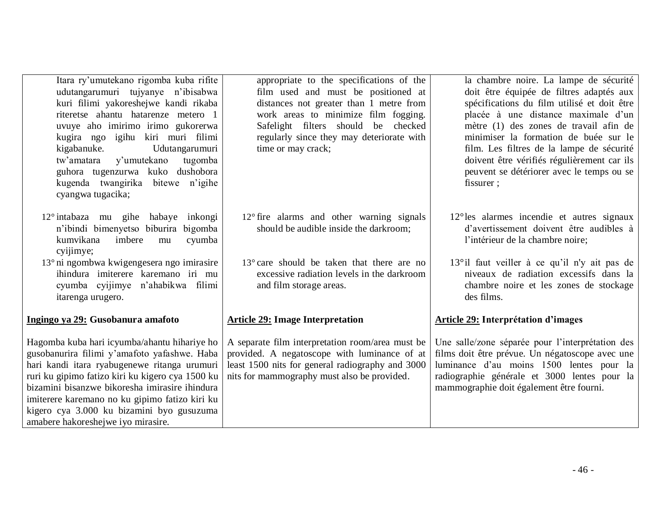| Itara ry'umutekano rigomba kuba rifite |
|----------------------------------------|
| udutangarumuri tujyanye n'ibisabwa     |
| kuri filimi yakoreshejwe kandi rikaba  |
| riteretse ahantu hatarenze metero 1    |
| uvuye aho imirimo irimo gukorerwa      |
| kugira ngo igihu kiri muri filimi      |
| kigabanuke.<br>Udutangarumuri          |
| tw'amatara y'umutekano tugomba         |
| guhora tugenzurwa kuko dushobora       |
| kugenda twangirika bitewe n'igihe      |
| cyangwa tugacika;                      |

- 12° intabaza mu gihe habaye inkongi n'ibindi bimenyetso biburira bigomba kumvikana imbere mu cyumba cyijimye;
- 13° ni ngombwa kwigengesera ngo imirasire ihindura imiterere karemano iri mu cyumba cyijimye n'ahabikwa filimi itarenga urugero.

## **Ingingo ya 29: Gusobanura amafoto**

Hagomba kuba hari icyumba/ahantu hihariye ho gusobanurira filimi y'amafoto yafashwe. Haba hari kandi itara ryabugenewe ritanga urumuri ruri ku gipimo fatizo kiri ku kigero cya 1500 ku bizamini bisanzwe bikoresha imirasire ihindura imiterere karemano no ku gipimo fatizo kiri ku kigero cya 3.000 ku bizamini byo gusuzuma amabere hakoreshejwe iyo mirasire.

appropriate to the specifications of the film used and must be positioned at distances not greater than 1 metre from work areas to minimize film fogging. Safelight filters should be checked regularly since they may deteriorate with time or may crack;

- 12° fire alarms and other warning signals should be audible inside the darkroom;
- 13° care should be taken that there are no excessive radiation levels in the darkroom and film storage areas.

## **Article 29: Image Interpretation**

A separate film interpretation room/area must be provided. A negatoscope with luminance of at least 1500 nits for general radiography and 3000 nits for mammography must also be provided.

la chambre noire. La lampe de sécurité doit être équipée de filtres adaptés aux spécifications du film utilisé et doit être placée à une distance maximale d'un mètre (1) des zones de travail afin de minimiser la formation de buée sur le film. Les filtres de la lampe de sécurité doivent être vérifiés régulièrement car ils peuvent se détériorer avec le temps ou se fissurer ;

- 12°les alarmes incendie et autres signaux d'avertissement doivent être audibles à l'intérieur de la chambre noire;
- 13°il faut veiller à ce qu'il n'y ait pas de niveaux de radiation excessifs dans la chambre noire et les zones de stockage des films.

## **Article 29: Interprétation d'images**

Une salle/zone séparée pour l'interprétation des films doit être prévue. Un négatoscope avec une luminance d'au moins 1500 lentes pour la radiographie générale et 3000 lentes pour la mammographie doit également être fourni.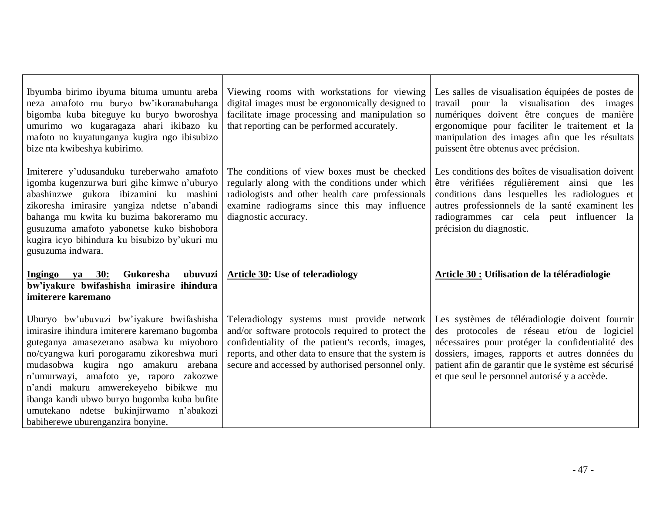| Ibyumba birimo ibyuma bituma umuntu areba<br>neza amafoto mu buryo bw'ikoranabuhanga<br>bigomba kuba biteguye ku buryo bworoshya<br>umurimo wo kugaragaza ahari ikibazo ku<br>mafoto no kuyatunganya kugira ngo ibisubizo<br>bize nta kwibeshya kubirimo.                                                                                                                                                | Viewing rooms with workstations for viewing<br>digital images must be ergonomically designed to<br>facilitate image processing and manipulation so<br>that reporting can be performed accurately.                                                                 | Les salles de visualisation équipées de postes de<br>travail pour la visualisation des images<br>numériques doivent être conçues de manière<br>ergonomique pour faciliter le traitement et la<br>manipulation des images afin que les résultats<br>puissent être obtenus avec précision.                     |
|----------------------------------------------------------------------------------------------------------------------------------------------------------------------------------------------------------------------------------------------------------------------------------------------------------------------------------------------------------------------------------------------------------|-------------------------------------------------------------------------------------------------------------------------------------------------------------------------------------------------------------------------------------------------------------------|--------------------------------------------------------------------------------------------------------------------------------------------------------------------------------------------------------------------------------------------------------------------------------------------------------------|
| Imiterer y'udusanduku tureberwaho amafoto<br>igomba kugenzurwa buri gihe kimwe n'uburyo<br>abashinzwe gukora ibizamini ku mashini<br>zikoresha imirasire yangiza ndetse n'abandi<br>bahanga mu kwita ku buzima bakoreramo mu<br>gusuzuma amafoto yabonetse kuko bishobora<br>kugira icyo bihindura ku bisubizo by'ukuri mu<br>gusuzuma indwara.                                                          | The conditions of view boxes must be checked<br>regularly along with the conditions under which<br>radiologists and other health care professionals<br>examine radiograms since this may influence<br>diagnostic accuracy.                                        | Les conditions des boîtes de visualisation doivent<br>être vérifiées régulièrement ainsi que les<br>conditions dans lesquelles les radiologues et<br>autres professionnels de la santé examinent les<br>radiogrammes car cela peut influencer la<br>précision du diagnostic.                                 |
| Gukoresha ubuvuzi<br>ya 30:<br><b>Ingingo</b><br>bw'iyakure bwifashisha imirasire ihindura<br>imiterere karemano                                                                                                                                                                                                                                                                                         | <b>Article 30: Use of teleradiology</b>                                                                                                                                                                                                                           | Article 30 : Utilisation de la téléradiologie                                                                                                                                                                                                                                                                |
| Uburyo bw'ubuvuzi bw'iyakure bwifashisha<br>imirasire ihindura imiterere karemano bugomba<br>guteganya amasezerano asabwa ku miyoboro<br>no/cyangwa kuri porogaramu zikoreshwa muri<br>mudasobwa kugira ngo amakuru arebana<br>n'umurwayi, amafoto ye, raporo zakozwe<br>n'andi makuru amwerekeyeho bibikwe mu<br>ibanga kandi ubwo buryo bugomba kuba bufite<br>umutekano ndetse bukinjirwamo n'abakozi | Teleradiology systems must provide network<br>and/or software protocols required to protect the<br>confidentiality of the patient's records, images,<br>reports, and other data to ensure that the system is<br>secure and accessed by authorised personnel only. | Les systèmes de téléradiologie doivent fournir<br>des protocoles de réseau et/ou de logiciel<br>nécessaires pour protéger la confidentialité des<br>dossiers, images, rapports et autres données du<br>patient afin de garantir que le système est sécurisé<br>et que seul le personnel autorisé y a accède. |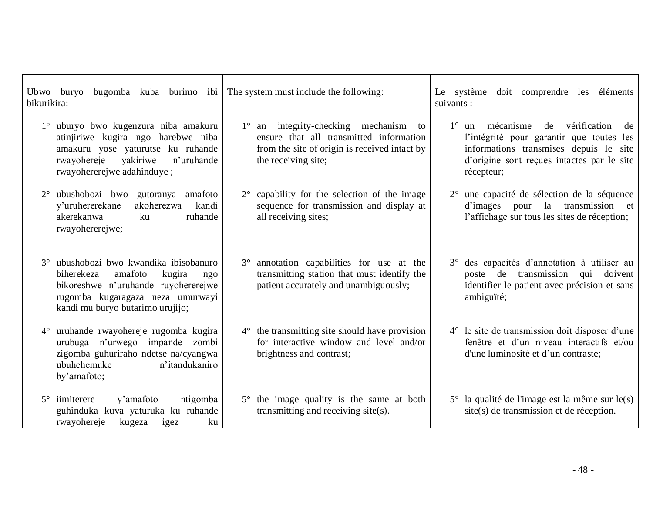| bikurikira: | Ubwo buryo                                                                                                                                                                                   | bugomba kuba burimo ibi The system must include the following:                                                                                                  | Le système doit comprendre les éléments<br>suivants :                                                                                                                                                |
|-------------|----------------------------------------------------------------------------------------------------------------------------------------------------------------------------------------------|-----------------------------------------------------------------------------------------------------------------------------------------------------------------|------------------------------------------------------------------------------------------------------------------------------------------------------------------------------------------------------|
|             | uburyo bwo kugenzura niba amakuru<br>atinjiriwe kugira ngo harebwe niba<br>amakuru yose yaturutse ku ruhande<br>vakiriwe<br>n'uruhande<br>rwayohereje<br>rwayohererejwe adahinduye;          | $1^\circ$ an integrity-checking mechanism to<br>ensure that all transmitted information<br>from the site of origin is received intact by<br>the receiving site; | $1^\circ$ un mécanisme de<br>vérification<br>de<br>l'intégrité pour garantir que toutes les<br>informations transmises depuis le<br>site<br>d'origine sont reçues intactes par le site<br>récepteur; |
| $2^{\circ}$ | ubushobozi bwo gutoranya amafoto<br>y'uruhererekane<br>akoherezwa<br>kandi<br>akerekanwa<br>ruhande<br>ku<br>rwayohererejwe;                                                                 | $2^{\circ}$ capability for the selection of the image<br>sequence for transmission and display at<br>all receiving sites;                                       | 2° une capacité de sélection de la séquence<br>d'images pour la transmission et<br>l'affichage sur tous les sites de réception;                                                                      |
| $3^\circ$   | ubushobozi bwo kwandika ibisobanuro<br>amafoto<br>biherekeza<br>kugira<br>ngo<br>bikoreshwe n'uruhande ruyohererejwe<br>rugomba kugaragaza neza umurwayi<br>kandi mu buryo butarimo urujijo; | 3° annotation capabilities for use at the<br>transmitting station that must identify the<br>patient accurately and unambiguously;                               | des capacités d'annotation à utiliser au<br>$3^\circ$<br>poste de transmission<br>qui<br>doivent<br>identifier le patient avec précision et sans<br>ambiguïté;                                       |
| $4^{\circ}$ | uruhande rwayohereje rugomba kugira<br>urubuga n'urwego impande zombi<br>zigomba guhuriraho ndetse na/cyangwa<br>n'itandukaniro<br>ubuhehemuke<br>by'amafoto;                                | $4^{\circ}$ the transmitting site should have provision<br>for interactive window and level and/or<br>brightness and contrast;                                  | 4° le site de transmission doit disposer d'une<br>fenêtre et d'un niveau interactifs et/ou<br>d'une luminosité et d'un contraste;                                                                    |
| $5^\circ$   | y'amafoto<br>ntigomba<br>iimiterere<br>guhinduka kuva yaturuka ku ruhande<br>rwayohereje<br>kugeza<br>ku<br>igez                                                                             | 5° the image quality is the same at both<br>transmitting and receiving site(s).                                                                                 | $5^{\circ}$ la qualité de l'image est la même sur le(s)<br>site(s) de transmission et de réception.                                                                                                  |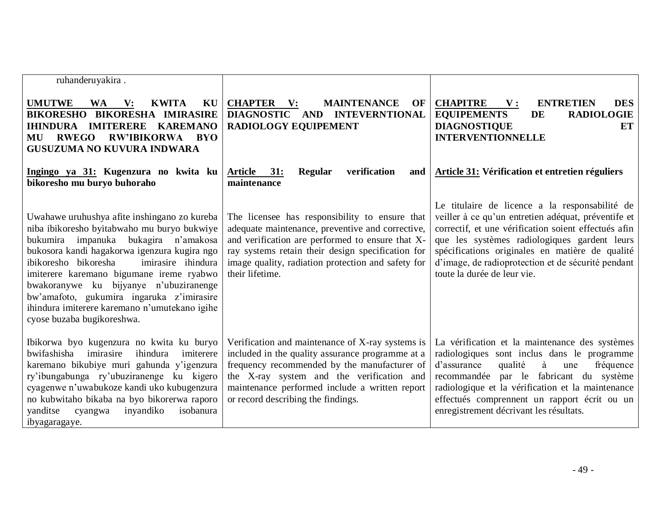| ruhanderuyakira.                                                                                                                                                                                                                                                                                                                                                                                                                                    |                                                                                                                                                                                                                                                                                           |                                                                                                                                                                                                                                                                                                                                                       |
|-----------------------------------------------------------------------------------------------------------------------------------------------------------------------------------------------------------------------------------------------------------------------------------------------------------------------------------------------------------------------------------------------------------------------------------------------------|-------------------------------------------------------------------------------------------------------------------------------------------------------------------------------------------------------------------------------------------------------------------------------------------|-------------------------------------------------------------------------------------------------------------------------------------------------------------------------------------------------------------------------------------------------------------------------------------------------------------------------------------------------------|
| <b>UMUTWE</b><br>$\mathbf{V}$ :<br><b>KWITA</b><br>KU<br><b>WA</b><br><b>BIKORESHA IMIRASIRE</b><br><b>BIKORESHO</b><br><b>IMITERERE</b><br><b>KAREMANO</b><br><b>IHINDURA</b><br><b>RWEGO</b><br>RW'IBIKORWA BYO<br>MU<br><b>GUSUZUMA NO KUVURA INDWARA</b>                                                                                                                                                                                        | <b>CHAPTER</b> V:<br><b>MAINTENANCE</b><br>OF<br>DIAGNOSTIC AND INTEVERNTIONAL<br><b>RADIOLOGY EQUIPEMENT</b>                                                                                                                                                                             | <b>CHAPITRE</b><br>${\bf V}$ :<br><b>ENTRETIEN</b><br><b>DES</b><br>DE<br><b>RADIOLOGIE</b><br><b>EQUIPEMENTS</b><br><b>DIAGNOSTIQUE</b><br>ET<br><b>INTERVENTIONNELLE</b>                                                                                                                                                                            |
| Ingingo ya 31: Kugenzura no kwita ku<br>bikoresho mu buryo buhoraho                                                                                                                                                                                                                                                                                                                                                                                 | verification<br>Article 31:<br>Regular<br>and<br>maintenance                                                                                                                                                                                                                              | Article 31: Vérification et entretien réguliers                                                                                                                                                                                                                                                                                                       |
| Uwahawe uruhushya afite inshingano zo kureba<br>niba ibikoresho byitabwaho mu buryo bukwiye<br>bukumira impanuka bukagira n'amakosa<br>bukosora kandi hagakorwa igenzura kugira ngo<br>ibikoresho bikoresha<br>imirasire ihindura<br>imiterere karemano bigumane ireme ryabwo<br>bwakoranywe ku bijyanye n'ubuziranenge<br>bw'amafoto, gukumira ingaruka z'imirasire<br>ihindura imiterere karemano n'umutekano igihe<br>cyose buzaba bugikoreshwa. | The licensee has responsibility to ensure that<br>adequate maintenance, preventive and corrective,<br>and verification are performed to ensure that X-<br>ray systems retain their design specification for<br>image quality, radiation protection and safety for<br>their lifetime.      | Le titulaire de licence a la responsabilité de<br>veiller à ce qu'un entretien adéquat, préventife et<br>correctif, et une vérification soient effectués afin<br>que les systèmes radiologiques gardent leurs<br>spécifications originales en matière de qualité<br>d'image, de radioprotection et de sécurité pendant<br>toute la durée de leur vie. |
| Ibikorwa byo kugenzura no kwita ku buryo<br>imirasire<br>bwifashisha<br>ihindura<br>imiterere<br>karemano bikubiye muri gahunda y'igenzura<br>ry'ibungabunga ry'ubuziranenge ku kigero<br>cyagenwe n'uwabukoze kandi uko kubugenzura<br>no kubwitaho bikaba na byo bikorerwa raporo<br>inyandiko<br>isobanura<br>yanditse<br>cyangwa<br>ibyagaragaye.                                                                                               | Verification and maintenance of X-ray systems is<br>included in the quality assurance programme at a<br>frequency recommended by the manufacturer of<br>the X-ray system and the verification and<br>maintenance performed include a written report<br>or record describing the findings. | La vérification et la maintenance des systèmes<br>radiologiques sont inclus dans le programme<br>d'assurance<br>qualité<br>à<br>fréquence<br>une<br>recommandée par le fabricant du système<br>radiologique et la vérification et la maintenance<br>effectués comprennent un rapport écrit ou un<br>enregistrement décrivant les résultats.           |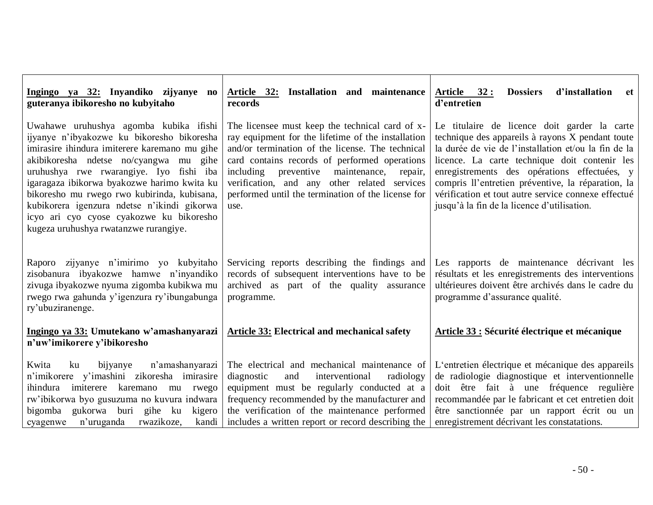| Ingingo ya 32: Inyandiko zijyanye no<br>guteranya ibikoresho no kubyitaho                                                                                                                                                                                                                                                                                                                                                                                    | Article 32: Installation and maintenance<br>records                                                                                                                                                                                                                                                                                                                            | <u>Article 32:</u><br><b>Dossiers</b><br>d'installation<br>-et<br>d'entretien                                                                                                                                                                                                                                                                                                                                         |  |  |
|--------------------------------------------------------------------------------------------------------------------------------------------------------------------------------------------------------------------------------------------------------------------------------------------------------------------------------------------------------------------------------------------------------------------------------------------------------------|--------------------------------------------------------------------------------------------------------------------------------------------------------------------------------------------------------------------------------------------------------------------------------------------------------------------------------------------------------------------------------|-----------------------------------------------------------------------------------------------------------------------------------------------------------------------------------------------------------------------------------------------------------------------------------------------------------------------------------------------------------------------------------------------------------------------|--|--|
| Uwahawe uruhushya agomba kubika ifishi<br>ijyanye n'ibyakozwe ku bikoresho bikoresha<br>imirasire ihindura imiterere karemano mu gihe<br>akibikoresha ndetse no/cyangwa mu gihe<br>uruhushya rwe rwarangiye. Iyo fishi iba<br>igaragaza ibikorwa byakozwe harimo kwita ku<br>bikoresho mu rwego rwo kubirinda, kubisana,<br>kubikorera igenzura ndetse n'ikindi gikorwa<br>icyo ari cyo cyose cyakozwe ku bikoresho<br>kugeza uruhushya rwatanzwe rurangiye. | The licensee must keep the technical card of x-<br>ray equipment for the lifetime of the installation<br>and/or termination of the license. The technical<br>card contains records of performed operations<br>maintenance,<br>including<br>preventive<br>repair,<br>verification, and any other related services<br>performed until the termination of the license for<br>use. | Le titulaire de licence doit garder la carte<br>technique des appareils à rayons X pendant toute<br>la durée de vie de l'installation et/ou la fin de la<br>licence. La carte technique doit contenir les<br>enregistrements des opérations effectuées, y<br>compris ll'entretien préventive, la réparation, la<br>vérification et tout autre service connexe effectué<br>jusqu'à la fin de la licence d'utilisation. |  |  |
| Raporo zijyanye n'imirimo yo kubyitaho<br>zisobanura ibyakozwe hamwe n'inyandiko<br>zivuga ibyakozwe nyuma zigomba kubikwa mu<br>rwego rwa gahunda y'igenzura ry'ibungabunga<br>ry'ubuziranenge.                                                                                                                                                                                                                                                             | Servicing reports describing the findings and<br>records of subsequent interventions have to be<br>archived as part of the quality assurance<br>programme.                                                                                                                                                                                                                     | Les rapports de maintenance décrivant les<br>résultats et les enregistrements des interventions<br>ultérieures doivent être archivés dans le cadre du<br>programme d'assurance qualité.                                                                                                                                                                                                                               |  |  |
| Ingingo ya 33: Umutekano w'amashanyarazi<br>n'uw'imikorere y'ibikoresho                                                                                                                                                                                                                                                                                                                                                                                      | <b>Article 33: Electrical and mechanical safety</b>                                                                                                                                                                                                                                                                                                                            | Article 33 : Sécurité électrique et mécanique                                                                                                                                                                                                                                                                                                                                                                         |  |  |
| Kwita<br>bijyanye<br>n'amashanyarazi<br>ku<br>n'imikorere y'imashini zikoresha imirasire<br>imiterere karemano mu rwego<br>ihindura<br>rw'ibikorwa byo gusuzuma no kuvura indwara<br>gukorwa buri gihe ku<br>bigomba<br>kigero<br>n'uruganda<br>rwazikoze,<br>kandi<br>cyagenwe                                                                                                                                                                              | The electrical and mechanical maintenance of<br>diagnostic<br>interventional<br>and<br>radiology<br>equipment must be regularly conducted at a<br>frequency recommended by the manufacturer and<br>the verification of the maintenance performed<br>includes a written report or record describing the                                                                         | L'entretien électrique et mécanique des appareils<br>de radiologie diagnostique et interventionnelle<br>doit être fait à une fréquence regulière<br>recommandée par le fabricant et cet entretien doit<br>être sanctionnée par un rapport écrit ou un<br>enregistrement décrivant les constatations.                                                                                                                  |  |  |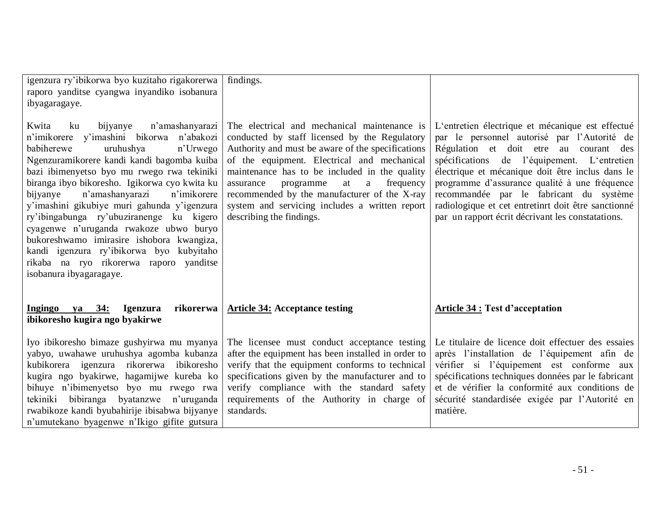| igenzura ry'ibikorwa byo kuzitaho rigakorerwa<br>raporo yanditse cyangwa inyandiko isobanura<br>ibyagaragaye.                                                                                                                                                                                                                                                                                                                                                                                                                                                                                                                | findings.                                                                                                                                                                                                                                                                                                                                                                                                                          |                                                                                                                                                                                                                                                                                                                                                                                                                                                      |
|------------------------------------------------------------------------------------------------------------------------------------------------------------------------------------------------------------------------------------------------------------------------------------------------------------------------------------------------------------------------------------------------------------------------------------------------------------------------------------------------------------------------------------------------------------------------------------------------------------------------------|------------------------------------------------------------------------------------------------------------------------------------------------------------------------------------------------------------------------------------------------------------------------------------------------------------------------------------------------------------------------------------------------------------------------------------|------------------------------------------------------------------------------------------------------------------------------------------------------------------------------------------------------------------------------------------------------------------------------------------------------------------------------------------------------------------------------------------------------------------------------------------------------|
| Kwita<br>n'amashanyarazi<br>ku<br>bijyanye<br>n'imikorere y'imashini bikorwa n'abakozi<br>n'Urwego<br>babiherewe<br>uruhushya<br>Ngenzuramikorere kandi kandi bagomba kuiba<br>bazi ibimenyetso byo mu rwego rwa tekiniki<br>biranga ibyo bikoresho. Igikorwa cyo kwita ku<br>n'amashanyarazi<br>bijyanye<br>n'imikorere<br>y'imashini gikubiye muri gahunda y'igenzura<br>ry'ibingabunga ry'ubuziranenge ku kigero<br>cyagenwe n'uruganda rwakoze ubwo buryo<br>bukoreshwamo imirasire ishobora kwangiza,<br>kandi igenzura ry'ibikorwa byo kubyitaho<br>rikaba na ryo rikorerwa raporo yanditse<br>isobanura ibyagaragaye. | The electrical and mechanical maintenance is<br>conducted by staff licensed by the Regulatory<br>Authority and must be aware of the specifications<br>of the equipment. Electrical and mechanical<br>maintenance has to be included in the quality<br>frequency<br>assurance<br>programme<br>at<br>a<br>recommended by the manufacturer of the X-ray<br>system and servicing includes a written report<br>describing the findings. | L'entretien électrique et mécanique est effectué<br>par le personnel autorisé par l'Autorité de<br>Régulation et doit etre au courant des<br>spécifications de l'équipement. L'entretien<br>électrique et mécanique doit être inclus dans le<br>programme d'assurance qualité à une fréquence<br>recommandée par le fabricant du système<br>radiologique et cet entretinrt doit être sanctionné<br>par un rapport écrit décrivant les constatations. |
| rikorerwa<br>Ingingo ya 34:<br><b>Igenzura</b><br>ibikoresho kugira ngo byakirwe                                                                                                                                                                                                                                                                                                                                                                                                                                                                                                                                             | <b>Article 34: Acceptance testing</b>                                                                                                                                                                                                                                                                                                                                                                                              | <b>Article 34 : Test d'acceptation</b>                                                                                                                                                                                                                                                                                                                                                                                                               |
| Iyo ibikoresho bimaze gushyirwa mu myanya<br>yabyo, uwahawe uruhushya agomba kubanza<br>kubikorera igenzura rikorerwa ibikoresho<br>kugira ngo byakirwe, hagamijwe kureba ko<br>bihuye n'ibimenyetso byo mu rwego rwa<br>bibiranga byatanzwe n'uruganda<br>tekiniki<br>rwabikoze kandi byubahirije ibisabwa bijyanye<br>n'umutekano byagenwe n'Ikigo gifite gutsura                                                                                                                                                                                                                                                          | The licensee must conduct acceptance testing<br>after the equipment has been installed in order to<br>verify that the equipment conforms to technical<br>specifications given by the manufacturer and to<br>verify compliance with the standard safety<br>requirements of the Authority in charge of<br>standards.                                                                                                                 | Le titulaire de licence doit effectuer des essaies<br>après l'installation de l'équipement afin de<br>vérifier si l'équipement est conforme aux<br>spécifications techniques données par le fabricant<br>et de vérifier la conformité aux conditions de<br>sécurité standardisée exigée par l'Autorité en<br>matière.                                                                                                                                |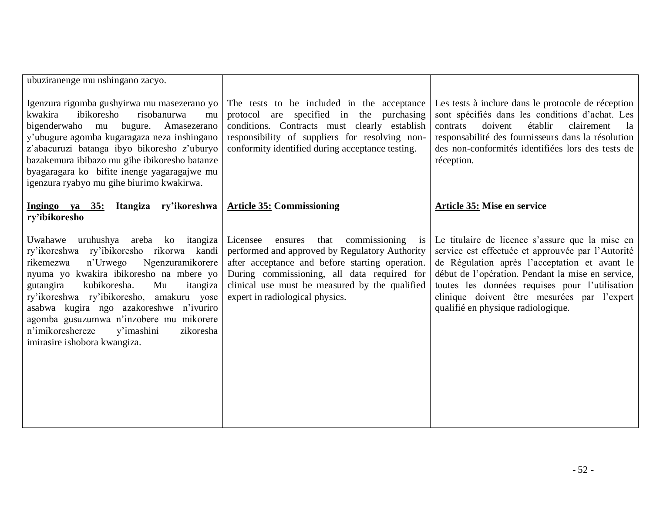| ubuziranenge mu nshingano zacyo.                                                                                                                                                                                                                                                                                                                                                                                                        |                                                                                                                                                                                                                                                                                                          |                                                                                                                                                                                                                                                                                                                                                   |
|-----------------------------------------------------------------------------------------------------------------------------------------------------------------------------------------------------------------------------------------------------------------------------------------------------------------------------------------------------------------------------------------------------------------------------------------|----------------------------------------------------------------------------------------------------------------------------------------------------------------------------------------------------------------------------------------------------------------------------------------------------------|---------------------------------------------------------------------------------------------------------------------------------------------------------------------------------------------------------------------------------------------------------------------------------------------------------------------------------------------------|
| Igenzura rigomba gushyirwa mu masezerano yo<br>ibikoresho<br>kwakira<br>risobanurwa<br>mu<br>bigenderwaho<br>mu<br>bugure. Amasezerano<br>y'ubugure agomba kugaragaza neza inshingano<br>z'abacuruzi batanga ibyo bikoresho z'uburyo<br>bazakemura ibibazo mu gihe ibikoresho batanze<br>byagaragara ko bifite inenge yagaragajwe mu<br>igenzura ryabyo mu gihe biurimo kwakirwa.                                                       | The tests to be included in the acceptance<br>protocol are specified in the purchasing<br>conditions. Contracts must clearly establish<br>responsibility of suppliers for resolving non-<br>conformity identified during acceptance testing.                                                             | Les tests à inclure dans le protocole de réception<br>sont spécifiés dans les conditions d'achat. Les<br>établir<br>doivent<br>clairement<br>la<br>contrats<br>responsabilité des fournisseurs dans la résolution<br>des non-conformités identifiées lors des tests de<br>réception.                                                              |
| Itangiza ry'ikoreshwa<br>Ingingo ya 35:<br>ry'ibikoresho                                                                                                                                                                                                                                                                                                                                                                                | <b>Article 35: Commissioning</b>                                                                                                                                                                                                                                                                         | <b>Article 35: Mise en service</b>                                                                                                                                                                                                                                                                                                                |
| Uwahawe uruhushya areba ko itangiza<br>ry'ikoreshwa ry'ibikoresho rikorwa kandi<br>Ngenzuramikorere<br>rikemezwa<br>n'Urwego<br>nyuma yo kwakira ibikoresho na mbere yo<br>Mu<br>gutangira<br>kubikoresha.<br>itangiza<br>ry'ikoreshwa ry'ibikoresho, amakuru yose<br>asabwa kugira ngo azakoreshwe n'ivuriro<br>agomba gusuzumwa n'inzobere mu mikorere<br>n'imikoreshereze<br>v'imashini<br>zikoresha<br>imirasire ishobora kwangiza. | Licensee<br>commissioning<br>ensures<br>that<br>$\overline{1}S$<br>performed and approved by Regulatory Authority<br>after acceptance and before starting operation.<br>During commissioning, all data required for<br>clinical use must be measured by the qualified<br>expert in radiological physics. | Le titulaire de licence s'assure que la mise en<br>service est effectuée et approuvée par l'Autorité<br>de Régulation après l'acceptation et avant le<br>début de l'opération. Pendant la mise en service,<br>toutes les données requises pour l'utilisation<br>clinique doivent être mesurées par l'expert<br>qualifié en physique radiologique. |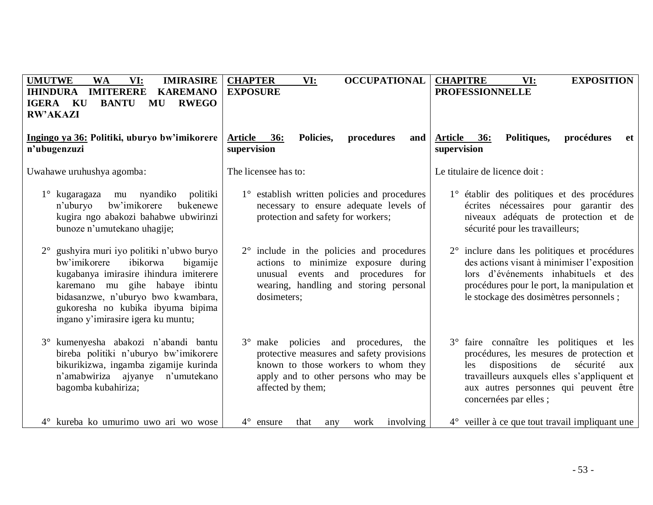| <b>UMUTWE</b><br><b>WA</b><br>VI:<br><b>IMIRASIRE</b><br><b>KAREMANO</b><br><b>IMITERERE</b><br><b>IHINDURA</b><br><b>IGERA KU</b><br><b>BANTU</b><br>MU<br><b>RWEGO</b><br><b>RW'AKAZI</b>                                                                                  | <b>OCCUPATIONAL</b><br><b>CHAPTER</b><br>VI:<br><b>EXPOSURE</b>                                                                                                                            | <b>CHAPITRE</b><br>VI:<br><b>EXPOSITION</b><br><b>PROFESSIONNELLE</b>                                                                                                                                                                                 |
|------------------------------------------------------------------------------------------------------------------------------------------------------------------------------------------------------------------------------------------------------------------------------|--------------------------------------------------------------------------------------------------------------------------------------------------------------------------------------------|-------------------------------------------------------------------------------------------------------------------------------------------------------------------------------------------------------------------------------------------------------|
| Ingingo ya 36: Politiki, uburyo bw'imikorere<br>n'ubugenzuzi                                                                                                                                                                                                                 | Policies,<br>procedures<br><b>Article</b><br>36:<br>and<br>supervision                                                                                                                     | procédures<br><b>Article</b><br>Politiques,<br><b>36:</b><br>et<br>supervision                                                                                                                                                                        |
| Uwahawe uruhushya agomba:                                                                                                                                                                                                                                                    | The licensee has to:                                                                                                                                                                       | Le titulaire de licence doit :                                                                                                                                                                                                                        |
| $1^\circ$ kugaragaza<br>mu nyandiko<br>politiki<br>bw'imikorere<br>bukenewe<br>n'uburyo<br>kugira ngo abakozi bahabwe ubwirinzi<br>bunoze n'umutekano uhagije;                                                                                                               | 1° establish written policies and procedures<br>necessary to ensure adequate levels of<br>protection and safety for workers;                                                               | 1° établir des politiques et des procédures<br>écrites nécessaires pour garantir des<br>niveaux adéquats de protection et de<br>sécurité pour les travailleurs;                                                                                       |
| gushyira muri iyo politiki n'ubwo buryo<br>bw'imikorere<br>ibikorwa<br>bigamije<br>kugabanya imirasire ihindura imiterere<br>karemano mu gihe habaye ibintu<br>bidasanzwe, n'uburyo bwo kwambara,<br>gukoresha no kubika ibyuma bipima<br>ingano y'imirasire igera ku muntu; | $2^{\circ}$ include in the policies and procedures<br>actions to minimize exposure during<br>procedures for<br>unusual events and<br>wearing, handling and storing personal<br>dosimeters; | 2° inclure dans les politiques et procédures<br>des actions visant à minimiser l'exposition<br>lors d'événements inhabituels et des<br>procédures pour le port, la manipulation et<br>le stockage des dosimètres personnels;                          |
| kumenyesha abakozi n'abandi bantu<br>$3^\circ$<br>bireba politiki n'uburyo bw'imikorere<br>bikurikizwa, ingamba zigamije kurinda<br>n'amabwiriza ajyanye<br>n'umutekano<br>bagomba kubahiriza;                                                                               | 3° make policies and procedures,<br>the<br>protective measures and safety provisions<br>known to those workers to whom they<br>apply and to other persons who may be<br>affected by them;  | 3° faire connaître les politiques et les<br>procédures, les mesures de protection et<br>dispositions<br>de<br>sécurité<br>les<br>aux<br>travailleurs auxquels elles s'appliquent et<br>aux autres personnes qui peuvent être<br>concernées par elles; |
| 4° kureba ko umurimo uwo ari wo wose                                                                                                                                                                                                                                         | $4^{\circ}$ ensure<br>that<br>involving<br>work<br>any                                                                                                                                     | $4^{\circ}$ veiller à ce que tout travail impliquant une                                                                                                                                                                                              |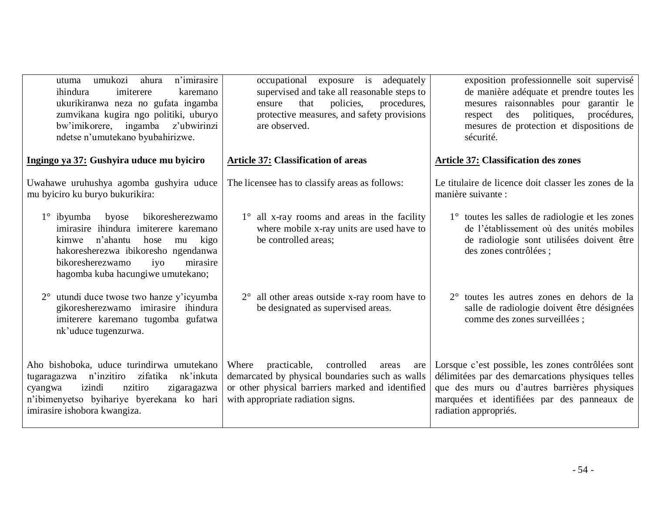| n'imirasire<br>umukozi<br>ahura<br>utuma<br>ihindura<br>imiterere<br>karemano<br>ukurikiranwa neza no gufata ingamba<br>zumvikana kugira ngo politiki, uburyo<br>bw'imikorere, ingamba z'ubwirinzi<br>ndetse n'umutekano byubahirizwe.                | exposure is adequately<br>occupational<br>supervised and take all reasonable steps to<br>policies,<br>that<br>procedures,<br>ensure<br>protective measures, and safety provisions<br>are observed. | exposition professionnelle soit supervisé<br>de manière adéquate et prendre toutes les<br>mesures raisonnables pour garantir le<br>des politiques,<br>procédures,<br>respect<br>mesures de protection et dispositions de<br>sécurité. |
|-------------------------------------------------------------------------------------------------------------------------------------------------------------------------------------------------------------------------------------------------------|----------------------------------------------------------------------------------------------------------------------------------------------------------------------------------------------------|---------------------------------------------------------------------------------------------------------------------------------------------------------------------------------------------------------------------------------------|
| Ingingo ya 37: Gushyira uduce mu byiciro                                                                                                                                                                                                              | <b>Article 37: Classification of areas</b>                                                                                                                                                         | <b>Article 37: Classification des zones</b>                                                                                                                                                                                           |
| Uwahawe uruhushya agomba gushyira uduce<br>mu byiciro ku buryo bukurikira:                                                                                                                                                                            | The licensee has to classify areas as follows:                                                                                                                                                     | Le titulaire de licence doit classer les zones de la<br>manière suivante :                                                                                                                                                            |
| $1^\circ$ ibyumba<br>byose<br>bikoresherezwamo<br>imirasire ihindura imiterere karemano<br>n'ahantu<br>kimwe<br>hose<br>kigo<br>mu<br>hakoresherezwa ibikoresho ngendanwa<br>bikoresherezwamo<br>iyo<br>mirasire<br>hagomba kuba hacungiwe umutekano; | $1^\circ$ all x-ray rooms and areas in the facility<br>where mobile x-ray units are used have to<br>be controlled areas;                                                                           | 1° toutes les salles de radiologie et les zones<br>de l'établissement où des unités mobiles<br>de radiologie sont utilisées doivent être<br>des zones contrôlées ;                                                                    |
| utundi duce twose two hanze y'icyumba<br>$2^{\circ}$<br>gikoresherezwamo imirasire ihindura<br>imiterere karemano tugomba gufatwa<br>nk'uduce tugenzurwa.                                                                                             | $2^{\circ}$ all other areas outside x-ray room have to<br>be designated as supervised areas.                                                                                                       | 2° toutes les autres zones en dehors de la<br>salle de radiologie doivent être désignées<br>comme des zones surveillées ;                                                                                                             |
| Aho bishoboka, uduce turindirwa umutekano<br>nk'inkuta<br>zifatika<br>n'inzitiro<br>tugaragazwa<br>izindi<br>nzitiro<br>zigaragazwa<br>cyangwa<br>n'ibimenyetso byihariye byerekana ko hari<br>imirasire ishobora kwangiza.                           | Where<br>practicable,<br>controlled<br>areas<br>are<br>demarcated by physical boundaries such as walls<br>or other physical barriers marked and identified<br>with appropriate radiation signs.    | Lorsque c'est possible, les zones contrôlées sont<br>délimitées par des demarcations physiques telles<br>que des murs ou d'autres barrières physiques<br>marquées et identifiées par des panneaux de<br>radiation appropriés.         |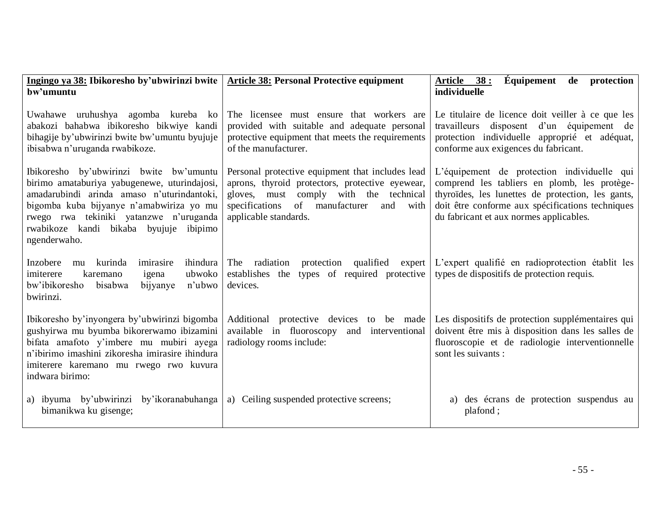| Ingingo ya 38: Ibikoresho by'ubwirinzi bwite<br>bw'umuntu                                                                                                                                                                                                                             | <b>Article 38: Personal Protective equipment</b>                                                                                                                                                                           | Équipement<br>Article 38:<br>de protection<br>individuelle                                                                                                                                                                                      |
|---------------------------------------------------------------------------------------------------------------------------------------------------------------------------------------------------------------------------------------------------------------------------------------|----------------------------------------------------------------------------------------------------------------------------------------------------------------------------------------------------------------------------|-------------------------------------------------------------------------------------------------------------------------------------------------------------------------------------------------------------------------------------------------|
| Uwahawe uruhushya agomba kureba ko<br>abakozi bahabwa ibikoresho bikwiye kandi<br>bihagije by'ubwirinzi bwite bw'umuntu byujuje<br>ibisabwa n'uruganda rwabikoze.                                                                                                                     | The licensee must ensure that workers are<br>provided with suitable and adequate personal<br>protective equipment that meets the requirements<br>of the manufacturer.                                                      | Le titulaire de licence doit veiller à ce que les<br>travailleurs disposent d'un équipement de<br>protection individuelle approprié et adéquat,<br>conforme aux exigences du fabricant.                                                         |
| Ibikoresho by'ubwirinzi bwite bw'umuntu<br>birimo amataburiya yabugenewe, uturindajosi,<br>amadarubindi arinda amaso n'uturindantoki,<br>bigomba kuba bijyanye n'amabwiriza yo mu<br>rwego rwa tekiniki yatanzwe n'uruganda<br>rwabikoze kandi bikaba byujuje ibipimo<br>ngenderwaho. | Personal protective equipment that includes lead<br>aprons, thyroid protectors, protective eyewear,<br>gloves, must comply with the technical<br>specifications of<br>manufacturer<br>and<br>with<br>applicable standards. | L'équipement de protection individuelle qui<br>comprend les tabliers en plomb, les protège-<br>thyroïdes, les lunettes de protection, les gants,<br>doit être conforme aux spécifications techniques<br>du fabricant et aux normes applicables. |
| Inzobere<br>kurinda<br>imirasire<br>ihindura<br>mu<br>ubwoko<br>imiterere<br>karemano<br>igena<br>bw'ibikoresho<br>n'ubwo<br>bisabwa<br>bijyanye<br>bwirinzi.                                                                                                                         | The radiation<br>protection qualified<br>expert<br>types of required protective<br>establishes the<br>devices.                                                                                                             | L'expert qualifié en radioprotection établit les<br>types de dispositifs de protection requis.                                                                                                                                                  |
| Ibikoresho by'inyongera by'ubwirinzi bigomba<br>gushyirwa mu byumba bikorerwamo ibizamini<br>bifata amafoto y'imbere mu mubiri ayega<br>n'ibirimo imashini zikoresha imirasire ihindura<br>imiterere karemano mu rwego rwo kuvura<br>indwara birimo:                                  | Additional protective devices to be made<br>available in fluoroscopy<br>and interventional<br>radiology rooms include:                                                                                                     | Les dispositifs de protection supplémentaires qui<br>doivent être mis à disposition dans les salles de<br>fluoroscopie et de radiologie interventionnelle<br>sont les suivants :                                                                |
| a) ibyuma by'ubwirinzi by'ikoranabuhanga<br>bimanikwa ku gisenge;                                                                                                                                                                                                                     | a) Ceiling suspended protective screens;                                                                                                                                                                                   | a) des écrans de protection suspendus au<br>plafond;                                                                                                                                                                                            |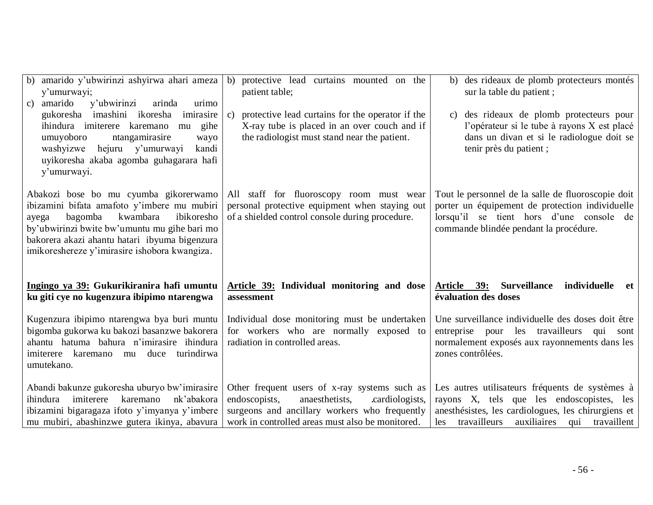| b) amarido y'ubwirinzi ashyirwa ahari ameza<br>y'umurwayi;<br>y'ubwirinzi<br>c) amarido<br>arinda<br>urimo                                                                                                                                                                           | protective lead curtains mounted on the<br>b)<br>patient table;                                                                                                  | des rideaux de plomb protecteurs montés<br>b)<br>sur la table du patient;                                                                                                                   |
|--------------------------------------------------------------------------------------------------------------------------------------------------------------------------------------------------------------------------------------------------------------------------------------|------------------------------------------------------------------------------------------------------------------------------------------------------------------|---------------------------------------------------------------------------------------------------------------------------------------------------------------------------------------------|
| gukoresha imashini ikoresha imirasire<br>ihindura imiterere karemano<br>gihe<br>mu<br>umuyoboro<br>ntangamirasire<br>wayo<br>hejuru y'umurwayi<br>washyizwe<br>kandi<br>uyikoresha akaba agomba guhagarara hafi<br>y'umurwayi.                                                       | protective lead curtains for the operator if the<br>$\mathbf{c}$<br>X-ray tube is placed in an over couch and if<br>the radiologist must stand near the patient. | des rideaux de plomb protecteurs pour<br>C)<br>l'opérateur si le tube à rayons X est placé<br>dans un divan et si le radiologue doit se<br>tenir près du patient;                           |
| Abakozi bose bo mu cyumba gikorerwamo<br>ibizamini bifata amafoto y'imbere mu mubiri<br>kwambara<br>ibikoresho<br>bagomba<br>ayega<br>by'ubwirinzi bwite bw'umuntu mu gihe bari mo<br>bakorera akazi ahantu hatari ibyuma bigenzura<br>imikoreshereze y'imirasire ishobora kwangiza. | All staff for fluoroscopy room must wear<br>personal protective equipment when staying out<br>of a shielded control console during procedure.                    | Tout le personnel de la salle de fluoroscopie doit<br>porter un équipement de protection individuelle<br>lorsqu'il se tient hors d'une console de<br>commande blindée pendant la procédure. |
|                                                                                                                                                                                                                                                                                      |                                                                                                                                                                  |                                                                                                                                                                                             |
| Ingingo ya 39: Gukurikiranira hafi umuntu<br>ku giti cye no kugenzura ibipimo ntarengwa                                                                                                                                                                                              | Article 39: Individual monitoring and dose<br>assessment                                                                                                         | <b>Surveillance</b><br>individuelle<br>Article 39:<br>et<br>évaluation des doses                                                                                                            |
| Kugenzura ibipimo ntarengwa bya buri muntu<br>bigomba gukorwa ku bakozi basanzwe bakorera<br>ahantu hatuma bahura n'imirasire ihindura<br>imiterere karemano<br>turindirwa<br>mu duce<br>umutekano.                                                                                  | Individual dose monitoring must be undertaken<br>for workers who are normally exposed to<br>radiation in controlled areas.                                       | Une surveillance individuelle des doses doit être<br>entreprise pour les travailleurs<br>qui<br>sont<br>normalement exposés aux rayonnements dans les<br>zones contrôlées.                  |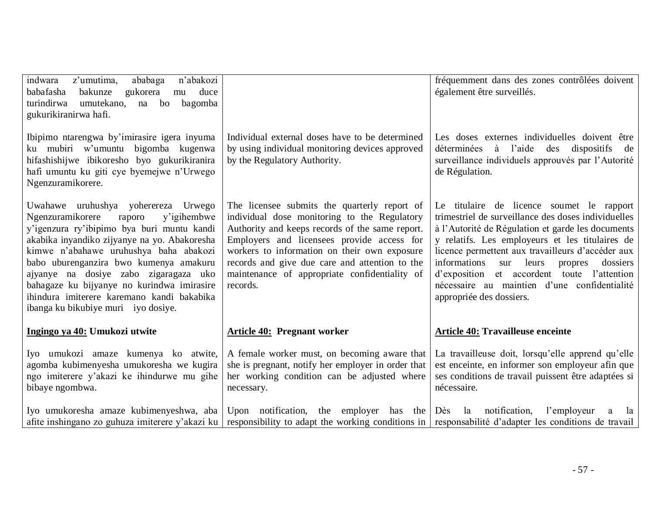| z'umutima,<br>ababaga<br>n'abakozi<br>indwara<br>babafasha<br>bakunze<br>gukorera<br>duce<br>mu<br>turindirwa<br>umutekano,<br>bagomba<br>na bo<br>gukurikiranirwa hafi.                                                                                                                                                                                                                                                                       |                                                                                                                                                                                                                                                                                                                                                              | fréquemment dans des zones contrôlées doivent<br>également être surveillés.                                                                                                                                                                                                                                                                                                                                                               |
|------------------------------------------------------------------------------------------------------------------------------------------------------------------------------------------------------------------------------------------------------------------------------------------------------------------------------------------------------------------------------------------------------------------------------------------------|--------------------------------------------------------------------------------------------------------------------------------------------------------------------------------------------------------------------------------------------------------------------------------------------------------------------------------------------------------------|-------------------------------------------------------------------------------------------------------------------------------------------------------------------------------------------------------------------------------------------------------------------------------------------------------------------------------------------------------------------------------------------------------------------------------------------|
| Ibipimo ntarengwa by'imirasire igera inyuma<br>ku mubiri w'umuntu bigomba kugenwa<br>hifashishijwe ibikoresho byo gukurikiranira<br>hafi umuntu ku giti cye byemejwe n'Urwego<br>Ngenzuramikorere.                                                                                                                                                                                                                                             | Individual external doses have to be determined<br>by using individual monitoring devices approved<br>by the Regulatory Authority.                                                                                                                                                                                                                           | Les doses externes individuelles doivent être<br>déterminées à l'aide des<br>dispositifs<br>de<br>surveillance individuels approuvés par l'Autorité<br>de Régulation.                                                                                                                                                                                                                                                                     |
| Uwahawe uruhushya yoherereza Urwego<br>Ngenzuramikorere<br>y'igihembwe<br>raporo<br>y'igenzura ry'ibipimo bya buri muntu kandi<br>akabika inyandiko zijyanye na yo. Abakoresha<br>kimwe n'abahawe uruhushya baha abakozi<br>babo uburenganzira bwo kumenya amakuru<br>ajyanye na dosiye zabo zigaragaza uko<br>bahagaze ku bijyanye no kurindwa imirasire<br>ihindura imiterere karemano kandi bakabika<br>ibanga ku bikubiye muri iyo dosiye. | The licensee submits the quarterly report of<br>individual dose monitoring to the Regulatory<br>Authority and keeps records of the same report.<br>Employers and licensees provide access for<br>workers to information on their own exposure<br>records and give due care and attention to the<br>maintenance of appropriate confidentiality of<br>records. | Le titulaire de licence soumet le rapport<br>trimestriel de surveillance des doses individuelles<br>à l'Autorité de Régulation et garde les documents<br>y relatifs. Les employeurs et les titulaires de<br>licence permettent aux travailleurs d'accéder aux<br>informations<br>sur leurs propres<br>dossiers<br>d'exposition et accordent toute l'attention<br>nécessaire au maintien d'une confidentialité<br>appropriée des dossiers. |
| Ingingo ya 40: Umukozi utwite                                                                                                                                                                                                                                                                                                                                                                                                                  | <b>Article 40: Pregnant worker</b>                                                                                                                                                                                                                                                                                                                           | <b>Article 40: Travailleuse enceinte</b>                                                                                                                                                                                                                                                                                                                                                                                                  |
| Iyo umukozi amaze kumenya ko atwite,<br>agomba kubimenyesha umukoresha we kugira<br>ngo imiterere y'akazi ke ihindurwe mu gihe<br>bibaye ngombwa.                                                                                                                                                                                                                                                                                              | A female worker must, on becoming aware that<br>she is pregnant, notify her employer in order that<br>her working condition can be adjusted where<br>necessary.                                                                                                                                                                                              | La travailleuse doit, lorsqu'elle apprend qu'elle<br>est enceinte, en informer son employeur afin que<br>ses conditions de travail puissent être adaptées si<br>nécessaire.                                                                                                                                                                                                                                                               |
| Iyo umukoresha amaze kubimenyeshwa, aba  <br>afite inshingano zo guhuza imiterere y'akazi ku                                                                                                                                                                                                                                                                                                                                                   | Upon notification, the employer has the<br>responsibility to adapt the working conditions in responsabilité d'adapter les conditions de travail                                                                                                                                                                                                              | Dès la notification,<br>l'employeur<br>la<br>a                                                                                                                                                                                                                                                                                                                                                                                            |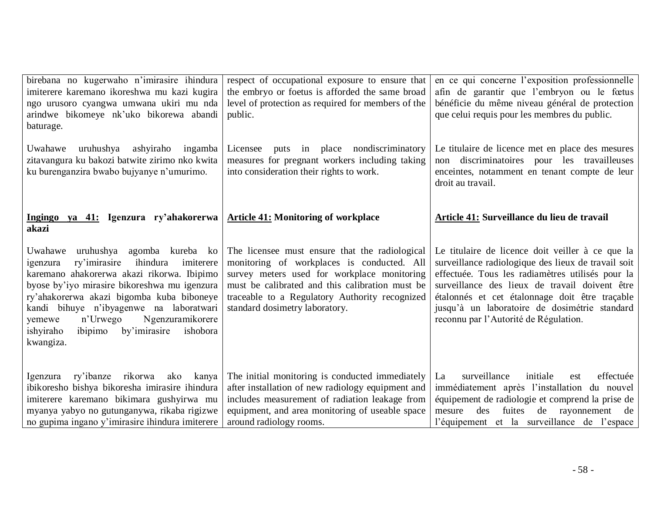| birebana no kugerwaho n'imirasire ihindura<br>imiterere karemano ikoreshwa mu kazi kugira<br>ngo urusoro cyangwa umwana ukiri mu nda<br>arindwe bikomeye nk'uko bikorewa abandi<br>baturage.                                                                                                                                                                                       | respect of occupational exposure to ensure that<br>the embryo or foetus is afforded the same broad<br>level of protection as required for members of the<br>public.                                                                                                                | en ce qui concerne l'exposition professionnelle<br>afin de garantir que l'embryon ou le fœtus<br>bénéficie du même niveau général de protection<br>que celui requis pour les membres du public.                                                                                                                                                           |
|------------------------------------------------------------------------------------------------------------------------------------------------------------------------------------------------------------------------------------------------------------------------------------------------------------------------------------------------------------------------------------|------------------------------------------------------------------------------------------------------------------------------------------------------------------------------------------------------------------------------------------------------------------------------------|-----------------------------------------------------------------------------------------------------------------------------------------------------------------------------------------------------------------------------------------------------------------------------------------------------------------------------------------------------------|
| Uwahawe uruhushya ashyiraho ingamba<br>zitavangura ku bakozi batwite zirimo nko kwita<br>ku burenganzira bwabo bujyanye n'umurimo.                                                                                                                                                                                                                                                 | Licensee puts in place nondiscriminatory<br>measures for pregnant workers including taking<br>into consideration their rights to work.                                                                                                                                             | Le titulaire de licence met en place des mesures<br>non discriminatoires pour les travailleuses<br>enceintes, notamment en tenant compte de leur<br>droit au travail.                                                                                                                                                                                     |
| Ingingo ya 41: Igenzura ry'ahakorerwa<br>akazi                                                                                                                                                                                                                                                                                                                                     | <b>Article 41: Monitoring of workplace</b>                                                                                                                                                                                                                                         | Article 41: Surveillance du lieu de travail                                                                                                                                                                                                                                                                                                               |
| Uwahawe uruhushya agomba kureba ko<br>ry'imirasire ihindura<br>imiterere<br>igenzura<br>karemano ahakorerwa akazi rikorwa. Ibipimo<br>byose by'iyo mirasire bikoreshwa mu igenzura<br>ry'ahakorerwa akazi bigomba kuba biboneye<br>kandi bihuye n'ibyagenwe na laboratwari<br>Ngenzuramikorere<br>n'Urwego<br>yemewe<br>ibipimo by'imirasire<br>ishobora<br>ishyiraho<br>kwangiza. | The licensee must ensure that the radiological<br>monitoring of workplaces is conducted. All<br>survey meters used for workplace monitoring<br>must be calibrated and this calibration must be<br>traceable to a Regulatory Authority recognized<br>standard dosimetry laboratory. | Le titulaire de licence doit veiller à ce que la<br>surveillance radiologique des lieux de travail soit<br>effectuée. Tous les radiamètres utilisés pour la<br>surveillance des lieux de travail doivent être<br>étalonnés et cet étalonnage doit être traçable<br>jusqu'à un laboratoire de dosimétrie standard<br>reconnu par l'Autorité de Régulation. |
| Igenzura ry'ibanze rikorwa<br>ako<br>kanya<br>ibikoresho bishya bikoresha imirasire ihindura<br>imiterere karemano bikimara gushyirwa mu<br>myanya yabyo no gutunganywa, rikaba rigizwe<br>no gupima ingano y'imirasire ihindura imiterere                                                                                                                                         | The initial monitoring is conducted immediately<br>after installation of new radiology equipment and<br>includes measurement of radiation leakage from<br>equipment, and area monitoring of useable space<br>around radiology rooms.                                               | initiale<br>surveillance<br>effectuée<br>La<br>est<br>immédiatement après l'installation du nouvel<br>équipement de radiologie et comprend la prise de<br>fuites de rayonnement de<br>des<br>mesure<br>l'équipement et la surveillance de l'espace                                                                                                        |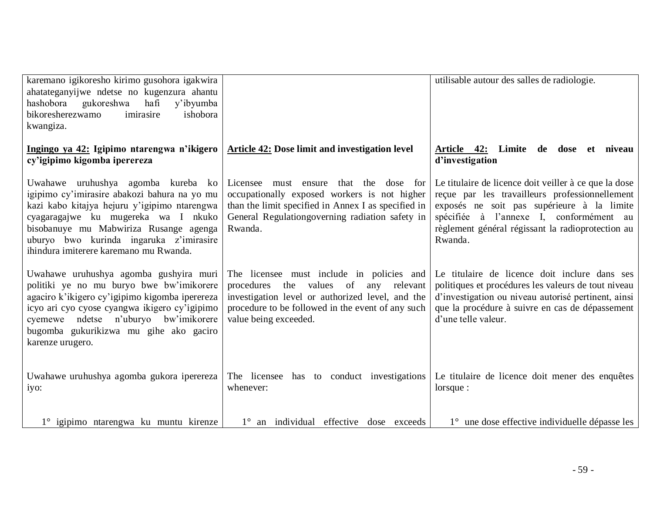| karemano igikoresho kirimo gusohora igakwira<br>ahatateganyijwe ndetse no kugenzura ahantu<br>hashobora<br>gukoreshwa<br>hafi<br>y'ibyumba<br>imirasire<br>ishobora<br>bikoresherezwamo<br>kwangiza.                                                                                                     |                                                                                                                                                                                                                                     | utilisable autour des salles de radiologie.                                                                                                                                                                                                                      |
|----------------------------------------------------------------------------------------------------------------------------------------------------------------------------------------------------------------------------------------------------------------------------------------------------------|-------------------------------------------------------------------------------------------------------------------------------------------------------------------------------------------------------------------------------------|------------------------------------------------------------------------------------------------------------------------------------------------------------------------------------------------------------------------------------------------------------------|
| Ingingo ya 42: Igipimo ntarengwa n'ikigero<br>cy'igipimo kigomba iperereza                                                                                                                                                                                                                               | Article 42: Dose limit and investigation level                                                                                                                                                                                      | Article 42: Limite de dose et niveau<br>d'investigation                                                                                                                                                                                                          |
| Uwahawe uruhushya agomba kureba ko<br>igipimo cy'imirasire abakozi bahura na yo mu<br>kazi kabo kitajya hejuru y'igipimo ntarengwa<br>cyagaragajwe ku mugereka wa I nkuko<br>bisobanuye mu Mabwiriza Rusange agenga<br>uburyo bwo kurinda ingaruka z'imirasire<br>ihindura imiterere karemano mu Rwanda. | Licensee must ensure<br>that the<br>dose for<br>occupationally exposed workers is not higher<br>than the limit specified in Annex I as specified in<br>General Regulation governing radiation safety in<br>Rwanda.                  | Le titulaire de licence doit veiller à ce que la dose<br>reçue par les travailleurs professionnellement<br>exposés ne soit pas supérieure à la limite<br>spécifiée à l'annexe I, conformément au<br>règlement général régissant la radioprotection au<br>Rwanda. |
| Uwahawe uruhushya agomba gushyira muri<br>politiki ye no mu buryo bwe bw'imikorere<br>agaciro k'ikigero cy'igipimo kigomba iperereza<br>icyo ari cyo cyose cyangwa ikigero cy'igipimo<br>cyemewe ndetse n'uburyo bw'imikorere<br>bugomba gukurikizwa mu gihe ako gaciro<br>karenze urugero.              | The licensee must include in policies and<br>procedures<br>the<br>values<br>of<br>relevant<br>any<br>investigation level or authorized level, and the<br>procedure to be followed in the event of any such<br>value being exceeded. | Le titulaire de licence doit inclure dans ses<br>politiques et procédures les valeurs de tout niveau<br>d'investigation ou niveau autorisé pertinent, ainsi<br>que la procédure à suivre en cas de dépassement<br>d'une telle valeur.                            |
| Uwahawe uruhushya agomba gukora iperereza<br>iyo:                                                                                                                                                                                                                                                        | The licensee has to conduct investigations<br>whenever:                                                                                                                                                                             | Le titulaire de licence doit mener des enquêtes<br>lorsque:                                                                                                                                                                                                      |
| 1° igipimo ntarengwa ku muntu kirenze                                                                                                                                                                                                                                                                    | 1° an individual effective dose exceeds                                                                                                                                                                                             | 1° une dose effective individuelle dépasse les                                                                                                                                                                                                                   |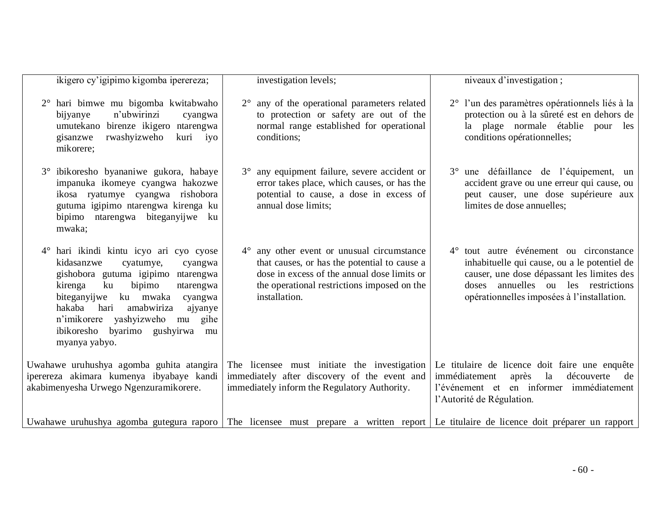| ikigero cy'igipimo kigomba iperereza;                                                                                                                                                                                                                                                                                                               | investigation levels;                                                                                                                                                                                     | niveaux d'investigation;                                                                                                                                                                                                   |
|-----------------------------------------------------------------------------------------------------------------------------------------------------------------------------------------------------------------------------------------------------------------------------------------------------------------------------------------------------|-----------------------------------------------------------------------------------------------------------------------------------------------------------------------------------------------------------|----------------------------------------------------------------------------------------------------------------------------------------------------------------------------------------------------------------------------|
| hari bimwe mu bigomba kwitabwaho<br>n'ubwirinzi<br>bijyanye<br>cyangwa<br>umutekano birenze ikigero ntarengwa<br>rwashyizweho<br>kuri<br>iyo<br>gisanzwe<br>mikorere;                                                                                                                                                                               | $2^{\circ}$ any of the operational parameters related<br>to protection or safety are out of the<br>normal range established for operational<br>conditions;                                                | 2° l'un des paramètres opérationnels liés à la<br>protection ou à la sûreté est en dehors de<br>la plage normale établie pour les<br>conditions opérationnelles;                                                           |
| ibikoresho byananiwe gukora, habaye<br>$3^\circ$<br>impanuka ikomeye cyangwa hakozwe<br>ikosa ryatumye cyangwa rishobora<br>gutuma igipimo ntarengwa kirenga ku<br>bipimo ntarengwa biteganyijwe ku<br>mwaka;                                                                                                                                       | 3° any equipment failure, severe accident or<br>error takes place, which causes, or has the<br>potential to cause, a dose in excess of<br>annual dose limits;                                             | 3° une défaillance de l'équipement, un<br>accident grave ou une erreur qui cause, ou<br>peut causer, une dose supérieure aux<br>limites de dose annuelles;                                                                 |
| hari ikindi kintu icyo ari cyo cyose<br>$4^{\circ}$<br>kidasanzwe<br>cyatumye,<br>cyangwa<br>gishobora gutuma igipimo ntarengwa<br>kirenga<br>ku<br>bipimo<br>ntarengwa<br>biteganyijwe ku mwaka<br>cyangwa<br>hakaba<br>amabwiriza<br>hari<br>ajyanye<br>n'imikorere yashyizweho mu<br>gihe<br>ibikoresho byarimo gushyirwa<br>mu<br>myanya yabyo. | 4° any other event or unusual circumstance<br>that causes, or has the potential to cause a<br>dose in excess of the annual dose limits or<br>the operational restrictions imposed on the<br>installation. | 4° tout autre événement ou circonstance<br>inhabituelle qui cause, ou a le potentiel de<br>causer, une dose dépassant les limites des<br>doses annuelles ou les restrictions<br>opérationnelles imposées à l'installation. |
| Uwahawe uruhushya agomba guhita atangira<br>iperereza akimara kumenya ibyabaye kandi<br>akabimenyesha Urwego Ngenzuramikorere.                                                                                                                                                                                                                      | The licensee must initiate the investigation<br>immediately after discovery of the event and<br>immediately inform the Regulatory Authority.                                                              | Le titulaire de licence doit faire une enquête<br>la<br>immédiatement<br>après<br>découverte<br>de<br>l'événement et en informer immédiatement<br>l'Autorité de Régulation.                                                |
|                                                                                                                                                                                                                                                                                                                                                     |                                                                                                                                                                                                           | Uwahawe uruhushya agomba gutegura raporo The licensee must prepare a written report Le titulaire de licence doit préparer un rapport                                                                                       |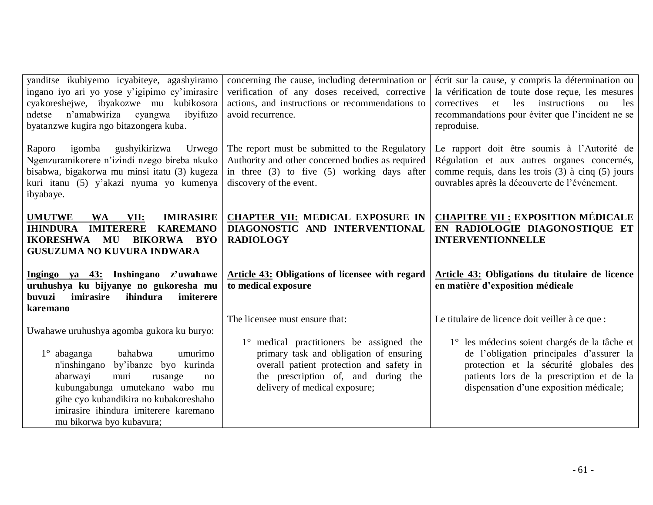| yanditse ikubiyemo icyabiteye, agashyiramo<br>ingano iyo ari yo yose y'igipimo cy'imirasire<br>cyakoreshejwe, ibyakozwe mu kubikosora<br>n'amabwiriza cyangwa<br>ibyifuzo<br>ndetse<br>byatanzwe kugira ngo bitazongera kuba.           | concerning the cause, including determination or<br>verification of any doses received, corrective<br>actions, and instructions or recommendations to<br>avoid recurrence.                              | écrit sur la cause, y compris la détermination ou<br>la vérification de toute dose reçue, les mesures<br>correctives et les<br>instructions<br>les<br>ou<br>recommandations pour éviter que l'incident ne se<br>reproduise. |
|-----------------------------------------------------------------------------------------------------------------------------------------------------------------------------------------------------------------------------------------|---------------------------------------------------------------------------------------------------------------------------------------------------------------------------------------------------------|-----------------------------------------------------------------------------------------------------------------------------------------------------------------------------------------------------------------------------|
| igomba gushyikirizwa<br>Urwego<br>Raporo<br>Ngenzuramikorere n'izindi nzego bireba nkuko<br>bisabwa, bigakorwa mu minsi itatu (3) kugeza<br>kuri itanu (5) y'akazi nyuma yo kumenya<br>ibyabaye.                                        | The report must be submitted to the Regulatory<br>Authority and other concerned bodies as required<br>in three $(3)$ to five $(5)$ working days after<br>discovery of the event.                        | Le rapport doit être soumis à l'Autorité de<br>Régulation et aux autres organes concernés,<br>comme requis, dans les trois (3) à cinq (5) jours<br>ouvrables après la découverte de l'événement.                            |
| <b>IMIRASIRE</b><br><b>UMUTWE</b><br><b>WA</b><br>VII:<br><b>IHINDURA</b><br><b>IMITERERE</b><br><b>KAREMANO</b><br><b>IKORESHWA MU</b><br>BIKORWA BYO<br><b>GUSUZUMA NO KUVURA INDWARA</b>                                             | <b>CHAPTER VII: MEDICAL EXPOSURE IN</b><br>DIAGONOSTIC AND INTERVENTIONAL<br><b>RADIOLOGY</b>                                                                                                           | <b>CHAPITRE VII : EXPOSITION MÉDICALE</b><br>EN RADIOLOGIE DIAGONOSTIQUE ET<br><b>INTERVENTIONNELLE</b>                                                                                                                     |
| Ingingo ya 43: Inshingano z'uwahawe<br>uruhushya ku bijyanye no gukoresha mu<br>buvuzi<br>imirasire<br>ihindura<br>imiterere<br>karemano                                                                                                | Article 43: Obligations of licensee with regard<br>to medical exposure                                                                                                                                  | Article 43: Obligations du titulaire de licence<br>en matière d'exposition médicale                                                                                                                                         |
| Uwahawe uruhushya agomba gukora ku buryo:                                                                                                                                                                                               | The licensee must ensure that:                                                                                                                                                                          | Le titulaire de licence doit veiller à ce que :                                                                                                                                                                             |
| bahabwa<br>umurimo<br>$1^\circ$ abaganga<br>n'inshingano by'ibanze byo kurinda<br>abarwayi<br>muri<br>rusange<br>no<br>kubungabunga umutekano wabo mu<br>gihe cyo kubandikira no kubakoreshaho<br>imirasire ihindura imiterere karemano | 1° medical practitioners be assigned the<br>primary task and obligation of ensuring<br>overall patient protection and safety in<br>the prescription of, and during the<br>delivery of medical exposure; | 1° les médecins soient chargés de la tâche et<br>de l'obligation principales d'assurer la<br>protection et la sécurité globales des<br>patients lors de la prescription et de la<br>dispensation d'une exposition médicale; |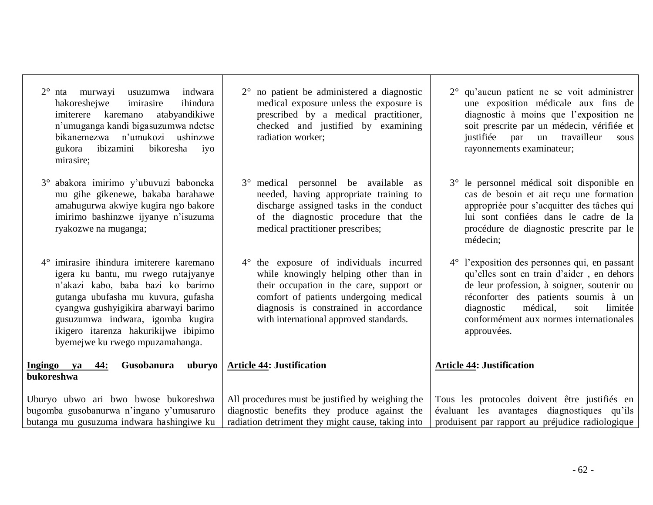| karemano<br>atabyandikiwe<br>imiterere<br>n'umuganga kandi bigasuzumwa ndetse<br>bikanemezwa n'umukozi ushinzwe<br>gukora ibizamini<br>bikoresha<br>iyo<br>mirasire;                                                                                                                                                        | prescribed by a medical practitioner,<br>checked and justified by examining<br>radiation worker;                                                                                                                                                           | diagnostic à moins que l'exposition ne<br>soit prescrite par un médecin, vérifiée et<br>justifiée<br>travailleur<br>par<br>un<br>sous<br>rayonnements examinateur;                                                                                                                      |
|-----------------------------------------------------------------------------------------------------------------------------------------------------------------------------------------------------------------------------------------------------------------------------------------------------------------------------|------------------------------------------------------------------------------------------------------------------------------------------------------------------------------------------------------------------------------------------------------------|-----------------------------------------------------------------------------------------------------------------------------------------------------------------------------------------------------------------------------------------------------------------------------------------|
| 3° abakora imirimo y'ubuvuzi baboneka<br>mu gihe gikenewe, bakaba barahawe<br>amahugurwa akwiye kugira ngo bakore<br>imirimo bashinzwe ijyanye n'isuzuma<br>ryakozwe na muganga;                                                                                                                                            | 3° medical personnel be available as<br>needed, having appropriate training to<br>discharge assigned tasks in the conduct<br>of the diagnostic procedure that the<br>medical practitioner prescribes;                                                      | 3° le personnel médical soit disponible en<br>cas de besoin et ait reçu une formation<br>appropriée pour s'acquitter des tâches qui<br>lui sont confiées dans le cadre de la<br>procédure de diagnostic prescrite par le<br>médecin;                                                    |
| $4^{\circ}$ imirasire ihindura imiterere karemano<br>igera ku bantu, mu rwego rutajyanye<br>n'akazi kabo, baba bazi ko barimo<br>gutanga ubufasha mu kuvura, gufasha<br>cyangwa gushyigikira abarwayi barimo<br>gusuzumwa indwara, igomba kugira<br>ikigero itarenza hakurikijwe ibipimo<br>byemejwe ku rwego mpuzamahanga. | 4° the exposure of individuals incurred<br>while knowingly helping other than in<br>their occupation in the care, support or<br>comfort of patients undergoing medical<br>diagnosis is constrained in accordance<br>with international approved standards. | 4° l'exposition des personnes qui, en passant<br>qu'elles sont en train d'aider, en dehors<br>de leur profession, à soigner, soutenir ou<br>réconforter des patients soumis à un<br>médical,<br>limitée<br>diagnostic<br>soit<br>conformément aux normes internationales<br>approuvées. |
| Ingingo ya<br>Gusobanura<br>uburyo<br>44:<br>bukoreshwa                                                                                                                                                                                                                                                                     | <b>Article 44: Justification</b>                                                                                                                                                                                                                           | <b>Article 44: Justification</b>                                                                                                                                                                                                                                                        |
| Uburyo ubwo ari bwo bwose bukoreshwa<br>bugomba gusobanurwa n'ingano y'umusaruro<br>butanga mu gusuzuma indwara hashingiwe ku                                                                                                                                                                                               | All procedures must be justified by weighing the<br>diagnostic benefits they produce against the<br>radiation detriment they might cause, taking into                                                                                                      | Tous les protocoles doivent être justifiés en<br>évaluant les avantages diagnostiques qu'ils<br>produisent par rapport au préjudice radiologique                                                                                                                                        |

2° no patient be administered a diagnostic medical exposure unless the exposure is prescribed by a medical practitioner,

2° nta murwayi usuzumwa indwara

hakoreshejwe imirasire ihindura<br>imiterere karemano atabyandikiwe

2° qu'aucun patient ne se voit administrer une exposition médicale aux fins de diagnostic à moins que l'exposition ne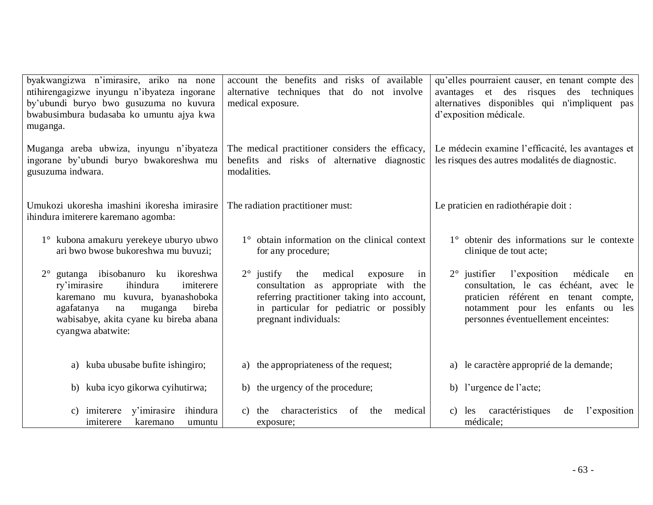| byakwangizwa n'imirasire, ariko na none<br>ntihirengagizwe inyungu n'ibyateza ingorane<br>by'ubundi buryo bwo gusuzuma no kuvura<br>bwabusimbura budasaba ko umuntu ajya kwa<br>muganga.                                                | account the benefits and risks of available<br>alternative techniques that do not involve<br>medical exposure.                                                                                                        | qu'elles pourraient causer, en tenant compte des<br>avantages et des risques<br>des techniques<br>alternatives disponibles qui n'impliquent pas<br>d'exposition médicale.                                            |  |  |
|-----------------------------------------------------------------------------------------------------------------------------------------------------------------------------------------------------------------------------------------|-----------------------------------------------------------------------------------------------------------------------------------------------------------------------------------------------------------------------|----------------------------------------------------------------------------------------------------------------------------------------------------------------------------------------------------------------------|--|--|
| Muganga areba ubwiza, inyungu n'ibyateza<br>ingorane by'ubundi buryo bwakoreshwa mu<br>gusuzuma indwara.                                                                                                                                | The medical practitioner considers the efficacy,<br>benefits and risks of alternative diagnostic<br>modalities.                                                                                                       | Le médecin examine l'efficacité, les avantages et<br>les risques des autres modalités de diagnostic.                                                                                                                 |  |  |
| Umukozi ukoresha imashini ikoresha imirasire<br>ihindura imiterere karemano agomba:                                                                                                                                                     | The radiation practitioner must:                                                                                                                                                                                      | Le praticien en radiothérapie doit :                                                                                                                                                                                 |  |  |
| 1° kubona amakuru yerekeye uburyo ubwo<br>ari bwo bwose bukoreshwa mu buvuzi;                                                                                                                                                           | 1° obtain information on the clinical context<br>for any procedure;                                                                                                                                                   | 1° obtenir des informations sur le contexte<br>clinique de tout acte;                                                                                                                                                |  |  |
| gutanga ibisobanuro ku<br>$2^{\circ}$<br>ikoreshwa<br>ihindura<br>imiterere<br>ry'imirasire<br>karemano mu kuvura, byanashoboka<br>agafatanya<br>bireba<br>muganga<br>na<br>wabisabye, akita cyane ku bireba abana<br>cyangwa abatwite: | $2^{\circ}$ justify<br>the<br>medical<br>exposure<br>in<br>consultation as appropriate with<br>the<br>referring practitioner taking into account,<br>in particular for pediatric or possibly<br>pregnant individuals: | l'exposition<br>$2^{\circ}$ justifier<br>médicale<br>en<br>consultation, le cas échéant, avec le<br>praticien référent en tenant compte,<br>notamment pour les enfants ou les<br>personnes éventuellement enceintes: |  |  |
| kuba ubusabe bufite ishingiro;<br>a)                                                                                                                                                                                                    | the appropriateness of the request;<br>a)                                                                                                                                                                             | a) le caractère approprié de la demande;                                                                                                                                                                             |  |  |
| b) kuba icyo gikorwa cyihutirwa;                                                                                                                                                                                                        | b) the urgency of the procedure;                                                                                                                                                                                      | b) l'urgence de l'acte;                                                                                                                                                                                              |  |  |
| y'imirasire<br>ihindura<br>imiterere<br>$\mathcal{C}$ )<br>imiterere<br>karemano<br>umuntu                                                                                                                                              | characteristics<br>medical<br>of<br>the<br>$\mathbf{c}$ )<br>the<br>exposure;                                                                                                                                         | caractéristiques<br>l'exposition<br>c) les<br>de<br>médicale;                                                                                                                                                        |  |  |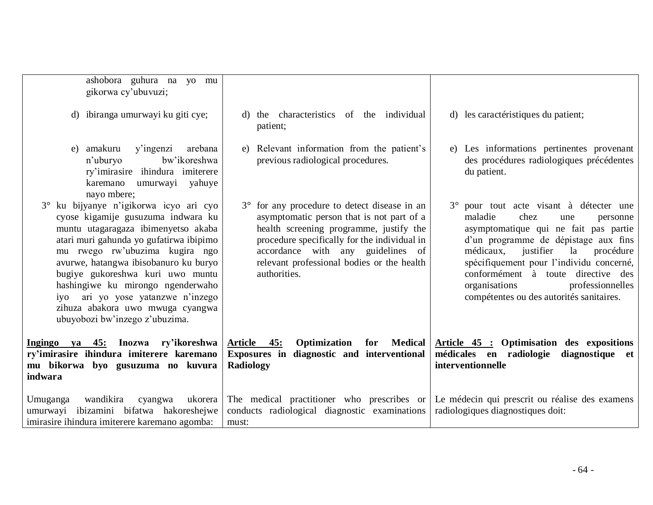| ashobora guhura na yo mu<br>gikorwa cy'ubuvuzi;                                                                                                                                                                                                                                                                                                                                                                            |                                                                                                                                                                                                                                                                                         |                                                                                                                                                                                                                                                                                                                                                                                |
|----------------------------------------------------------------------------------------------------------------------------------------------------------------------------------------------------------------------------------------------------------------------------------------------------------------------------------------------------------------------------------------------------------------------------|-----------------------------------------------------------------------------------------------------------------------------------------------------------------------------------------------------------------------------------------------------------------------------------------|--------------------------------------------------------------------------------------------------------------------------------------------------------------------------------------------------------------------------------------------------------------------------------------------------------------------------------------------------------------------------------|
| d) ibiranga umurwayi ku giti cye;                                                                                                                                                                                                                                                                                                                                                                                          | d) the characteristics of the individual<br>patient;                                                                                                                                                                                                                                    | d) les caractéristiques du patient;                                                                                                                                                                                                                                                                                                                                            |
| amakuru<br>y'ingenzi<br>arebana<br>e)<br>bw'ikoreshwa<br>n'uburyo<br>ry'imirasire ihindura imiterere<br>umurwayi yahuye<br>karemano<br>nayo mbere;                                                                                                                                                                                                                                                                         | e) Relevant information from the patient's<br>previous radiological procedures.                                                                                                                                                                                                         | e) Les informations pertinentes provenant<br>des procédures radiologiques précédentes<br>du patient.                                                                                                                                                                                                                                                                           |
| ku bijyanye n'igikorwa icyo ari cyo<br>cyose kigamije gusuzuma indwara ku<br>muntu utagaragaza ibimenyetso akaba<br>atari muri gahunda yo gufatirwa ibipimo<br>mu rwego rw'ubuzima kugira ngo<br>avurwe, hatangwa ibisobanuro ku buryo<br>bugiye gukoreshwa kuri uwo muntu<br>hashingiwe ku mirongo ngenderwaho<br>iyo ari yo yose yatanzwe n'inzego<br>zihuza abakora uwo mwuga cyangwa<br>ubuyobozi bw'inzego z'ubuzima. | 3° for any procedure to detect disease in an<br>asymptomatic person that is not part of a<br>health screening programme, justify the<br>procedure specifically for the individual in<br>accordance with any guidelines of<br>relevant professional bodies or the health<br>authorities. | 3° pour tout acte visant à détecter une<br>maladie<br>chez<br>une<br>personne<br>asymptomatique qui ne fait pas partie<br>d'un programme de dépistage aux fins<br>médicaux,<br>justifier<br>la<br>procédure<br>spécifiquement pour l'individu concerné,<br>conformément à toute directive des<br>organisations<br>professionnelles<br>compétentes ou des autorités sanitaires. |
| Ingingo ya 45: Inozwa ry'ikoreshwa<br>ry'imirasire ihindura imiterere karemano<br>mu bikorwa byo gusuzuma no kuvura<br>indwara                                                                                                                                                                                                                                                                                             | Optimization<br>for Medical<br><u>Article 45:</u><br>Exposures in diagnostic and interventional<br>Radiology                                                                                                                                                                            | Article 45 : Optimisation des expositions<br>médicales en radiologie<br>diagnostique et<br>interventionnelle                                                                                                                                                                                                                                                                   |
| Umuganga<br>wandikira<br>ukorera<br>cyangwa<br>umurwayi ibizamini bifatwa hakoreshejwe<br>imirasire ihindura imiterere karemano agomba:                                                                                                                                                                                                                                                                                    | The medical practitioner who prescribes or<br>conducts radiological diagnostic examinations<br>must:                                                                                                                                                                                    | Le médecin qui prescrit ou réalise des examens<br>radiologiques diagnostiques doit:                                                                                                                                                                                                                                                                                            |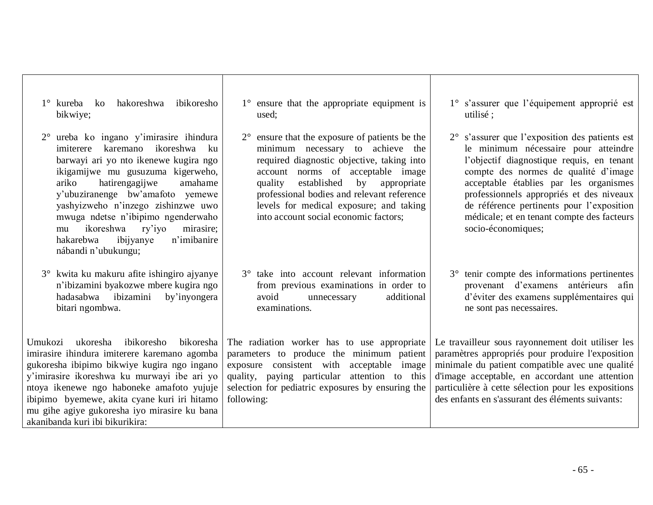| yashyizweho n'inzego zishinzwe uwo<br>mwuga ndetse n'ibipimo ngenderwaho<br>ikoreshwa ry'iyo<br>mirasire;<br>mu<br>n'imibanire<br>ibijyanye<br>hakarebwa<br>nábandi n'ubukungu;                                                                                                                                                                                           | levels for medical exposure; and taking<br>into account social economic factors;                                                                                                                                                                            | de référence pertinents pour l'exposition<br>médicale; et en tenant compte des facteurs<br>socio-économiques;                                                                                                                                                                                                         |
|---------------------------------------------------------------------------------------------------------------------------------------------------------------------------------------------------------------------------------------------------------------------------------------------------------------------------------------------------------------------------|-------------------------------------------------------------------------------------------------------------------------------------------------------------------------------------------------------------------------------------------------------------|-----------------------------------------------------------------------------------------------------------------------------------------------------------------------------------------------------------------------------------------------------------------------------------------------------------------------|
| 3° kwita ku makuru afite ishingiro ajyanye<br>n'ibizamini byakozwe mbere kugira ngo<br>hadasabwa ibizamini<br>by'inyongera<br>bitari ngombwa.                                                                                                                                                                                                                             | 3° take into account relevant information<br>from previous examinations in order to<br>additional<br>avoid<br>unnecessary<br>examinations.                                                                                                                  | 3° tenir compte des informations pertinentes<br>provenant d'examens antérieurs afin<br>d'éviter des examens supplémentaires qui<br>ne sont pas necessaires.                                                                                                                                                           |
| ibikoresho bikoresha<br>ukoresha<br>Umukozi<br>imirasire ihindura imiterere karemano agomba<br>gukoresha ibipimo bikwiye kugira ngo ingano<br>y'imirasire ikoreshwa ku murwayi ibe ari yo<br>ntoya ikenewe ngo haboneke amafoto yujuje<br>ibipimo byemewe, akita cyane kuri iri hitamo<br>mu gihe agiye gukoresha iyo mirasire ku bana<br>akanibanda kuri ibi bikurikira: | The radiation worker has to use appropriate<br>parameters to produce the minimum patient<br>consistent with acceptable image<br>exposure<br>quality, paying particular attention to this<br>selection for pediatric exposures by ensuring the<br>following: | Le travailleur sous rayonnement doit utiliser les<br>paramètres appropriés pour produire l'exposition<br>minimale du patient compatible avec une qualité<br>d'image acceptable, en accordant une attention<br>particulière à cette sélection pour les expositions<br>des enfants en s'assurant des éléments suivants: |

1° ensure that the appropriate equipment is used;

2° ensure that the exposure of patients be the minimum necessary to achieve the required diagnostic objective, taking into account norms of acceptable image quality established by appropriate professional bodies and relevant reference

1° kureba ko hakoreshwa ibikoresho

2° ureba ko ingano y'imirasire ihindura imiterere karemano ikoreshwa ku barwayi ari yo nto ikenewe kugira ngo ikigamijwe mu gusuzuma kigerweho, ariko hatirengagijwe amahame y'ubuziranenge bw'amafoto yemewe

bikwiye;

1° s'assurer que l'équipement approprié est

2° s'assurer que l'exposition des patients est le minimum nécessaire pour atteindre l'objectif diagnostique requis, en tenant compte des normes de qualité d'image acceptable établies par les organismes professionnels appropriés et des niveaux

utilisé ;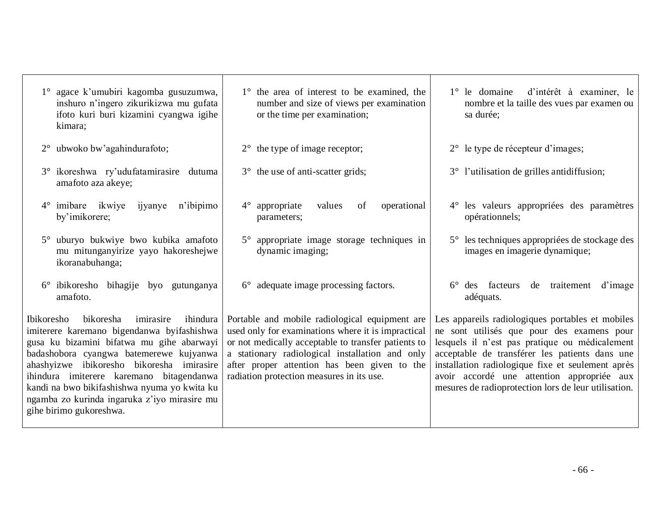| 1° agace k'umubiri kagomba gusuzumwa,<br>inshuro n'ingero zikurikizwa mu gufata<br>ifoto kuri buri kizamini cyangwa igihe<br>kimara;                                                                                                                                                                                                                                                                    | 1° the area of interest to be examined, the<br>number and size of views per examination<br>or the time per examination;                                                                                                                                                                                     | 1° le domaine d'intérêt à examiner, le<br>nombre et la taille des vues par examen ou<br>sa durée;                                                                                                                                                                                                                                                             |
|---------------------------------------------------------------------------------------------------------------------------------------------------------------------------------------------------------------------------------------------------------------------------------------------------------------------------------------------------------------------------------------------------------|-------------------------------------------------------------------------------------------------------------------------------------------------------------------------------------------------------------------------------------------------------------------------------------------------------------|---------------------------------------------------------------------------------------------------------------------------------------------------------------------------------------------------------------------------------------------------------------------------------------------------------------------------------------------------------------|
| 2° ubwoko bw'agahindurafoto;                                                                                                                                                                                                                                                                                                                                                                            | $2^{\circ}$ the type of image receptor;                                                                                                                                                                                                                                                                     | 2° le type de récepteur d'images;                                                                                                                                                                                                                                                                                                                             |
| 3° ikoreshwa ry'udufatamirasire dutuma<br>amafoto aza akeye;                                                                                                                                                                                                                                                                                                                                            | 3° the use of anti-scatter grids;                                                                                                                                                                                                                                                                           | 3° l'utilisation de grilles antidiffusion;                                                                                                                                                                                                                                                                                                                    |
| $4^{\circ}$ imibare ikwiye<br>ijyanye<br>n'ibipimo<br>by'imikorere;                                                                                                                                                                                                                                                                                                                                     | appropriate<br>values<br>operational<br>$4^{\circ}$<br>of<br>parameters;                                                                                                                                                                                                                                    | 4° les valeurs appropriées des paramètres<br>opérationnels;                                                                                                                                                                                                                                                                                                   |
| uburyo bukwiye bwo kubika amafoto<br>$5^{\circ}$<br>mu mitunganyirize yayo hakoreshejwe<br>ikoranabuhanga;                                                                                                                                                                                                                                                                                              | 5° appropriate image storage techniques in<br>dynamic imaging;                                                                                                                                                                                                                                              | 5° les techniques appropriées de stockage des<br>images en imagerie dynamique;                                                                                                                                                                                                                                                                                |
| 6° ibikoresho bihagije byo gutunganya<br>amafoto.                                                                                                                                                                                                                                                                                                                                                       | $6^{\circ}$ adequate image processing factors.                                                                                                                                                                                                                                                              | 6° des facteurs de traitement<br>d'image<br>adéquats.                                                                                                                                                                                                                                                                                                         |
| bikoresha imirasire<br>ihindura<br>Ibikoresho<br>imiterere karemano bigendanwa byifashishwa<br>gusa ku bizamini bifatwa mu gihe abarwayi<br>badashobora cyangwa batemerewe kujyanwa<br>ahashyizwe ibikoresho bikoresha imirasire<br>ihindura imiterere karemano bitagendanwa<br>kandi na bwo bikifashishwa nyuma yo kwita ku<br>ngamba zo kurinda ingaruka z'iyo mirasire mu<br>gihe birimo gukoreshwa. | Portable and mobile radiological equipment are<br>used only for examinations where it is impractical<br>or not medically acceptable to transfer patients to<br>a stationary radiological installation and only<br>after proper attention has been given to the<br>radiation protection measures in its use. | Les appareils radiologiques portables et mobiles<br>ne sont utilisés que pour des examens pour<br>lesquels il n'est pas pratique ou médicalement<br>acceptable de transférer les patients dans une<br>installation radiologique fixe et seulement après<br>avoir accordé une attention appropriée aux<br>mesures de radioprotection lors de leur utilisation. |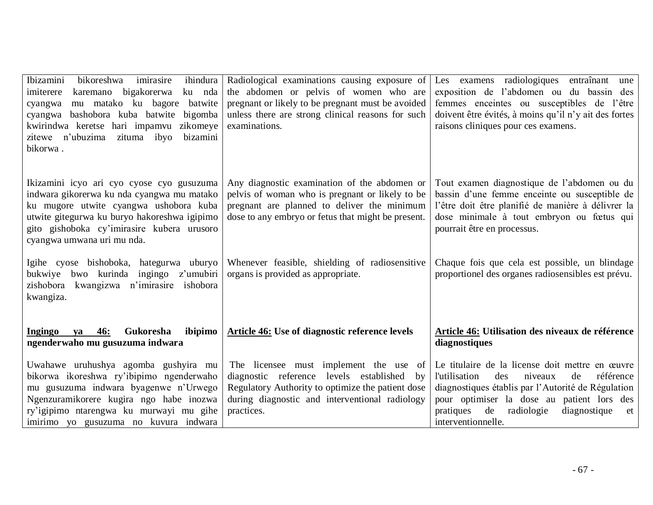| Ibizamini<br>bikoreshwa<br>ihindura<br>imirasire<br>karemano bigakorerwa<br>ku nda<br>imiterere<br>mu matako ku bagore<br>batwite<br>cyangwa<br>bashobora kuba batwite bigomba<br>cyangwa<br>kwirindwa keretse hari impamvu zikomeye<br>zitewe n'ubuzima zituma ibyo<br>bizamini<br>bikorwa. | Radiological examinations causing exposure of<br>the abdomen or pelvis of women who are<br>pregnant or likely to be pregnant must be avoided<br>unless there are strong clinical reasons for such<br>examinations. | Les examens radiologiques entraînant une<br>exposition de l'abdomen ou du bassin des<br>femmes enceintes ou susceptibles de l'être<br>doivent être évités, à moins qu'il n'y ait des fortes<br>raisons cliniques pour ces examens.                                                            |
|----------------------------------------------------------------------------------------------------------------------------------------------------------------------------------------------------------------------------------------------------------------------------------------------|--------------------------------------------------------------------------------------------------------------------------------------------------------------------------------------------------------------------|-----------------------------------------------------------------------------------------------------------------------------------------------------------------------------------------------------------------------------------------------------------------------------------------------|
| Ikizamini icyo ari cyo cyose cyo gusuzuma<br>indwara gikorerwa ku nda cyangwa mu matako<br>ku mugore utwite cyangwa ushobora kuba<br>utwite gitegurwa ku buryo hakoreshwa igipimo<br>gito gishoboka cy'imirasire kubera urusoro<br>cyangwa umwana uri mu nda.                                | Any diagnostic examination of the abdomen or<br>pelvis of woman who is pregnant or likely to be<br>pregnant are planned to deliver the minimum<br>dose to any embryo or fetus that might be present.               | Tout examen diagnostique de l'abdomen ou du<br>bassin d'une femme enceinte ou susceptible de<br>l'être doit être planifié de manière à délivrer la<br>dose minimale à tout embryon ou fœtus qui<br>pourrait être en processus.                                                                |
| Igihe cyose bishoboka, hategurwa uburyo<br>bwo kurinda ingingo z'umubiri<br>bukwiye<br>zishobora kwangizwa n'imirasire ishobora<br>kwangiza.                                                                                                                                                 | Whenever feasible, shielding of radiosensitive<br>organs is provided as appropriate.                                                                                                                               | Chaque fois que cela est possible, un blindage<br>proportionel des organes radiosensibles est prévu.                                                                                                                                                                                          |
| Gukoresha<br><b>Ingingo</b><br><b>46:</b><br>ibipimo<br>ya<br>ngenderwaho mu gusuzuma indwara                                                                                                                                                                                                | Article 46: Use of diagnostic reference levels                                                                                                                                                                     | Article 46: Utilisation des niveaux de référence<br>diagnostiques                                                                                                                                                                                                                             |
| Uwahawe uruhushya agomba gushyira mu<br>bikorwa ikoreshwa ry'ibipimo ngenderwaho<br>mu gusuzuma indwara byagenwe n'Urwego<br>Ngenzuramikorere kugira ngo habe inozwa<br>ry'igipimo ntarengwa ku murwayi mu gihe<br>imirimo yo gusuzuma no kuvura indwara                                     | The licensee must implement the use of<br>diagnostic reference levels established<br>by<br>Regulatory Authority to optimize the patient dose<br>during diagnostic and interventional radiology<br>practices.       | Le titulaire de la license doit mettre en œuvre<br><i>l'utilisation</i><br>des<br>niveaux<br>référence<br>de<br>diagnostiques établis par l'Autorité de Régulation<br>pour optimiser la dose au patient lors des<br>de<br>radiologie<br>diagnostique<br>pratiques<br>et<br>interventionnelle. |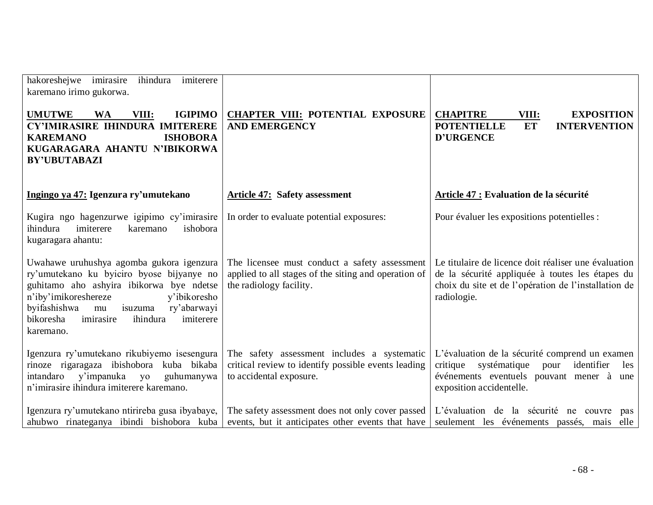| imiterere<br>hakoreshejwe imirasire<br>ihindura<br>karemano irimo gukorwa.                                                                                                                                                                                                                |                                                                                                                                  |                                                                                                                                                                                |  |  |
|-------------------------------------------------------------------------------------------------------------------------------------------------------------------------------------------------------------------------------------------------------------------------------------------|----------------------------------------------------------------------------------------------------------------------------------|--------------------------------------------------------------------------------------------------------------------------------------------------------------------------------|--|--|
| <b>UMUTWE</b><br><b>IGIPIMO</b><br><b>WA</b><br>VIII:<br>CY'IMIRASIRE IHINDURA IMITERERE<br><b>ISHOBORA</b><br><b>KAREMANO</b><br>KUGARAGARA AHANTU N'IBIKORWA<br><b>BY'UBUTABAZI</b>                                                                                                     | <b>CHAPTER VIII: POTENTIAL EXPOSURE</b><br><b>AND EMERGENCY</b>                                                                  | <b>CHAPITRE</b><br>VIII:<br><b>EXPOSITION</b><br><b>POTENTIELLE</b><br><b>ET</b><br><b>INTERVENTION</b><br><b>D'URGENCE</b>                                                    |  |  |
| Ingingo ya 47: Igenzura ry'umutekano                                                                                                                                                                                                                                                      | <b>Article 47: Safety assessment</b>                                                                                             | Article 47 : Evaluation de la sécurité                                                                                                                                         |  |  |
| Kugira ngo hagenzurwe igipimo cy'imirasire<br>ihindura<br>imiterere<br>ishobora<br>karemano<br>kugaragara ahantu:                                                                                                                                                                         | In order to evaluate potential exposures:                                                                                        | Pour évaluer les expositions potentielles :                                                                                                                                    |  |  |
| Uwahawe uruhushya agomba gukora igenzura<br>ry'umutekano ku byiciro byose bijyanye no<br>guhitamo aho ashyira ibikorwa bye ndetse<br>n'iby'imikoreshereze<br>y'ibikoresho<br>byifashishwa<br>ry'abarwayi<br>isuzuma<br>mu<br>bikoresha<br>imirasire<br>imiterere<br>ihindura<br>karemano. | The licensee must conduct a safety assessment<br>applied to all stages of the siting and operation of<br>the radiology facility. | Le titulaire de licence doit réaliser une évaluation<br>de la sécurité appliquée à toutes les étapes du<br>choix du site et de l'opération de l'installation de<br>radiologie. |  |  |
| Igenzura ry'umutekano rikubiyemo isesengura<br>rinoze rigaragaza ibishobora kuba bikaba<br>intandaro y'impanuka yo<br>guhumanywa<br>n'imirasire ihindura imiterere karemano.                                                                                                              | The safety assessment includes a systematic<br>critical review to identify possible events leading<br>to accidental exposure.    | L'évaluation de la sécurité comprend un examen<br>critique systématique pour<br>identifier<br>les<br>événements eventuels pouvant mener à une<br>exposition accidentelle.      |  |  |
| Igenzura ry'umutekano ntirireba gusa ibyabaye,<br>ahubwo rinateganya ibindi bishobora kuba                                                                                                                                                                                                | The safety assessment does not only cover passed<br>events, but it anticipates other events that have                            | L'évaluation de la sécurité ne couvre<br>pas<br>seulement les événements passés, mais elle                                                                                     |  |  |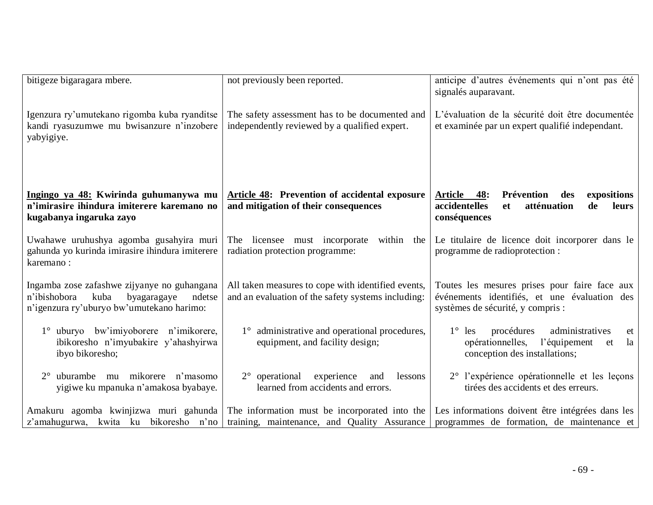| bitigeze bigaragara mbere.                                                                                                                | not previously been reported.                                                                            | anticipe d'autres événements qui n'ont pas été<br>signalés auparavant.                                                                  |  |  |  |
|-------------------------------------------------------------------------------------------------------------------------------------------|----------------------------------------------------------------------------------------------------------|-----------------------------------------------------------------------------------------------------------------------------------------|--|--|--|
| Igenzura ry'umutekano rigomba kuba ryanditse<br>kandi ryasuzumwe mu bwisanzure n'inzobere<br>yabyigiye.                                   | The safety assessment has to be documented and<br>independently reviewed by a qualified expert.          | L'évaluation de la sécurité doit être documentée<br>et examinée par un expert qualifié independant.                                     |  |  |  |
| Ingingo ya 48: Kwirinda guhumanywa mu<br>n'imirasire ihindura imiterere karemano no<br>kugabanya ingaruka zayo                            | Article 48: Prevention of accidental exposure<br>and mitigation of their consequences                    | Prévention<br>Article<br>48:<br>expositions<br>des<br>atténuation<br>accidentelles<br>de<br>leurs<br><b>et</b><br>conséquences          |  |  |  |
| Uwahawe uruhushya agomba gusahyira muri<br>gahunda yo kurinda imirasire ihindura imiterere<br>karemano:                                   | The licensee must incorporate<br>within the<br>radiation protection programme:                           | Le titulaire de licence doit incorporer dans le<br>programme de radioprotection :                                                       |  |  |  |
| Ingamba zose zafashwe zijyanye no guhangana<br>n'ibishobora<br>kuba<br>byagaragaye<br>ndetse<br>n'igenzura ry'uburyo bw'umutekano harimo: | All taken measures to cope with identified events,<br>and an evaluation of the safety systems including: | Toutes les mesures prises pour faire face aux<br>événements identifiés, et une évaluation des<br>systèmes de sécurité, y compris :      |  |  |  |
| 1° uburyo bw'imiyoborere n'imikorere,<br>ibikoresho n'imyubakire y'ahashyirwa<br>ibyo bikoresho;                                          | 1° administrative and operational procedures,<br>equipment, and facility design;                         | procédures<br>administratives<br>$1^{\circ}$ les<br>et<br>l'équipement<br>opérationnelles,<br>la<br>et<br>conception des installations; |  |  |  |
| uburambe mu mikorere n'masomo<br>$2^{\circ}$<br>yigiwe ku mpanuka n'amakosa byabaye.                                                      | experience<br>$2^{\circ}$ operational<br>and<br>lessons<br>learned from accidents and errors.            | 2° l'expérience opérationnelle et les leçons<br>tirées des accidents et des erreurs.                                                    |  |  |  |
| Amakuru agomba kwinjizwa muri gahunda<br>z'amahugurwa, kwita ku bikoresho n'no                                                            | The information must be incorporated into the<br>training, maintenance, and Quality Assurance            | Les informations doivent être intégrées dans les<br>programmes de formation, de maintenance et                                          |  |  |  |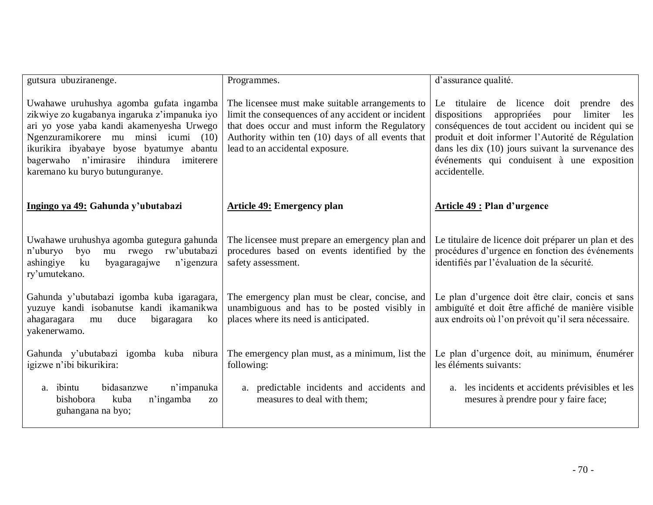| gutsura ubuziranenge.                                                                                                                                                                                                                                                                                   | Programmes.                                                                                                                                                                                                                                     | d'assurance qualité.                                                                                                                                                                                                                                                                                                                         |
|---------------------------------------------------------------------------------------------------------------------------------------------------------------------------------------------------------------------------------------------------------------------------------------------------------|-------------------------------------------------------------------------------------------------------------------------------------------------------------------------------------------------------------------------------------------------|----------------------------------------------------------------------------------------------------------------------------------------------------------------------------------------------------------------------------------------------------------------------------------------------------------------------------------------------|
| Uwahawe uruhushya agomba gufata ingamba<br>zikwiye zo kugabanya ingaruka z'impanuka iyo<br>ari yo yose yaba kandi akamenyesha Urwego<br>Ngenzuramikorere mu minsi icumi (10)<br>ikurikira ibyabaye byose byatumye abantu<br>bagerwaho n'imirasire ihindura imiterere<br>karemano ku buryo butunguranye. | The licensee must make suitable arrangements to<br>limit the consequences of any accident or incident<br>that does occur and must inform the Regulatory<br>Authority within ten (10) days of all events that<br>lead to an accidental exposure. | Le titulaire<br>de licence<br>doit<br>prendre<br>des<br>dispositions<br>appropriées<br>limiter<br>pour<br>les<br>conséquences de tout accident ou incident qui se<br>produit et doit informer l'Autorité de Régulation<br>dans les dix $(10)$ jours suivant la survenance des<br>événements qui conduisent à une exposition<br>accidentelle. |
| Ingingo ya 49: Gahunda y'ubutabazi                                                                                                                                                                                                                                                                      | <b>Article 49: Emergency plan</b>                                                                                                                                                                                                               | Article 49 : Plan d'urgence                                                                                                                                                                                                                                                                                                                  |
| Uwahawe uruhushya agomba gutegura gahunda<br>mu rwego rw'ubutabazi<br>n'uburyo<br>byo<br>ashingiye<br>ku<br>n'igenzura<br>byagaragajwe<br>ry'umutekano.                                                                                                                                                 | The licensee must prepare an emergency plan and<br>procedures based on events identified by the<br>safety assessment.                                                                                                                           | Le titulaire de licence doit préparer un plan et des<br>procédures d'urgence en fonction des événements<br>identifiés par l'évaluation de la sécurité.                                                                                                                                                                                       |
| Gahunda y'ubutabazi igomba kuba igaragara,<br>yuzuye kandi isobanutse kandi ikamanikwa<br>ahagaragara<br>duce<br>bigaragara<br>ko<br>mu<br>yakenerwamo.                                                                                                                                                 | The emergency plan must be clear, concise, and<br>unambiguous and has to be posted visibly in<br>places where its need is anticipated.                                                                                                          | Le plan d'urgence doit être clair, concis et sans<br>ambiguïté et doit être affiché de manière visible<br>aux endroits où l'on prévoit qu'il sera nécessaire.                                                                                                                                                                                |
| Gahunda y'ubutabazi igomba kuba nibura<br>igizwe n'ibi bikurikira:                                                                                                                                                                                                                                      | The emergency plan must, as a minimum, list the<br>following:                                                                                                                                                                                   | Le plan d'urgence doit, au minimum, énumérer<br>les éléments suivants:                                                                                                                                                                                                                                                                       |
| bidasanzwe<br>n'impanuka<br>a. ibintu<br>bishobora<br>kuba<br>n'ingamba<br>Z <sub>O</sub><br>guhangana na byo;                                                                                                                                                                                          | a. predictable incidents and accidents and<br>measures to deal with them;                                                                                                                                                                       | les incidents et accidents prévisibles et les<br>a.<br>mesures à prendre pour y faire face;                                                                                                                                                                                                                                                  |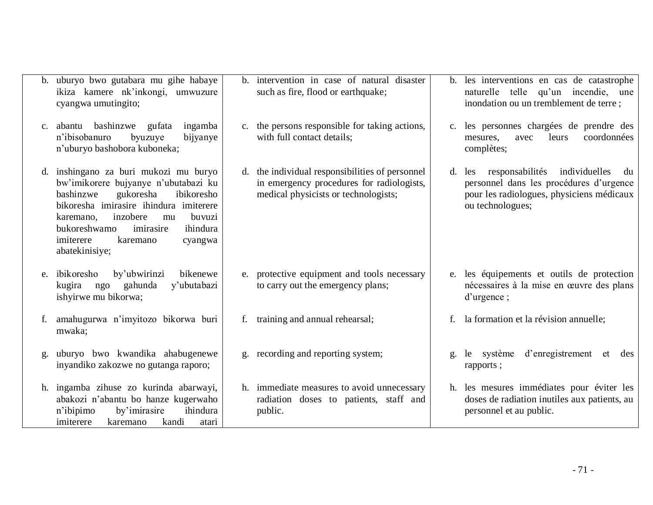|                | b. uburyo bwo gutabara mu gihe habaye<br>ikiza kamere nk'inkongi, umwuzure<br>cyangwa umutingito;                                                                                                                                                                                                       |    | b. intervention in case of natural disaster<br>such as fire, flood or earthquake;                                                    | b. les interventions en cas de catastrophe<br>naturelle telle qu'un incendie, une<br>inondation ou un tremblement de terre;                                  |
|----------------|---------------------------------------------------------------------------------------------------------------------------------------------------------------------------------------------------------------------------------------------------------------------------------------------------------|----|--------------------------------------------------------------------------------------------------------------------------------------|--------------------------------------------------------------------------------------------------------------------------------------------------------------|
| C <sub>1</sub> | abantu bashinzwe gufata<br>ingamba<br>n'ibisobanuro<br>bijyanye<br>byuzuye<br>n'uburyo bashobora kuboneka;                                                                                                                                                                                              |    | c. the persons responsible for taking actions,<br>with full contact details;                                                         | c. les personnes chargées de prendre des<br>coordonnées<br>leurs<br>mesures,<br>avec<br>complètes;                                                           |
|                | d. inshingano za buri mukozi mu buryo<br>bw'imikorere bujyanye n'ubutabazi ku<br>bashinzwe<br>gukoresha<br>ibikoresho<br>bikoresha imirasire ihindura imiterere<br>inzobere<br>buvuzi<br>karemano,<br>mu<br>bukoreshwamo<br>ihindura<br>imirasire<br>imiterere<br>karemano<br>cyangwa<br>abatekinisiye; |    | d. the individual responsibilities of personnel<br>in emergency procedures for radiologists,<br>medical physicists or technologists; | responsabilités<br>individuelles<br>d. les<br>du<br>personnel dans les procédures d'urgence<br>pour les radiologues, physiciens médicaux<br>ou technologues; |
| e.             | by'ubwirinzi<br>bikenewe<br>ibikoresho<br>y'ubutabazi<br>gahunda<br>kugira ngo<br>ishyirwe mu bikorwa;                                                                                                                                                                                                  | e. | protective equipment and tools necessary<br>to carry out the emergency plans;                                                        | e. les équipements et outils de protection<br>nécessaires à la mise en œuvre des plans<br>$d'$ urgence;                                                      |
|                | f. amahugurwa n'imyitozo bikorwa buri<br>mwaka;                                                                                                                                                                                                                                                         |    | f. training and annual rehearsal;                                                                                                    | f. la formation et la révision annuelle;                                                                                                                     |
| g.             | uburyo bwo kwandika ahabugenewe<br>inyandiko zakozwe no gutanga raporo;                                                                                                                                                                                                                                 |    | g. recording and reporting system;                                                                                                   | d'enregistrement et<br>système<br>le<br>des<br>rapports;                                                                                                     |
|                | h. ingamba zihuse zo kurinda abarwayi,<br>abakozi n'abantu bo hanze kugerwaho<br>ihindura<br>n'ibipimo<br>by'imirasire<br>kandi<br>imiterere<br>karemano<br>atari                                                                                                                                       |    | h. immediate measures to avoid unnecessary<br>radiation doses to patients, staff and<br>public.                                      | h. les mesures immédiates pour éviter les<br>doses de radiation inutiles aux patients, au<br>personnel et au public.                                         |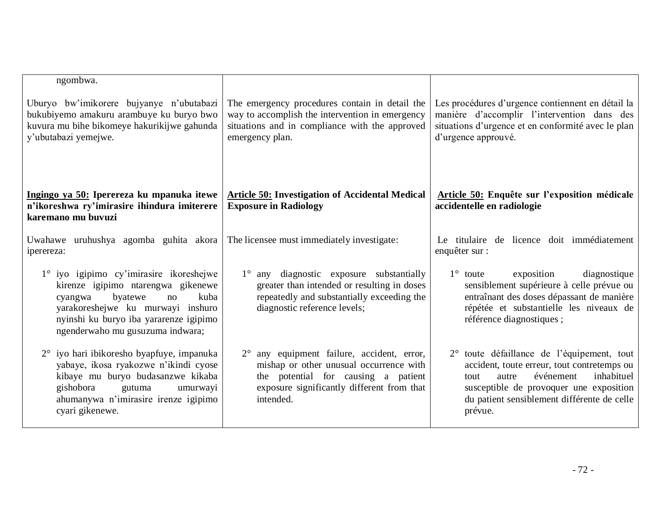| ngombwa.                                                                                                                                                                                                                             |                                                                                                                                                                                                     |                                                                                                                                                                                                                                            |  |  |
|--------------------------------------------------------------------------------------------------------------------------------------------------------------------------------------------------------------------------------------|-----------------------------------------------------------------------------------------------------------------------------------------------------------------------------------------------------|--------------------------------------------------------------------------------------------------------------------------------------------------------------------------------------------------------------------------------------------|--|--|
| Uburyo bw'imikorere bujyanye n'ubutabazi<br>bukubiyemo amakuru arambuye ku buryo bwo<br>kuvura mu bihe bikomeye hakurikijwe gahunda<br>y'ubutabazi yemejwe.                                                                          | The emergency procedures contain in detail the<br>way to accomplish the intervention in emergency<br>situations and in compliance with the approved<br>emergency plan.                              | Les procédures d'urgence contiennent en détail la<br>manière d'accomplir l'intervention dans des<br>situations d'urgence et en conformité avec le plan<br>d'urgence approuvé.                                                              |  |  |
| Ingingo ya 50: Iperereza ku mpanuka itewe<br>n'ikoreshwa ry'imirasire ihindura imiterere<br>karemano mu buvuzi                                                                                                                       | <b>Article 50: Investigation of Accidental Medical</b><br><b>Exposure in Radiology</b>                                                                                                              | Article 50: Enquête sur l'exposition médicale<br>accidentelle en radiologie                                                                                                                                                                |  |  |
| Uwahawe uruhushya agomba guhita akora<br>iperereza:                                                                                                                                                                                  | The licensee must immediately investigate:                                                                                                                                                          | Le titulaire de licence doit immédiatement<br>enquêter sur :                                                                                                                                                                               |  |  |
| 1° iyo igipimo cy'imirasire ikoreshejwe<br>kirenze igipimo ntarengwa gikenewe<br>byatewe<br>kuba<br>cyangwa<br>no<br>yarakoreshejwe ku murwayi inshuro<br>nyinshi ku buryo iba yararenze igipimo<br>ngenderwaho mu gusuzuma indwara; | any diagnostic exposure substantially<br>$1^{\circ}$<br>greater than intended or resulting in doses<br>repeatedly and substantially exceeding the<br>diagnostic reference levels;                   | exposition<br>$1^{\circ}$ toute<br>diagnostique<br>sensiblement supérieure à celle prévue ou<br>entraînant des doses dépassant de manière<br>répétée et substantielle les niveaux de<br>référence diagnostiques;                           |  |  |
| 2° iyo hari ibikoresho byapfuye, impanuka<br>yabaye, ikosa ryakozwe n'ikindi cyose<br>kibaye mu buryo budasanzwe kikaba<br>gishobora<br>gutuma<br>umurwayi<br>ahumanywa n'imirasire irenze igipimo<br>cyari gikenewe.                | any equipment failure, accident, error,<br>$2^{\circ}$<br>mishap or other unusual occurrence with<br>the potential for causing a patient<br>exposure significantly different from that<br>intended. | 2° toute défaillance de l'équipement, tout<br>accident, toute erreur, tout contretemps ou<br>événement<br>inhabituel<br>tout<br>autre<br>susceptible de provoquer une exposition<br>du patient sensiblement différente de celle<br>prévue. |  |  |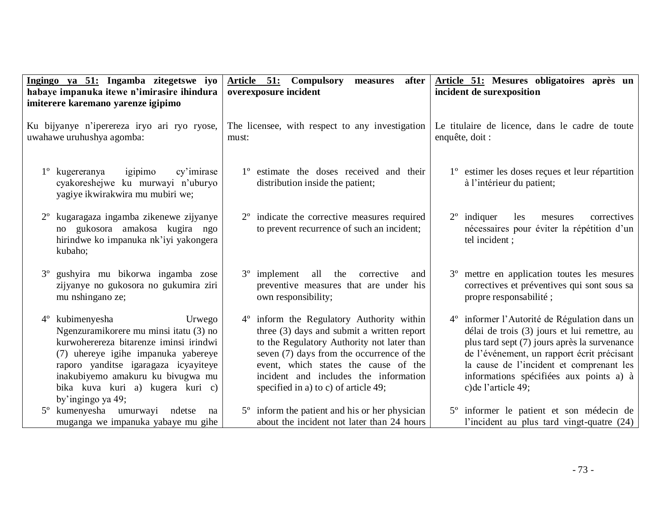| Ingingo ya 51: Ingamba zitegetswe iyo<br>habaye impanuka itewe n'imirasire ihindura<br>imiterere karemano yarenze igipimo                                                                                                                                                                              | Article 51: Compulsory<br>after<br>measures<br>overexposure incident                                                                                                                                                                                                                                          | Article 51: Mesures obligatoires après un<br>incident de surexposition                                                                                                                                                                                                                                               |
|--------------------------------------------------------------------------------------------------------------------------------------------------------------------------------------------------------------------------------------------------------------------------------------------------------|---------------------------------------------------------------------------------------------------------------------------------------------------------------------------------------------------------------------------------------------------------------------------------------------------------------|----------------------------------------------------------------------------------------------------------------------------------------------------------------------------------------------------------------------------------------------------------------------------------------------------------------------|
| Ku bijyanye n'iperereza iryo ari ryo ryose,<br>uwahawe uruhushya agomba:                                                                                                                                                                                                                               | The licensee, with respect to any investigation<br>must:                                                                                                                                                                                                                                                      | Le titulaire de licence, dans le cadre de toute<br>enquête, doit :                                                                                                                                                                                                                                                   |
| kugereranya<br>igipimo<br>$1^{\circ}$<br>cy'imirase<br>cyakoreshejwe ku murwayi n'uburyo<br>yagiye ikwirakwira mu mubiri we;                                                                                                                                                                           | 1° estimate the doses received and their<br>distribution inside the patient;                                                                                                                                                                                                                                  | 1 <sup>°</sup> estimer les doses reçues et leur répartition<br>à l'intérieur du patient;                                                                                                                                                                                                                             |
| kugaragaza ingamba zikenewe zijyanye<br>no gukosora amakosa kugira ngo<br>hirindwe ko impanuka nk'iyi yakongera<br>kubaho;                                                                                                                                                                             | 2 <sup>°</sup> indicate the corrective measures required<br>to prevent recurrence of such an incident;                                                                                                                                                                                                        | indiquer<br>$2^{\circ}$<br>correctives<br>les<br>mesures<br>nécessaires pour éviter la répétition d'un<br>tel incident;                                                                                                                                                                                              |
| gushyira mu bikorwa ingamba zose<br>$3^{\circ}$<br>zijyanye no gukosora no gukumira ziri<br>mu nshingano ze;                                                                                                                                                                                           | all<br>3 <sup>°</sup> implement<br>the<br>corrective<br>and<br>preventive measures that are under his<br>own responsibility;                                                                                                                                                                                  | 3 <sup>°</sup> mettre en application toutes les mesures<br>correctives et préventives qui sont sous sa<br>propre responsabilité;                                                                                                                                                                                     |
| kubimenyesha<br>$4^{\circ}$<br>Urwego<br>Ngenzuramikorere mu minsi itatu (3) no<br>kurwoherereza bitarenze iminsi irindwi<br>(7) uhereye igihe impanuka yabereye<br>raporo yanditse igaragaza icyayiteye<br>inakubiyemo amakuru ku bivugwa mu<br>bika kuva kuri a) kugera kuri c)<br>by'ingingo ya 49; | 4° inform the Regulatory Authority within<br>three $(3)$ days and submit a written report<br>to the Regulatory Authority not later than<br>seven (7) days from the occurrence of the<br>event, which states the cause of the<br>incident and includes the information<br>specified in a) to c) of article 49; | 4 <sup>°</sup> informer l'Autorité de Régulation dans un<br>délai de trois (3) jours et lui remettre, au<br>plus tard sept (7) jours après la survenance<br>de l'événement, un rapport écrit précisant<br>la cause de l'incident et comprenant les<br>informations spécifiées aux points a) à<br>c) de l'article 49; |
| kumenyesha umurwayi ndetse<br>$5^{\circ}$<br>na<br>muganga we impanuka yabaye mu gihe                                                                                                                                                                                                                  | 5 <sup>°</sup> inform the patient and his or her physician<br>about the incident not later than 24 hours                                                                                                                                                                                                      | 5 <sup>°</sup> informer le patient et son médecin de<br>l'incident au plus tard vingt-quatre (24)                                                                                                                                                                                                                    |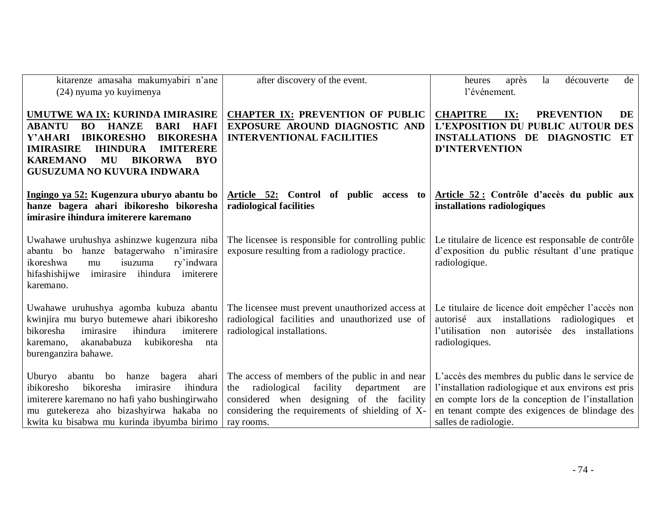| kitarenze amasaha makumyabiri n'ane<br>(24) nyuma yo kuyimenya                                                                                                                                                                                                                                                           | after discovery of the event.                                                                                                                                                                                         | après<br>découverte<br>de<br>la<br>heures<br>l'événement.                                                                                                                                                                                |  |
|--------------------------------------------------------------------------------------------------------------------------------------------------------------------------------------------------------------------------------------------------------------------------------------------------------------------------|-----------------------------------------------------------------------------------------------------------------------------------------------------------------------------------------------------------------------|------------------------------------------------------------------------------------------------------------------------------------------------------------------------------------------------------------------------------------------|--|
| UMUTWE WA IX: KURINDA IMIRASIRE<br><b>ABANTU</b><br><b>HANZE</b><br><b>BARI</b><br><b>HAFI</b><br><b>BO</b><br><b>BIKORESHA</b><br>Y'AHARI<br><b>IBIKORESHO</b><br><b>IMIRASIRE</b><br><b>IHINDURA</b><br><b>IMITERERE</b><br><b>KAREMANO</b><br>MU<br><b>BIKORWA</b><br><b>BYO</b><br><b>GUSUZUMA NO KUVURA INDWARA</b> | <b>CHAPTER IX: PREVENTION OF PUBLIC</b><br>EXPOSURE AROUND DIAGNOSTIC AND<br><b>INTERVENTIONAL FACILITIES</b>                                                                                                         | <b>CHAPITRE</b><br>IX:<br><b>PREVENTION</b><br><b>DE</b><br><b>L'EXPOSITION DU PUBLIC AUTOUR DES</b><br><b>INSTALLATIONS DE DIAGNOSTIC</b><br>ET<br><b>D'INTERVENTION</b>                                                                |  |
| Ingingo ya 52: Kugenzura uburyo abantu bo<br>hanze bagera ahari ibikoresho bikoresha<br>imirasire ihindura imiterere karemano                                                                                                                                                                                            | Article 52: Control of public access to<br>radiological facilities                                                                                                                                                    | Article 52 : Contrôle d'accès du public aux<br>installations radiologiques                                                                                                                                                               |  |
| Uwahawe uruhushya ashinzwe kugenzura niba<br>abantu bo hanze batagerwaho n'imirasire<br>isuzuma<br>ry'indwara<br>ikoreshwa<br>mu<br>ihindura<br>imiterere<br>hifashishijwe<br>imirasire<br>karemano.                                                                                                                     | The licensee is responsible for controlling public<br>exposure resulting from a radiology practice.                                                                                                                   | Le titulaire de licence est responsable de contrôle<br>d'exposition du public résultant d'une pratique<br>radiologique.                                                                                                                  |  |
| Uwahawe uruhushya agomba kubuza abantu<br>kwinjira mu buryo butemewe ahari ibikoresho<br>bikoresha<br>ihindura<br>imiterere<br>imirasire<br>kubikoresha<br>akanababuza<br>karemano,<br>nta<br>burenganzira bahawe.                                                                                                       | The licensee must prevent unauthorized access at<br>radiological facilities and unauthorized use of<br>radiological installations.                                                                                    | Le titulaire de licence doit empêcher l'accès non<br>autorisé aux installations<br>radiologiques et<br>installations<br>l'utilisation non<br>autorisée<br>des<br>radiologiques.                                                          |  |
| Uburyo<br>abantu<br>bagera<br>bo<br>hanze<br>ahari<br>ibikoresho<br>bikoresha<br>imirasire<br>ihindura<br>imiterere karemano no hafi yaho bushingirwaho<br>mu gutekereza aho bizashyirwa hakaba no<br>kwita ku bisabwa mu kurinda ibyumba birimo                                                                         | The access of members of the public in and near<br>radiological<br>facility<br>department<br>the<br>are<br>considered when designing of the facility<br>considering the requirements of shielding of X-<br>ray rooms. | L'accès des membres du public dans le service de<br>l'installation radiologique et aux environs est pris<br>en compte lors de la conception de l'installation<br>en tenant compte des exigences de blindage des<br>salles de radiologie. |  |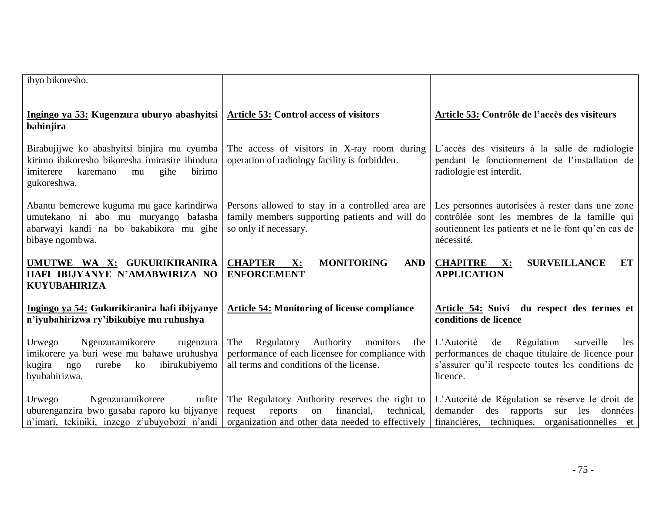| ibyo bikoresho.                                                                                                                                               |                                                                                                                                                             |                                                                                                                                                                         |
|---------------------------------------------------------------------------------------------------------------------------------------------------------------|-------------------------------------------------------------------------------------------------------------------------------------------------------------|-------------------------------------------------------------------------------------------------------------------------------------------------------------------------|
| Ingingo ya 53: Kugenzura uburyo abashyitsi<br>bahinjira                                                                                                       | <b>Article 53: Control access of visitors</b>                                                                                                               | Article 53: Contrôle de l'accès des visiteurs                                                                                                                           |
| Birabujijwe ko abashyitsi binjira mu cyumba<br>kirimo ibikoresho bikoresha imirasire ihindura<br>karemano<br>birimo<br>imiterere<br>gihe<br>mu<br>gukoreshwa. | The access of visitors in X-ray room during<br>operation of radiology facility is forbidden.                                                                | L'accès des visiteurs à la salle de radiologie<br>pendant le fonctionnement de l'installation de<br>radiologie est interdit.                                            |
| Abantu bemerewe kuguma mu gace karindirwa<br>umutekano ni abo mu muryango bafasha<br>abarwayi kandi na bo bakabikora mu gihe<br>bibaye ngombwa.               | Persons allowed to stay in a controlled area are<br>family members supporting patients and will do<br>so only if necessary.                                 | Les personnes autorisées à rester dans une zone<br>contrôlée sont les membres de la famille qui<br>soutiennent les patients et ne le font qu'en cas de<br>nécessité.    |
| UMUTWE WA X: GUKURIKIRANIRA<br>HAFI IBIJYANYE N'AMABWIRIZA NO<br><b>KUYUBAHIRIZA</b>                                                                          | <b>MONITORING</b><br><b>CHAPTER</b><br><b>AND</b><br>$\mathbf{X}$ :<br><b>ENFORCEMENT</b>                                                                   | <b>SURVEILLANCE</b><br><b>CHAPITRE</b><br>$\mathbf{X}$ :<br>ET<br><b>APPLICATION</b>                                                                                    |
| Ingingo ya 54: Gukurikiranira hafi ibijyanye<br>n'iyubahirizwa ry'ibikubiye mu ruhushya                                                                       | <b>Article 54: Monitoring of license compliance</b>                                                                                                         | Article 54: Suivi du respect des termes et<br>conditions de licence                                                                                                     |
| Ngenzuramikorere<br>Urwego<br>rugenzura<br>imikorere ya buri wese mu bahawe uruhushya<br>kugira<br>ngo<br>rurebe<br>ko<br>ibirukubiyemo<br>byubahirizwa.      | The<br>Authority<br>Regulatory<br>monitors<br>the<br>performance of each licensee for compliance with<br>all terms and conditions of the license.           | L'Autorité<br>Régulation<br>de<br>surveille<br>les<br>performances de chaque titulaire de licence pour<br>s'assurer qu'il respecte toutes les conditions de<br>licence. |
| Ngenzuramikorere<br>Urwego<br>rufite<br>uburenganzira bwo gusaba raporo ku bijyanye<br>n'imari, tekiniki, inzego z'ubuyobozi n'andi                           | The Regulatory Authority reserves the right to<br>request<br>reports<br>financial,<br>technical,<br>on<br>organization and other data needed to effectively | L'Autorité de Régulation se réserve le droit de<br>demander<br>des rapports<br>sur les<br>données<br>financières, techniques, organisationnelles et                     |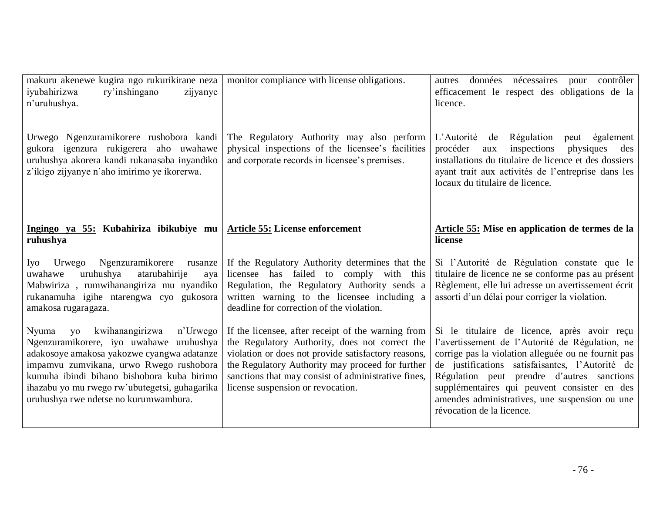| makuru akenewe kugira ngo rukurikirane neza<br>iyubahirizwa<br>ry'inshingano<br>zijyanye<br>n'uruhushya.                                                                                                                                                                                                               | monitor compliance with license obligations.                                                                                                                                                                                                                                                                | données nécessaires pour contrôler<br>autres<br>efficacement le respect des obligations de la<br>licence.                                                                                                                                                                                                                                                                              |
|------------------------------------------------------------------------------------------------------------------------------------------------------------------------------------------------------------------------------------------------------------------------------------------------------------------------|-------------------------------------------------------------------------------------------------------------------------------------------------------------------------------------------------------------------------------------------------------------------------------------------------------------|----------------------------------------------------------------------------------------------------------------------------------------------------------------------------------------------------------------------------------------------------------------------------------------------------------------------------------------------------------------------------------------|
| Urwego Ngenzuramikorere rushobora kandi<br>gukora igenzura rukigerera aho uwahawe<br>uruhushya akorera kandi rukanasaba inyandiko<br>z'ikigo zijyanye n'aho imirimo ye ikorerwa.                                                                                                                                       | The Regulatory Authority may also perform<br>physical inspections of the licensee's facilities<br>and corporate records in licensee's premises.                                                                                                                                                             | L'Autorité de Régulation<br>peut également<br>inspections<br>procéder<br>physiques<br>des<br>aux<br>installations du titulaire de licence et des dossiers<br>ayant trait aux activités de l'entreprise dans les<br>locaux du titulaire de licence.                                                                                                                                     |
| Ingingo ya 55: Kubahiriza ibikubiye mu   Article 55: License enforcement<br>ruhushya                                                                                                                                                                                                                                   |                                                                                                                                                                                                                                                                                                             | Article 55: Mise en application de termes de la<br>license                                                                                                                                                                                                                                                                                                                             |
| Urwego Ngenzuramikorere<br>Iyo<br>rusanze<br>uruhushya<br>atarubahirije<br>uwahawe<br>aya<br>Mabwiriza, rumwihanangiriza mu nyandiko<br>rukanamuha igihe ntarengwa cyo gukosora<br>amakosa rugaragaza.                                                                                                                 | If the Regulatory Authority determines that the<br>licensee has failed to comply with this<br>Regulation, the Regulatory Authority sends a<br>written warning to the licensee including a<br>deadline for correction of the violation.                                                                      | Si l'Autorité de Régulation constate que le<br>titulaire de licence ne se conforme pas au présent<br>Règlement, elle lui adresse un avertissement écrit<br>assorti d'un délai pour corriger la violation.                                                                                                                                                                              |
| kwihanangirizwa<br>n'Urwego<br>Nyuma<br>yo<br>Ngenzuramikorere, iyo uwahawe uruhushya<br>adakosoye amakosa yakozwe cyangwa adatanze<br>impamvu zumvikana, urwo Rwego rushobora<br>kumuha ibindi bihano bishobora kuba birimo<br>ihazabu yo mu rwego rw'ubutegetsi, guhagarika<br>uruhushya rwe ndetse no kurumwambura. | If the licensee, after receipt of the warning from<br>the Regulatory Authority, does not correct the<br>violation or does not provide satisfactory reasons,<br>the Regulatory Authority may proceed for further<br>sanctions that may consist of administrative fines,<br>license suspension or revocation. | Si le titulaire de licence, après avoir reçu<br>l'avertissement de l'Autorité de Régulation, ne<br>corrige pas la violation alleguée ou ne fournit pas<br>de justifications satisfaisantes, l'Autorité de<br>Régulation peut prendre d'autres sanctions<br>supplémentaires qui peuvent consister en des<br>amendes administratives, une suspension ou une<br>révocation de la licence. |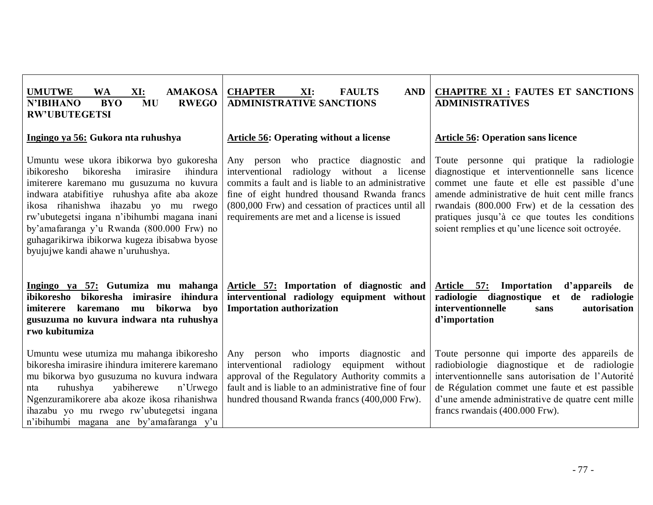| <b>UMUTWE</b><br><b>AMAKOSA</b><br><b>WA</b><br>XI:<br><b>BYO</b><br><b>MU</b><br><b>RWEGO</b><br><b>N'IBIHANO</b><br><b>RW'UBUTEGETSI</b>                                                                                                                                                                                                                                                                         | <b>CHAPTER</b><br>XI:<br><b>FAULTS</b><br><b>AND</b><br><b>ADMINISTRATIVE SANCTIONS</b>                                                                                                                                                                                                             | <b>CHAPITRE XI : FAUTES ET SANCTIONS</b><br><b>ADMINISTRATIVES</b>                                                                                                                                                                                                                                                                                   |  |
|--------------------------------------------------------------------------------------------------------------------------------------------------------------------------------------------------------------------------------------------------------------------------------------------------------------------------------------------------------------------------------------------------------------------|-----------------------------------------------------------------------------------------------------------------------------------------------------------------------------------------------------------------------------------------------------------------------------------------------------|------------------------------------------------------------------------------------------------------------------------------------------------------------------------------------------------------------------------------------------------------------------------------------------------------------------------------------------------------|--|
| Ingingo ya 56: Gukora nta ruhushya                                                                                                                                                                                                                                                                                                                                                                                 | <b>Article 56: Operating without a license</b>                                                                                                                                                                                                                                                      | <b>Article 56: Operation sans licence</b>                                                                                                                                                                                                                                                                                                            |  |
| Umuntu wese ukora ibikorwa byo gukoresha<br>bikoresha<br>imirasire<br>ibikoresho<br>ihindura<br>imiterere karemano mu gusuzuma no kuvura<br>indwara atabifitiye ruhushya afite aba akoze<br>ikosa rihanishwa ihazabu yo mu rwego<br>rw'ubutegetsi ingana n'ibihumbi magana inani<br>by'amafaranga y'u Rwanda (800.000 Frw) no<br>guhagarikirwa ibikorwa kugeza ibisabwa byose<br>byujujwe kandi ahawe n'uruhushya. | Any person who practice diagnostic and<br>radiology without a license<br>interventional<br>commits a fault and is liable to an administrative<br>fine of eight hundred thousand Rwanda francs<br>(800,000 Frw) and cessation of practices until all<br>requirements are met and a license is issued | Toute personne qui pratique la radiologie<br>diagnostique et interventionnelle sans licence<br>commet une faute et elle est passible d'une<br>amende administrative de huit cent mille francs<br>rwandais (800.000 Frw) et de la cessation des<br>pratiques jusqu'à ce que toutes les conditions<br>soient remplies et qu'une licence soit octroyée. |  |
| Ingingo ya 57: Gutumiza mu mahanga<br>ibikoresho<br>bikoresha imirasire ihindura<br>bikorwa<br>byo<br>imiterere<br>karemano<br>mu<br>gusuzuma no kuvura indwara nta ruhushya<br>rwo kubitumiza                                                                                                                                                                                                                     | Article 57: Importation of diagnostic and<br>interventional radiology equipment without<br><b>Importation authorization</b>                                                                                                                                                                         | Article 57: Importation<br>d'appareils de<br>radiologie diagnostique et de radiologie<br>interventionnelle<br>autorisation<br>sans<br>d'importation                                                                                                                                                                                                  |  |
| Umuntu wese utumiza mu mahanga ibikoresho<br>bikoresha imirasire ihindura imiterere karemano<br>mu bikorwa byo gusuzuma no kuvura indwara<br>ruhushya<br>yabiherewe<br>n'Urwego<br>nta<br>Ngenzuramikorere aba akoze ikosa rihanishwa<br>ihazabu yo mu rwego rw'ubutegetsi ingana<br>n'ibihumbi magana ane by'amafaranga y'u                                                                                       | who imports diagnostic and<br>Any person<br>radiology equipment without<br>interventional<br>approval of the Regulatory Authority commits a<br>fault and is liable to an administrative fine of four<br>hundred thousand Rwanda francs (400,000 Frw).                                               | Toute personne qui importe des appareils de<br>radiobiologie diagnostique et de radiologie<br>interventionnelle sans autorisation de l'Autorité<br>de Régulation commet une faute et est passible<br>d'une amende administrative de quatre cent mille<br>francs rwandais (400.000 Frw).                                                              |  |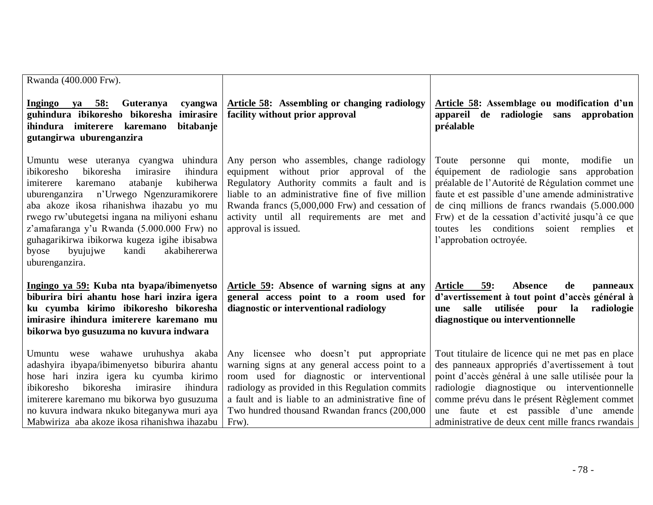| Rwanda (400.000 Frw).                                                                                                                                                                                                                                                                                                                                                                                                                                |                                                                                                                                                                                                                                                                                                                     |                                                                                                                                                                                                                                                                                                                                                                                      |
|------------------------------------------------------------------------------------------------------------------------------------------------------------------------------------------------------------------------------------------------------------------------------------------------------------------------------------------------------------------------------------------------------------------------------------------------------|---------------------------------------------------------------------------------------------------------------------------------------------------------------------------------------------------------------------------------------------------------------------------------------------------------------------|--------------------------------------------------------------------------------------------------------------------------------------------------------------------------------------------------------------------------------------------------------------------------------------------------------------------------------------------------------------------------------------|
| ya 58:<br>Guteranya<br><b>Ingingo</b><br>cyangwa<br>guhindura ibikoresho bikoresha<br>imirasire<br>ihindura imiterere karemano<br>bitabanje<br>gutangirwa uburenganzira                                                                                                                                                                                                                                                                              | Article 58: Assembling or changing radiology<br>facility without prior approval                                                                                                                                                                                                                                     | Article 58: Assemblage ou modification d'un<br>appareil de radiologie sans<br>approbation<br>préalable                                                                                                                                                                                                                                                                               |
| Umuntu wese uteranya cyangwa uhindura<br>bikoresha<br>imirasire<br>ihindura<br>ibikoresho<br>kubiherwa<br>atabanje<br>imiterere<br>karemano<br>n'Urwego Ngenzuramikorere<br>uburenganzira<br>aba akoze ikosa rihanishwa ihazabu yo mu<br>rwego rw'ubutegetsi ingana na miliyoni eshanu<br>z'amafaranga y'u Rwanda (5.000.000 Frw) no<br>guhagarikirwa ibikorwa kugeza igihe ibisabwa<br>kandi<br>akabihererwa<br>byose<br>byujujwe<br>uburenganzira. | Any person who assembles, change radiology<br>equipment without prior approval<br>of the<br>Regulatory Authority commits a fault and is<br>liable to an administrative fine of five million<br>Rwanda francs (5,000,000 Frw) and cessation of<br>activity until all requirements are met and<br>approval is issued. | modifie<br>qui monte,<br>Toute<br>personne<br>un<br>équipement de radiologie sans approbation<br>préalable de l'Autorité de Régulation commet une<br>faute et est passible d'une amende administrative<br>de cinq millions de francs rwandais (5.000.000<br>Frw) et de la cessation d'activité jusqu'à ce que<br>toutes les conditions soient remplies et<br>l'approbation octroyée. |
| Ingingo ya 59: Kuba nta byapa/ibimenyetso<br>biburira biri ahantu hose hari inzira igera<br>ku cyumba kirimo ibikoresho bikoresha<br>imirasire ihindura imiterere karemano mu<br>bikorwa byo gusuzuma no kuvura indwara                                                                                                                                                                                                                              | Article 59: Absence of warning signs at any<br>general access point to a room used for<br>diagnostic or interventional radiology                                                                                                                                                                                    | 59:<br><b>Article</b><br><b>Absence</b><br>de<br>panneaux<br>d'avertissement à tout point d'accès général à<br>utilisée<br>salle<br>pour<br><b>la</b><br>radiologie<br>une<br>diagnostique ou interventionnelle                                                                                                                                                                      |
| Umuntu wese wahawe uruhushya<br>akaba<br>adashyira ibyapa/ibimenyetso biburira ahantu<br>hose hari inzira igera ku cyumba kirimo<br>bikoresha<br>ibikoresho<br>ihindura<br>imirasire<br>imiterere karemano mu bikorwa byo gusuzuma<br>no kuvura indwara nkuko biteganywa muri aya<br>Mabwiriza aba akoze ikosa rihanishwa ihazabu                                                                                                                    | Any licensee who doesn't put appropriate<br>warning signs at any general access point to a<br>room used for diagnostic or interventional<br>radiology as provided in this Regulation commits<br>a fault and is liable to an administrative fine of<br>Two hundred thousand Rwandan francs (200,000<br>Frw).         | Tout titulaire de licence qui ne met pas en place<br>des panneaux appropriés d'avertissement à tout<br>point d'accès général à une salle utilisée pour la<br>radiologie diagnostique ou interventionnelle<br>comme prévu dans le présent Règlement commet<br>une faute et est passible d'une amende<br>administrative de deux cent mille francs rwandais                             |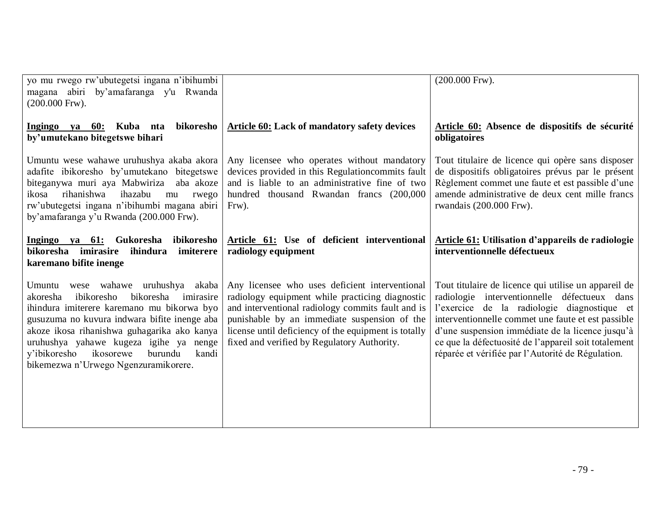| yo mu rwego rw'ubutegetsi ingana n'ibihumbi<br>magana abiri by'amafaranga y'u Rwanda<br>$(200.000$ Frw).                                                                                                                                                                                                                                                               |                                                                                                                                                                                                                                                                                                               | $(200.000$ Frw).                                                                                                                                                                                                                                                                                                                                                           |  |
|------------------------------------------------------------------------------------------------------------------------------------------------------------------------------------------------------------------------------------------------------------------------------------------------------------------------------------------------------------------------|---------------------------------------------------------------------------------------------------------------------------------------------------------------------------------------------------------------------------------------------------------------------------------------------------------------|----------------------------------------------------------------------------------------------------------------------------------------------------------------------------------------------------------------------------------------------------------------------------------------------------------------------------------------------------------------------------|--|
| bikoresho<br>Ingingo ya 60: Kuba nta<br>by'umutekano bitegetswe bihari                                                                                                                                                                                                                                                                                                 | Article 60: Lack of mandatory safety devices                                                                                                                                                                                                                                                                  | Article 60: Absence de dispositifs de sécurité<br>obligatoires                                                                                                                                                                                                                                                                                                             |  |
| Umuntu wese wahawe uruhushya akaba akora<br>adafite ibikoresho by'umutekano bitegetswe<br>biteganywa muri aya Mabwiriza aba akoze<br>rihanishwa<br>ihazabu<br>ikosa<br>mu<br>rwego<br>rw'ubutegetsi ingana n'ibihumbi magana abiri<br>by'amafaranga y'u Rwanda (200.000 Frw).                                                                                          | Any licensee who operates without mandatory<br>devices provided in this Regulation commits fault<br>and is liable to an administrative fine of two<br>hundred thousand Rwandan francs (200,000<br>$Frw$ ).                                                                                                    | Tout titulaire de licence qui opère sans disposer<br>de dispositifs obligatoires prévus par le présent<br>Règlement commet une faute et est passible d'une<br>amende administrative de deux cent mille francs<br>rwandais (200.000 Frw).                                                                                                                                   |  |
| Ingingo ya 61: Gukoresha ibikoresho<br>bikoresha imirasire<br>ihindura<br>imiterere<br>karemano bifite inenge                                                                                                                                                                                                                                                          | Article 61: Use of deficient interventional<br>radiology equipment                                                                                                                                                                                                                                            | <b>Article 61:</b> Utilisation d'appareils de radiologie<br>interventionnelle défectueux                                                                                                                                                                                                                                                                                   |  |
| Umuntu wese wahawe uruhushya akaba<br>bikoresha<br>ibikoresho<br>akoresha<br>imirasire<br>ihindura imiterere karemano mu bikorwa byo<br>gusuzuma no kuvura indwara bifite inenge aba<br>akoze ikosa rihanishwa guhagarika ako kanya<br>uruhushya yahawe kugeza igihe ya nenge<br>ikosorewe<br>burundu<br>y'ibikoresho<br>kandi<br>bikemezwa n'Urwego Ngenzuramikorere. | Any licensee who uses deficient interventional<br>radiology equipment while practicing diagnostic<br>and interventional radiology commits fault and is<br>punishable by an immediate suspension of the<br>license until deficiency of the equipment is totally<br>fixed and verified by Regulatory Authority. | Tout titulaire de licence qui utilise un appareil de<br>radiologie interventionnelle défectueux dans<br>l'exercice de la radiologie diagnostique et<br>interventionnelle commet une faute et est passible<br>d'une suspension immédiate de la licence jusqu'à<br>ce que la défectuosité de l'appareil soit totalement<br>réparée et vérifiée par l'Autorité de Régulation. |  |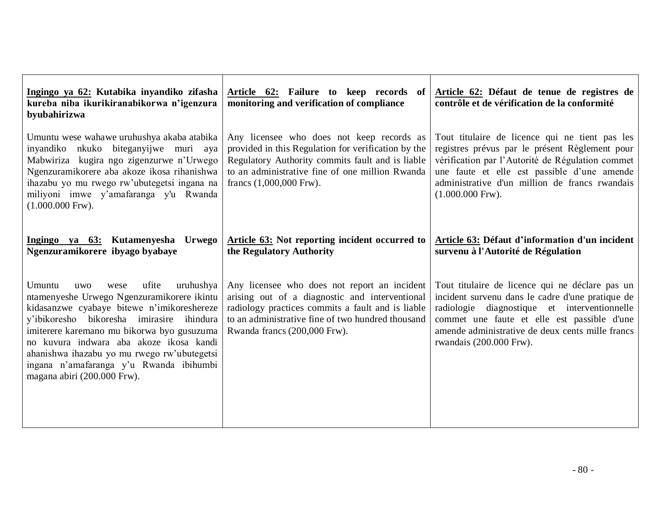| Ingingo ya 62: Kutabika inyandiko zifasha<br>kureba niba ikurikiranabikorwa n'igenzura<br>byubahirizwa                                                                                                                                                                                                                                                                                                        | Article 62: Failure to keep records of<br>monitoring and verification of compliance                                                                                                                                                                                                                                                                                                                                                                                                                                 | Article 62: Défaut de tenue de registres de<br>contrôle et de vérification de la conformité                                                                                                                                                                                       |  |
|---------------------------------------------------------------------------------------------------------------------------------------------------------------------------------------------------------------------------------------------------------------------------------------------------------------------------------------------------------------------------------------------------------------|---------------------------------------------------------------------------------------------------------------------------------------------------------------------------------------------------------------------------------------------------------------------------------------------------------------------------------------------------------------------------------------------------------------------------------------------------------------------------------------------------------------------|-----------------------------------------------------------------------------------------------------------------------------------------------------------------------------------------------------------------------------------------------------------------------------------|--|
| Umuntu wese wahawe uruhushya akaba atabika<br>inyandiko nkuko biteganyijwe muri aya<br>Mabwiriza kugira ngo zigenzurwe n'Urwego<br>Ngenzuramikorere aba akoze ikosa rihanishwa<br>ihazabu yo mu rwego rw'ubutegetsi ingana na<br>miliyoni imwe y'amafaranga y'u Rwanda<br>$(1.000.000$ Frw).                                                                                                                  | Tout titulaire de licence qui ne tient pas les<br>Any licensee who does not keep records as<br>provided in this Regulation for verification by the<br>registres prévus par le présent Règlement pour<br>Regulatory Authority commits fault and is liable<br>vérification par l'Autorité de Régulation commet<br>to an administrative fine of one million Rwanda<br>une faute et elle est passible d'une amende<br>administrative d'un million de francs rwandais<br>francs $(1,000,000$ Frw).<br>$(1.000.000$ Frw). |                                                                                                                                                                                                                                                                                   |  |
| Ingingo ya 63: Kutamenyesha Urwego<br>Ngenzuramikorere ibyago byabaye                                                                                                                                                                                                                                                                                                                                         | Article 63: Not reporting incident occurred to<br>the Regulatory Authority                                                                                                                                                                                                                                                                                                                                                                                                                                          | Article 63: Défaut d'information d'un incident<br>survenu à l'Autorité de Régulation                                                                                                                                                                                              |  |
| Umuntu<br>ufite<br>uruhushya<br><b>uwo</b><br>wese<br>ntamenyeshe Urwego Ngenzuramikorere ikintu<br>kidasanzwe cyabaye bitewe n'imikoreshereze<br>y'ibikoresho bikoresha imirasire ihindura<br>imiterere karemano mu bikorwa byo gusuzuma<br>no kuvura indwara aba akoze ikosa kandi<br>ahanishwa ihazabu yo mu rwego rw'ubutegetsi<br>ingana n'amafaranga y'u Rwanda ibihumbi<br>magana abiri (200.000 Frw). | Any licensee who does not report an incident<br>arising out of a diagnostic and interventional<br>radiology practices commits a fault and is liable<br>to an administrative fine of two hundred thousand<br>Rwanda francs (200,000 Frw).                                                                                                                                                                                                                                                                            | Tout titulaire de licence qui ne déclare pas un<br>incident survenu dans le cadre d'une pratique de<br>radiologie diagnostique et interventionnelle<br>commet une faute et elle est passible d'une<br>amende administrative de deux cents mille francs<br>rwandais (200.000 Frw). |  |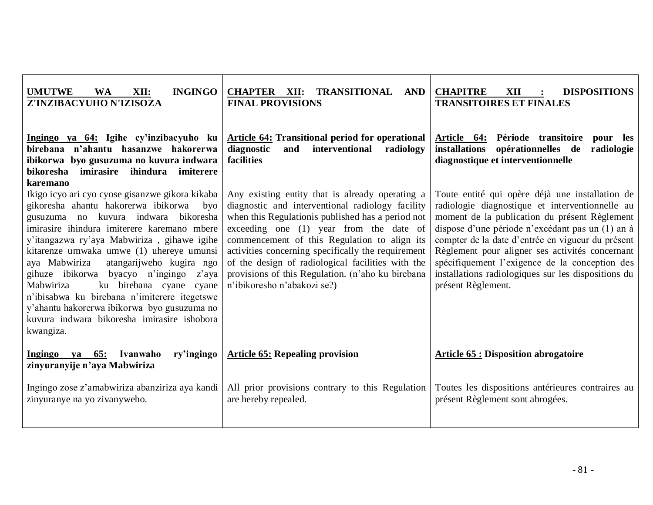| <b>INGINGO</b><br><b>UMUTWE</b><br><b>WA</b><br>XII:<br>Z'INZIBACYUHO N'IZISOZA                                                                                                                                                                                                                                                                                                                                                                                                                                                                                                | <b>CHAPTER XII:</b><br>TRANSITIONAL<br><b>AND</b><br><b>FINAL PROVISIONS</b>                                                                                                                                                                                                                                                                                                                                                                                                                                                                                                                                                                                                                                                                                                                                                                                                                          | <b>CHAPITRE</b><br>XII<br><b>DISPOSITIONS</b><br><b>TRANSITOIRES ET FINALES</b>                                                    |
|--------------------------------------------------------------------------------------------------------------------------------------------------------------------------------------------------------------------------------------------------------------------------------------------------------------------------------------------------------------------------------------------------------------------------------------------------------------------------------------------------------------------------------------------------------------------------------|-------------------------------------------------------------------------------------------------------------------------------------------------------------------------------------------------------------------------------------------------------------------------------------------------------------------------------------------------------------------------------------------------------------------------------------------------------------------------------------------------------------------------------------------------------------------------------------------------------------------------------------------------------------------------------------------------------------------------------------------------------------------------------------------------------------------------------------------------------------------------------------------------------|------------------------------------------------------------------------------------------------------------------------------------|
| Ingingo ya 64: Igihe cy'inzibacyuho ku<br>birebana n'ahantu hasanzwe hakorerwa<br>ibikorwa byo gusuzuma no kuvura indwara<br>ihindura<br>bikoresha<br>imirasire<br>imiterere<br>karemano                                                                                                                                                                                                                                                                                                                                                                                       | <b>Article 64: Transitional period for operational</b><br>diagnostic<br>interventional<br>and<br>radiology<br>facilities                                                                                                                                                                                                                                                                                                                                                                                                                                                                                                                                                                                                                                                                                                                                                                              | Article 64: Période transitoire<br>pour les<br>installations opérationnelles de<br>radiologie<br>diagnostique et interventionnelle |
| Ikigo icyo ari cyo cyose gisanzwe gikora kikaba<br>gikoresha ahantu hakorerwa ibikorwa<br>byo<br>gusuzuma no kuvura indwara<br>bikoresha<br>imirasire ihindura imiterere karemano mbere<br>y'itangazwa ry'aya Mabwiriza, gihawe igihe<br>kitarenze umwaka umwe (1) uhereye umunsi<br>aya Mabwiriza<br>atangarijweho kugira ngo<br>gihuze ibikorwa byacyo n'ingingo<br>z'aya<br>ku birebana cyane cyane<br>Mabwiriza<br>n'ibisabwa ku birebana n'imiterere itegetswe<br>y'ahantu hakorerwa ibikorwa byo gusuzuma no<br>kuvura indwara bikoresha imirasire ishobora<br>kwangiza. | Any existing entity that is already operating a<br>Toute entité qui opère déjà une installation de<br>diagnostic and interventional radiology facility<br>radiologie diagnostique et interventionnelle au<br>when this Regulation is published has a period not<br>moment de la publication du présent Règlement<br>exceeding one (1) year from the date of<br>dispose d'une période n'excédant pas un (1) an à<br>compter de la date d'entrée en vigueur du présent<br>commencement of this Regulation to align its<br>Règlement pour aligner ses activités concernant<br>activities concerning specifically the requirement<br>spécifiquement l'exigence de la conception des<br>of the design of radiological facilities with the<br>provisions of this Regulation. (n'aho ku birebana<br>installations radiologiques sur les dispositions du<br>n'ibikoresho n'abakozi se?)<br>présent Règlement. |                                                                                                                                    |
| Ingingo ya 65:<br>Ivanwaho<br>ry'ingingo<br>zinyuranyije n'aya Mabwiriza                                                                                                                                                                                                                                                                                                                                                                                                                                                                                                       | <b>Article 65: Repealing provision</b>                                                                                                                                                                                                                                                                                                                                                                                                                                                                                                                                                                                                                                                                                                                                                                                                                                                                | <b>Article 65 : Disposition abrogatoire</b>                                                                                        |
| Ingingo zose z'amabwiriza abanziriza aya kandi<br>zinyuranye na yo zivanyweho.                                                                                                                                                                                                                                                                                                                                                                                                                                                                                                 | All prior provisions contrary to this Regulation<br>are hereby repealed.                                                                                                                                                                                                                                                                                                                                                                                                                                                                                                                                                                                                                                                                                                                                                                                                                              | Toutes les dispositions antérieures contraires au<br>présent Règlement sont abrogées.                                              |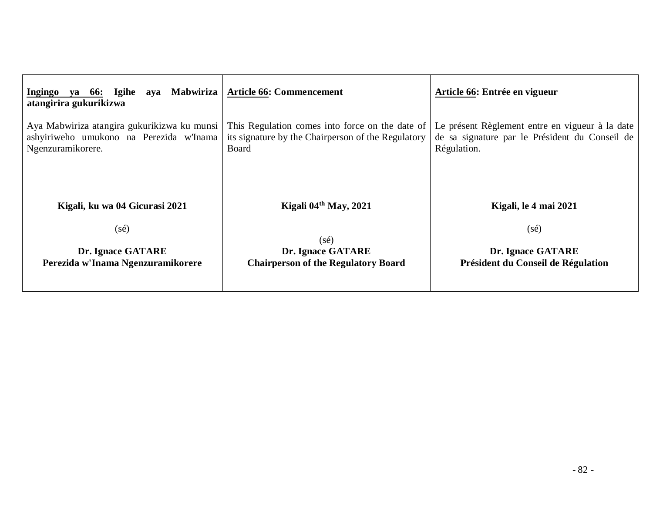| aya Mabwiriza<br>Igihe<br>Ingingo<br>ya 66:<br>atangirira gukurikizwa                                       | <b>Article 66: Commencement</b>                                                                                | Article 66: Entrée en vigueur                                                                                    |  |
|-------------------------------------------------------------------------------------------------------------|----------------------------------------------------------------------------------------------------------------|------------------------------------------------------------------------------------------------------------------|--|
| Aya Mabwiriza atangira gukurikizwa ku munsi<br>ashyiriweho umukono na Perezida w'Inama<br>Ngenzuramikorere. | This Regulation comes into force on the date of<br>its signature by the Chairperson of the Regulatory<br>Board | Le présent Règlement entre en vigueur à la date<br>de sa signature par le Président du Conseil de<br>Régulation. |  |
| Kigali, ku wa 04 Gicurasi 2021                                                                              | Kigali 04 <sup>th</sup> May, 2021                                                                              | Kigali, le 4 mai 2021                                                                                            |  |
| $(s\acute{e})$                                                                                              | $(s\acute{e})$                                                                                                 | $(s\acute{e})$                                                                                                   |  |
| <b>Dr. Ignace GATARE</b>                                                                                    | Dr. Ignace GATARE                                                                                              | <b>Dr. Ignace GATARE</b>                                                                                         |  |
| Perezida w'Inama Ngenzuramikorere                                                                           | <b>Chairperson of the Regulatory Board</b>                                                                     | Président du Conseil de Régulation                                                                               |  |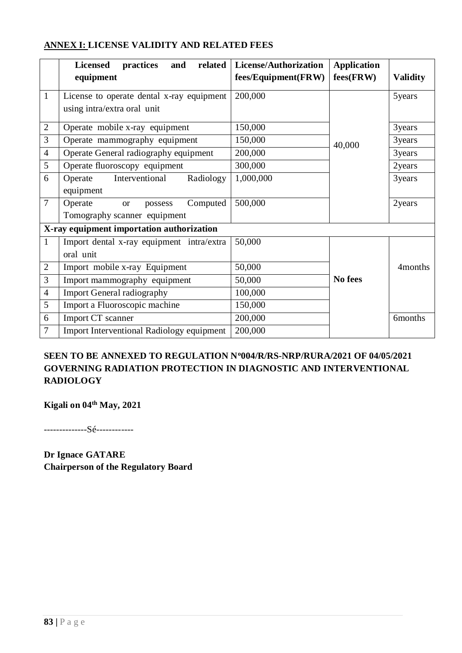|                | related<br><b>Licensed</b><br>practices<br>and<br>equipment                 | License/Authorization<br>fees/Equipment(FRW) | <b>Application</b><br>$fees$ (FRW) | <b>Validity</b>     |
|----------------|-----------------------------------------------------------------------------|----------------------------------------------|------------------------------------|---------------------|
| $\mathbf{1}$   | License to operate dental x-ray equipment<br>using intra/extra oral unit    | 200,000                                      |                                    | 5years              |
| $\mathbf{2}$   | Operate mobile x-ray equipment                                              | 150,000                                      |                                    | 3years              |
| 3              | Operate mammography equipment                                               | 150,000                                      | 40,000                             | 3years              |
| $\overline{4}$ | Operate General radiography equipment                                       | 200,000                                      |                                    | 3years              |
| 5              | Operate fluoroscopy equipment                                               | 300,000                                      |                                    | 2years              |
| 6              | Interventional<br>Radiology<br>Operate<br>equipment                         | 1,000,000                                    |                                    | 3years              |
| $\overline{7}$ | Computed<br>Operate<br>possess<br><b>or</b><br>Tomography scanner equipment | 500,000                                      |                                    | 2years              |
|                | X-ray equipment importation authorization                                   |                                              |                                    |                     |
| $\mathbf{1}$   | Import dental x-ray equipment intra/extra<br>oral unit                      | 50,000                                       |                                    |                     |
| $\overline{2}$ | Import mobile x-ray Equipment                                               | 50,000                                       |                                    | 4 <sub>months</sub> |
| 3              | Import mammography equipment                                                | 50,000                                       | No fees                            |                     |
| $\overline{4}$ | <b>Import General radiography</b>                                           | 100,000                                      |                                    |                     |
| 5              | Import a Fluoroscopic machine                                               | 150,000                                      |                                    |                     |
| 6              | Import CT scanner                                                           | 200,000                                      |                                    | 6months             |
| 7              | <b>Import Interventional Radiology equipment</b>                            | 200,000                                      |                                    |                     |

# **ANNEX I: LICENSE VALIDITY AND RELATED FEES**

# **SEEN TO BE ANNEXED TO REGULATION N<sup>o</sup>004/R/RS-NRP/RURA/2021 OF 04/05/2021 GOVERNING RADIATION PROTECTION IN DIAGNOSTIC AND INTERVENTIONAL RADIOLOGY**

**Kigali on 04th May, 2021** 

--------------Sé------------

**Dr Ignace GATARE Chairperson of the Regulatory Board**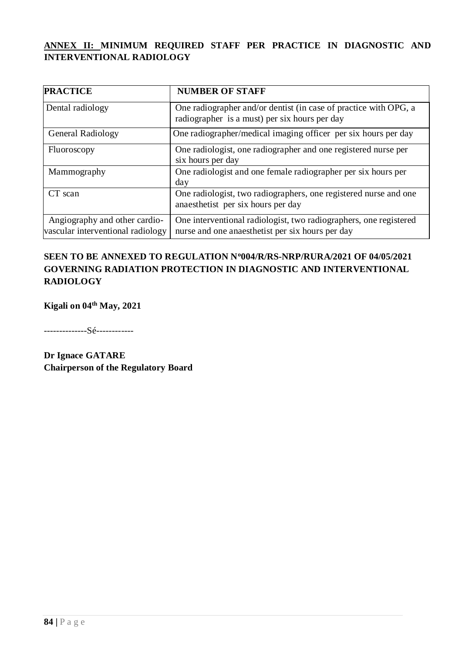# **ANNEX II: MINIMUM REQUIRED STAFF PER PRACTICE IN DIAGNOSTIC AND INTERVENTIONAL RADIOLOGY**

| <b>PRACTICE</b>                                                    | <b>NUMBER OF STAFF</b>                                                                                                |
|--------------------------------------------------------------------|-----------------------------------------------------------------------------------------------------------------------|
| Dental radiology                                                   | One radiographer and/or dentist (in case of practice with OPG, a<br>radiographer is a must) per six hours per day     |
| General Radiology                                                  | One radiographer/medical imaging officer per six hours per day                                                        |
| Fluoroscopy                                                        | One radiologist, one radiographer and one registered nurse per<br>six hours per day                                   |
| Mammography                                                        | One radiologist and one female radiographer per six hours per<br>day                                                  |
| CT scan                                                            | One radiologist, two radiographers, one registered nurse and one<br>anaesthetist per six hours per day                |
| Angiography and other cardio-<br>vascular interventional radiology | One interventional radiologist, two radiographers, one registered<br>nurse and one anaesthetist per six hours per day |

### **SEEN TO BE ANNEXED TO REGULATION N<sup>o</sup>004/R/RS-NRP/RURA/2021 OF 04/05/2021 GOVERNING RADIATION PROTECTION IN DIAGNOSTIC AND INTERVENTIONAL RADIOLOGY**

**Kigali on 04th May, 2021** 

--------------Sé------------

**Dr Ignace GATARE Chairperson of the Regulatory Board**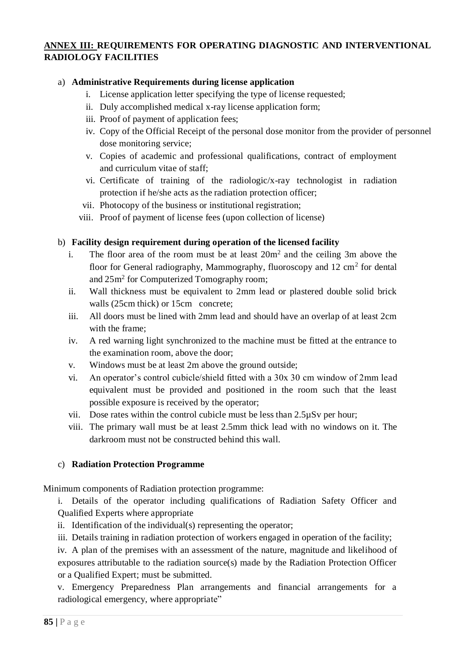## **ANNEX III: REQUIREMENTS FOR OPERATING DIAGNOSTIC AND INTERVENTIONAL RADIOLOGY FACILITIES**

#### a) **Administrative Requirements during license application**

- i. License application letter specifying the type of license requested;
- ii. Duly accomplished medical x-ray license application form;
- iii. Proof of payment of application fees;
- iv. Copy of the Official Receipt of the personal dose monitor from the provider of personnel dose monitoring service;
- v. Copies of academic and professional qualifications, contract of employment and curriculum vitae of staff;
- vi. Certificate of training of the radiologic/x-ray technologist in radiation protection if he/she acts as the radiation protection officer;
- vii. Photocopy of the business or institutional registration;
- viii. Proof of payment of license fees (upon collection of license)

#### b) **Facility design requirement during operation of the licensed facility**

- i. The floor area of the room must be at least  $20m^2$  and the ceiling 3m above the floor for General radiography, Mammography, fluoroscopy and 12 cm<sup>2</sup> for dental and  $25m^2$  for Computerized Tomography room;
- ii. Wall thickness must be equivalent to 2mm lead or plastered double solid brick walls (25cm thick) or 15cm concrete;
- iii. All doors must be lined with 2mm lead and should have an overlap of at least 2cm with the frame;
- iv. A red warning light synchronized to the machine must be fitted at the entrance to the examination room, above the door;
- v. Windows must be at least 2m above the ground outside;
- vi. An operator's control cubicle/shield fitted with a 30x 30 cm window of 2mm lead equivalent must be provided and positioned in the room such that the least possible exposure is received by the operator;
- vii. Dose rates within the control cubicle must be less than 2.5µSv per hour;
- viii. The primary wall must be at least 2.5mm thick lead with no windows on it. The darkroom must not be constructed behind this wall.

#### c) **Radiation Protection Programme**

Minimum components of Radiation protection programme:

i. Details of the operator including qualifications of Radiation Safety Officer and Qualified Experts where appropriate

- ii. Identification of the individual(s) representing the operator;
- iii. Details training in radiation protection of workers engaged in operation of the facility;

iv. A plan of the premises with an assessment of the nature, magnitude and likelihood of exposures attributable to the radiation source(s) made by the Radiation Protection Officer or a Qualified Expert; must be submitted.

v. Emergency Preparedness Plan arrangements and financial arrangements for a radiological emergency, where appropriate"